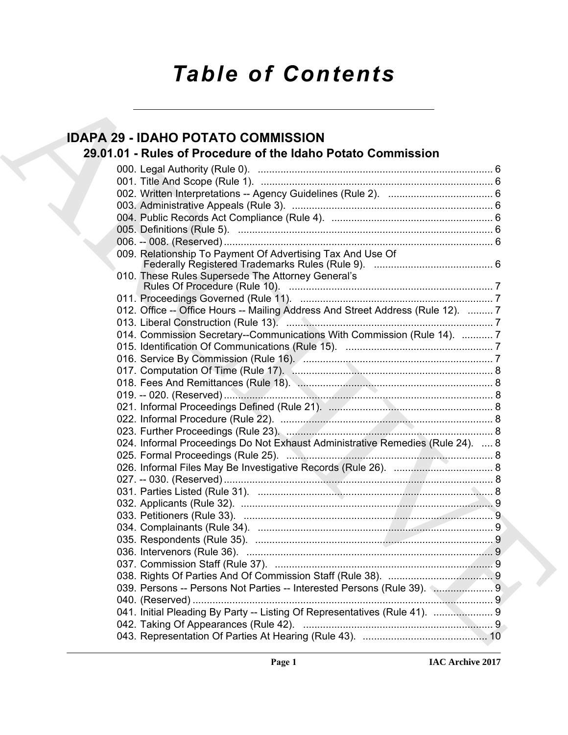# *Table of Contents*

# **IDAPA 29 - IDAHO POTATO COMMISSION**

# **29.01.01 - Rules of Procedure of the Idaho Potato Commission**

| <b>IDAPA 29 - IDAHO POTATO COMMISSION</b>                                                                                                                                                                                                |  |
|------------------------------------------------------------------------------------------------------------------------------------------------------------------------------------------------------------------------------------------|--|
| 29.01.01 - Rules of Procedure of the Idaho Potato Commission                                                                                                                                                                             |  |
|                                                                                                                                                                                                                                          |  |
|                                                                                                                                                                                                                                          |  |
|                                                                                                                                                                                                                                          |  |
|                                                                                                                                                                                                                                          |  |
|                                                                                                                                                                                                                                          |  |
|                                                                                                                                                                                                                                          |  |
|                                                                                                                                                                                                                                          |  |
|                                                                                                                                                                                                                                          |  |
| 009. Relationship To Payment Of Advertising Tax And Use Of                                                                                                                                                                               |  |
| 010. These Rules Supersede The Attorney General's                                                                                                                                                                                        |  |
|                                                                                                                                                                                                                                          |  |
|                                                                                                                                                                                                                                          |  |
| 012. Office -- Office Hours -- Mailing Address And Street Address (Rule 12).  7                                                                                                                                                          |  |
| 013. Liberal Construction (Rule 13). <b>2006.</b> 2006. 2013. Liberal Construction (Rule 13). <b>2006.</b> 2014. 2015. 2016. 2016. 2016. 2016. 2016. 2016. 2016. 2016. 2016. 2016. 2016. 2016. 2016. 2016. 2016. 2016. 2016. 2016. 2016. |  |
| 014. Commission Secretary--Communications With Commission (Rule 14).  7                                                                                                                                                                  |  |
|                                                                                                                                                                                                                                          |  |
|                                                                                                                                                                                                                                          |  |
|                                                                                                                                                                                                                                          |  |
|                                                                                                                                                                                                                                          |  |
|                                                                                                                                                                                                                                          |  |
|                                                                                                                                                                                                                                          |  |
|                                                                                                                                                                                                                                          |  |
|                                                                                                                                                                                                                                          |  |
|                                                                                                                                                                                                                                          |  |
| 024. Informal Proceedings Do Not Exhaust Administrative Remedies (Rule 24).  8                                                                                                                                                           |  |
|                                                                                                                                                                                                                                          |  |
|                                                                                                                                                                                                                                          |  |
|                                                                                                                                                                                                                                          |  |
|                                                                                                                                                                                                                                          |  |
|                                                                                                                                                                                                                                          |  |
|                                                                                                                                                                                                                                          |  |
|                                                                                                                                                                                                                                          |  |
|                                                                                                                                                                                                                                          |  |
|                                                                                                                                                                                                                                          |  |
|                                                                                                                                                                                                                                          |  |
|                                                                                                                                                                                                                                          |  |
| 039. Persons -- Persons Not Parties -- Interested Persons (Rule 39).  9                                                                                                                                                                  |  |
|                                                                                                                                                                                                                                          |  |
| 041. Initial Pleading By Party -- Listing Of Representatives (Rule 41).  9                                                                                                                                                               |  |
|                                                                                                                                                                                                                                          |  |
|                                                                                                                                                                                                                                          |  |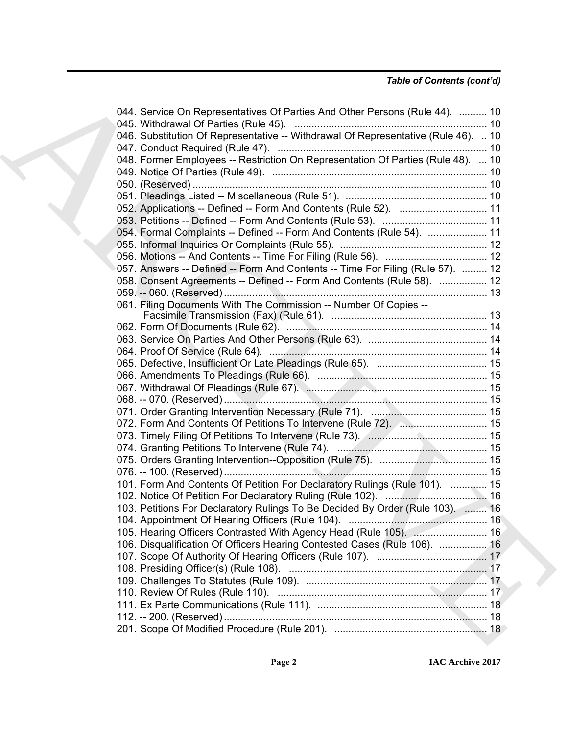# *Table of Contents (cont'd)*

| 044. Service On Representatives Of Parties And Other Persons (Rule 44).  10                                                                 |  |
|---------------------------------------------------------------------------------------------------------------------------------------------|--|
| 046. Substitution Of Representative -- Withdrawal Of Representative (Rule 46).  10                                                          |  |
|                                                                                                                                             |  |
| 048. Former Employees -- Restriction On Representation Of Parties (Rule 48).  10                                                            |  |
|                                                                                                                                             |  |
|                                                                                                                                             |  |
|                                                                                                                                             |  |
| 052. Applications -- Defined -- Form And Contents (Rule 52).  11                                                                            |  |
|                                                                                                                                             |  |
| 054. Formal Complaints -- Defined -- Form And Contents (Rule 54).  11                                                                       |  |
|                                                                                                                                             |  |
|                                                                                                                                             |  |
|                                                                                                                                             |  |
| 057. Answers -- Defined -- Form And Contents -- Time For Filing (Rule 57).  12                                                              |  |
| 058. Consent Agreements -- Defined -- Form And Contents (Rule 58).  12                                                                      |  |
|                                                                                                                                             |  |
| 061. Filing Documents With The Commission -- Number Of Copies --                                                                            |  |
|                                                                                                                                             |  |
|                                                                                                                                             |  |
|                                                                                                                                             |  |
|                                                                                                                                             |  |
|                                                                                                                                             |  |
|                                                                                                                                             |  |
|                                                                                                                                             |  |
|                                                                                                                                             |  |
|                                                                                                                                             |  |
| 072. Form And Contents Of Petitions To Intervene (Rule 72).  15                                                                             |  |
| 073. Timely Filing Of Petitions To Intervene (Rule 73). [ <i>[CODSTREET Timely Filing Of Petitions To Intervene (Rule 73)</i> . [ <i>Co</i> |  |
|                                                                                                                                             |  |
|                                                                                                                                             |  |
|                                                                                                                                             |  |
| 101. Form And Contents Of Petition For Declaratory Rulings (Rule 101).  15                                                                  |  |
|                                                                                                                                             |  |
| 103. Petitions For Declaratory Rulings To Be Decided By Order (Rule 103).  16                                                               |  |
|                                                                                                                                             |  |
|                                                                                                                                             |  |
| 106. Disqualification Of Officers Hearing Contested Cases (Rule 106).  16                                                                   |  |
|                                                                                                                                             |  |
|                                                                                                                                             |  |
|                                                                                                                                             |  |
|                                                                                                                                             |  |
|                                                                                                                                             |  |
|                                                                                                                                             |  |
|                                                                                                                                             |  |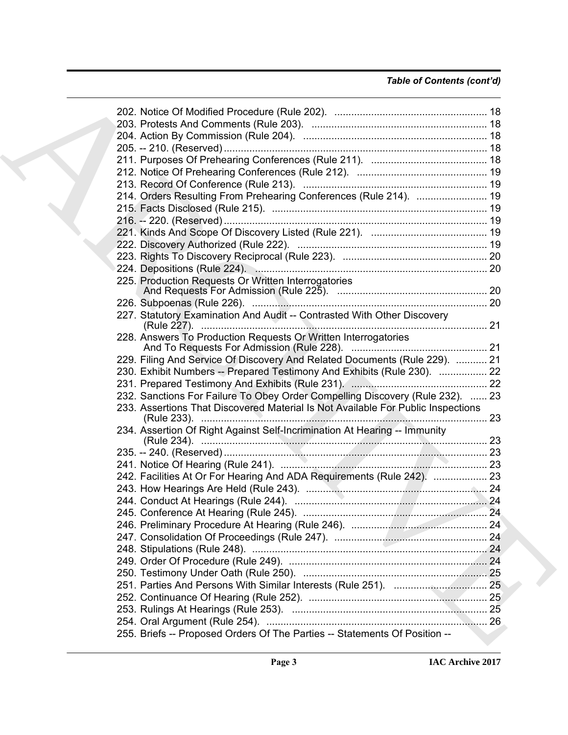| 214. Orders Resulting From Prehearing Conferences (Rule 214).  19                |  |
|----------------------------------------------------------------------------------|--|
|                                                                                  |  |
|                                                                                  |  |
|                                                                                  |  |
|                                                                                  |  |
|                                                                                  |  |
|                                                                                  |  |
| 225. Production Requests Or Written Interrogatories                              |  |
|                                                                                  |  |
|                                                                                  |  |
| 227. Statutory Examination And Audit -- Contrasted With Other Discovery          |  |
|                                                                                  |  |
| 228. Answers To Production Requests Or Written Interrogatories                   |  |
|                                                                                  |  |
| 229. Filing And Service Of Discovery And Related Documents (Rule 229).  21       |  |
| 230. Exhibit Numbers -- Prepared Testimony And Exhibits (Rule 230).  22          |  |
|                                                                                  |  |
| 232. Sanctions For Failure To Obey Order Compelling Discovery (Rule 232).  23    |  |
| 233. Assertions That Discovered Material Is Not Available For Public Inspections |  |
|                                                                                  |  |
| 234. Assertion Of Right Against Self-Incrimination At Hearing -- Immunity        |  |
|                                                                                  |  |
|                                                                                  |  |
|                                                                                  |  |
| 242. Facilities At Or For Hearing And ADA Requirements (Rule 242).  23           |  |
|                                                                                  |  |
|                                                                                  |  |
|                                                                                  |  |
|                                                                                  |  |
|                                                                                  |  |
|                                                                                  |  |
|                                                                                  |  |
|                                                                                  |  |
|                                                                                  |  |
|                                                                                  |  |
|                                                                                  |  |
|                                                                                  |  |
| 255. Briefs -- Proposed Orders Of The Parties -- Statements Of Position --       |  |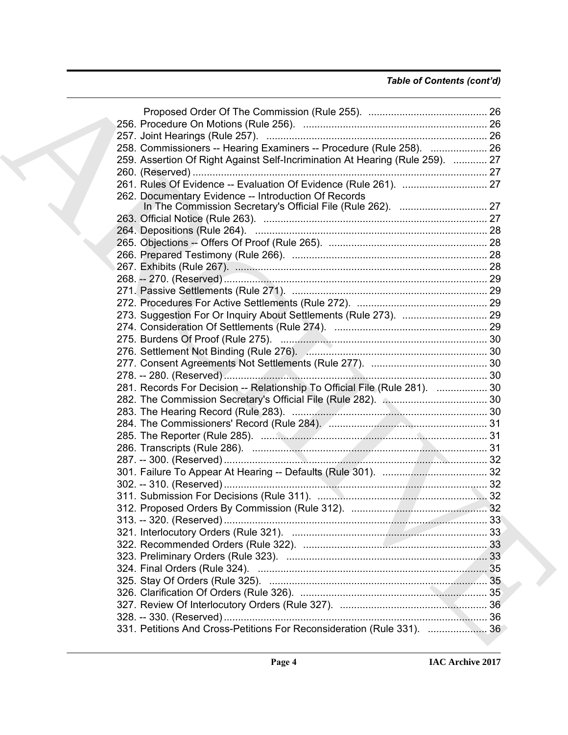# *Table of Contents (cont'd)*

| 258. Commissioners -- Hearing Examiners -- Procedure (Rule 258).  26          |  |
|-------------------------------------------------------------------------------|--|
| 259. Assertion Of Right Against Self-Incrimination At Hearing (Rule 259).  27 |  |
|                                                                               |  |
| 261. Rules Of Evidence -- Evaluation Of Evidence (Rule 261).  27              |  |
| 262. Documentary Evidence -- Introduction Of Records                          |  |
|                                                                               |  |
|                                                                               |  |
|                                                                               |  |
|                                                                               |  |
|                                                                               |  |
|                                                                               |  |
|                                                                               |  |
|                                                                               |  |
|                                                                               |  |
| 273. Suggestion For Or Inquiry About Settlements (Rule 273).  29              |  |
|                                                                               |  |
|                                                                               |  |
|                                                                               |  |
|                                                                               |  |
|                                                                               |  |
| 281. Records For Decision -- Relationship To Official File (Rule 281).  30    |  |
|                                                                               |  |
|                                                                               |  |
|                                                                               |  |
|                                                                               |  |
|                                                                               |  |
|                                                                               |  |
|                                                                               |  |
|                                                                               |  |
|                                                                               |  |
|                                                                               |  |
|                                                                               |  |
|                                                                               |  |
|                                                                               |  |
|                                                                               |  |
|                                                                               |  |
|                                                                               |  |
|                                                                               |  |
|                                                                               |  |
|                                                                               |  |
|                                                                               |  |
| 331. Petitions And Cross-Petitions For Reconsideration (Rule 331).  36        |  |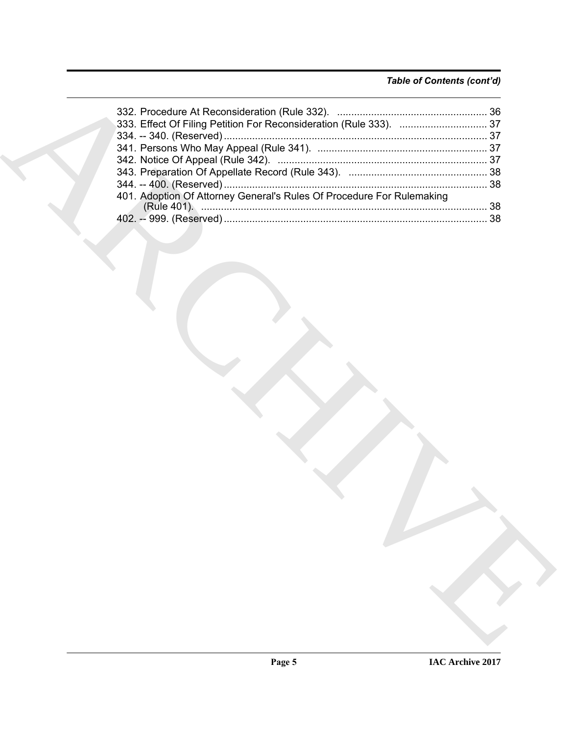# *Table of Contents (cont'd)*

| 401. Adoption Of Attorney General's Rules Of Procedure For Rulemaking |
|-----------------------------------------------------------------------|
|                                                                       |
|                                                                       |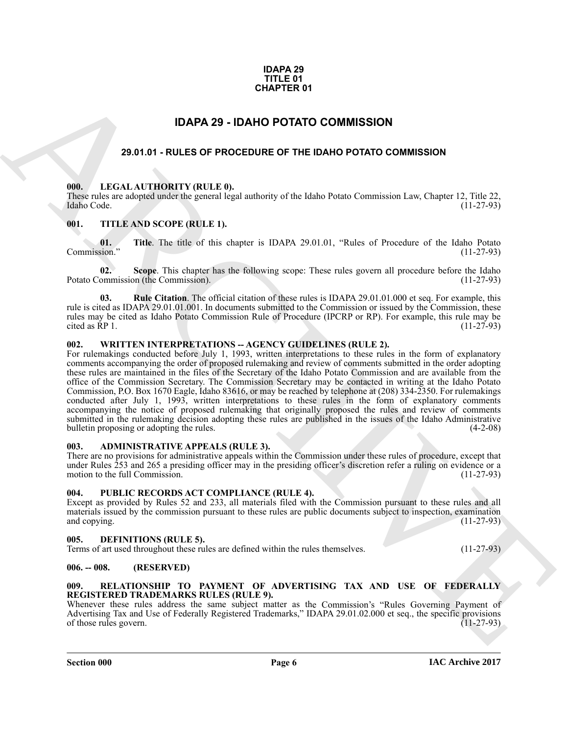#### **IDAPA 29 TITLE 01 CHAPTER 01**

# **IDAPA 29 - IDAHO POTATO COMMISSION**

# <span id="page-5-0"></span>**29.01.01 - RULES OF PROCEDURE OF THE IDAHO POTATO COMMISSION**

#### <span id="page-5-2"></span><span id="page-5-1"></span>**000. LEGAL AUTHORITY (RULE 0).**

These rules are adopted under the general legal authority of the Idaho Potato Commission Law, Chapter 12, Title 22, Idaho Code. (11-27-93) Idaho Code. (11-27-93)

#### <span id="page-5-3"></span>**001. TITLE AND SCOPE (RULE 1).**

**01. Title**. The title of this chapter is IDAPA 29.01.01, "Rules of Procedure of the Idaho Potato Commission."

**02.** Scope. This chapter has the following scope: These rules govern all procedure before the Idaho ommission (the Commission). (11-27-93) Potato Commission (the Commission).

**03. Rule Citation**. The official citation of these rules is IDAPA 29.01.01.000 et seq. For example, this rule is cited as IDAPA 29.01.01.001. In documents submitted to the Commission or issued by the Commission, these rules may be cited as Idaho Potato Commission Rule of Procedure (IPCRP or RP). For example, this rule may be cited as RP 1. (11-27-93) cited as RP 1.  $(11-27-93)$ 

#### <span id="page-5-4"></span>**002. WRITTEN INTERPRETATIONS -- AGENCY GUIDELINES (RULE 2).**

**CHAPTER 01**<br> **EDAPA 29 - IDAHO POTATO COMMISSION**<br> **EDAPA 29 - IDAHO POTATO COMMISSION**<br> **EDAPA 29 - IDAHO POTATO COMMISSION**<br> **EDAPA 29 - IDAHO POTATO COMMISSION**<br> **EDAPA 20 - INTER AND SCOPE (BULLE TI.**<br> **EDAPA 20 - IN** For rulemakings conducted before July 1, 1993, written interpretations to these rules in the form of explanatory comments accompanying the order of proposed rulemaking and review of comments submitted in the order adopting these rules are maintained in the files of the Secretary of the Idaho Potato Commission and are available from the office of the Commission Secretary. The Commission Secretary may be contacted in writing at the Idaho Potato Commission, P.O. Box 1670 Eagle, Idaho 83616, or may be reached by telephone at (208) 334-2350. For rulemakings conducted after July 1, 1993, written interpretations to these rules in the form of explanatory comments accompanying the notice of proposed rulemaking that originally proposed the rules and review of comments submitted in the rulemaking decision adopting these rules are published in the issues of the Idaho Administrative bulletin proposing or adopting the rules. (4-2-08) bullet in proposing or adopting the rules.

#### <span id="page-5-5"></span>**003. ADMINISTRATIVE APPEALS (RULE 3).**

There are no provisions for administrative appeals within the Commission under these rules of procedure, except that under Rules 253 and 265 a presiding officer may in the presiding officer's discretion refer a ruling on evidence or a motion to the full Commission.

#### <span id="page-5-6"></span>**004. PUBLIC RECORDS ACT COMPLIANCE (RULE 4).**

Except as provided by Rules 52 and 233, all materials filed with the Commission pursuant to these rules and all materials issued by the commission pursuant to these rules are public documents subject to inspection, examination and copying.  $(11-27-93)$ 

#### <span id="page-5-10"></span><span id="page-5-7"></span>**005. DEFINITIONS (RULE 5).**

Terms of art used throughout these rules are defined within the rules themselves. (11-27-93)

#### <span id="page-5-8"></span>**006. -- 008. (RESERVED)**

#### <span id="page-5-11"></span><span id="page-5-9"></span>**009. RELATIONSHIP TO PAYMENT OF ADVERTISING TAX AND USE OF FEDERALLY REGISTERED TRADEMARKS RULES (RULE 9).**

Whenever these rules address the same subject matter as the Commission's "Rules Governing Payment of Advertising Tax and Use of Federally Registered Trademarks," IDAPA 29.01.02.000 et seq., the specific provisions of those rules govern. (11-27-93) of those rules govern.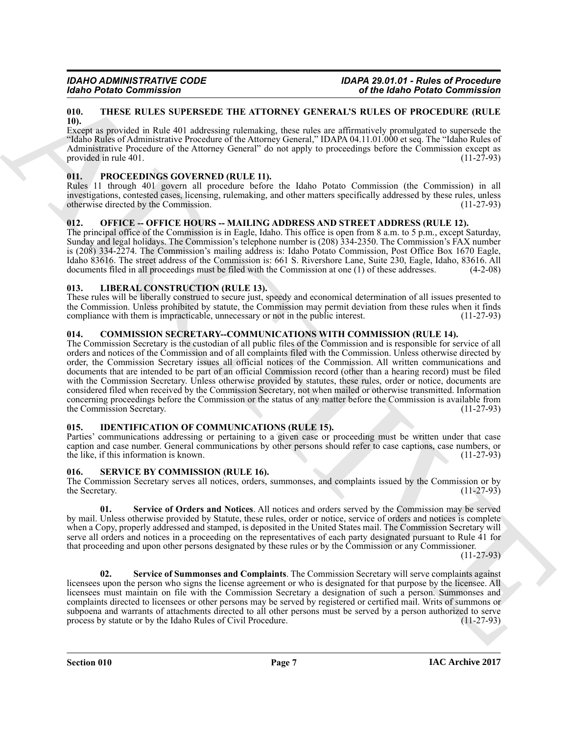#### <span id="page-6-13"></span><span id="page-6-0"></span>**010. THESE RULES SUPERSEDE THE ATTORNEY GENERAL'S RULES OF PROCEDURE (RULE 10).**

Except as provided in Rule 401 addressing rulemaking, these rules are affirmatively promulgated to supersede the "Idaho Rules of Administrative Procedure of the Attorney General," IDAPA 04.11.01.000 et seq. The "Idaho Rules of Administrative Procedure of the Attorney General" do not apply to proceedings before the Commission except as provided in rule 401. (11-27-93) provided in rule 401.

# <span id="page-6-9"></span><span id="page-6-1"></span>**011. PROCEEDINGS GOVERNED (RULE 11).**

Rules 11 through 401 govern all procedure before the Idaho Potato Commission (the Commission) in all investigations, contested cases, licensing, rulemaking, and other matters specifically addressed by these rules, unless otherwise directed by the Commission. (11-27-93) otherwise directed by the Commission.

### <span id="page-6-2"></span>**012. OFFICE -- OFFICE HOURS -- MAILING ADDRESS AND STREET ADDRESS (RULE 12).**

The principal office of the Commission is in Eagle, Idaho. This office is open from 8 a.m. to 5 p.m., except Saturday, Sunday and legal holidays. The Commission's telephone number is (208) 334-2350. The Commission's FAX number is (208) 334-2274. The Commission's mailing address is: Idaho Potato Commission, Post Office Box 1670 Eagle, Idaho 83616. The street address of the Commission is: 661 S. Rivershore Lane, Suite 230, Eagle, Idaho, 83616. All documents filed in all proceedings must be filed with the Commission at one (1) of these addresses. (4-2-08) documents filed in all proceedings must be filed with the Commission at one  $(1)$  of these addresses.

### <span id="page-6-3"></span>**013. LIBERAL CONSTRUCTION (RULE 13).**

These rules will be liberally construed to secure just, speedy and economical determination of all issues presented to the Commission. Unless prohibited by statute, the Commission may permit deviation from these rules when it finds compliance with them is impracticable, unnecessary or not in the public interest. (11-27-93) compliance with them is impracticable, unnecessary or not in the public interest.

# <span id="page-6-7"></span><span id="page-6-4"></span>**014. COMMISSION SECRETARY--COMMUNICATIONS WITH COMMISSION (RULE 14).**

Moto Praise Commission<br>
19. The March Commission<br>
19. The March Commission<br>
19. The ARCHIVEST PIE ATTOIX-VE GENERALS TRACKS WALKERS TRACKS WARRAY (CONTRACT ADMAND TRACKS CONTRACT ADMAND TRACKS (WILL Be a material of the A The Commission Secretary is the custodian of all public files of the Commission and is responsible for service of all orders and notices of the Commission and of all complaints filed with the Commission. Unless otherwise directed by order, the Commission Secretary issues all official notices of the Commission. All written communications and documents that are intended to be part of an official Commission record (other than a hearing record) must be filed with the Commission Secretary. Unless otherwise provided by statutes, these rules, order or notice, documents are considered filed when received by the Commission Secretary, not when mailed or otherwise transmitted. Information concerning proceedings before the Commission or the status of any matter before the Commission is available from the Commission Secretary. (11-27-93) (11-27-93)

### <span id="page-6-8"></span><span id="page-6-5"></span>**015. IDENTIFICATION OF COMMUNICATIONS (RULE 15).**

Parties' communications addressing or pertaining to a given case or proceeding must be written under that case caption and case number. General communications by other persons should refer to case captions, case numbers, or the like, if this information is known. (11-27-93) the like, if this information is known.

### <span id="page-6-10"></span><span id="page-6-6"></span>**016. SERVICE BY COMMISSION (RULE 16).**

The Commission Secretary serves all notices, orders, summonses, and complaints issued by the Commission or by the Secretary.

<span id="page-6-11"></span>**Service of Orders and Notices**. All notices and orders served by the Commission may be served by mail. Unless otherwise provided by Statute, these rules, order or notice, service of orders and notices is complete when a Copy, properly addressed and stamped, is deposited in the United States mail. The Commission Secretary will serve all orders and notices in a proceeding on the representatives of each party designated pursuant to Rule 41 for that proceeding and upon other persons designated by these rules or by the Commission or any Commissioner.

 $(11-27-93)$ 

<span id="page-6-12"></span>**02. Service of Summonses and Complaints**. The Commission Secretary will serve complaints against licensees upon the person who signs the license agreement or who is designated for that purpose by the licensee. All licensees must maintain on file with the Commission Secretary a designation of such a person. Summonses and complaints directed to licensees or other persons may be served by registered or certified mail. Writs of summons or subpoena and warrants of attachments directed to all other persons must be served by a person authorized to serve process by statute or by the Idaho Rules of Civil Procedure. (11-27-93)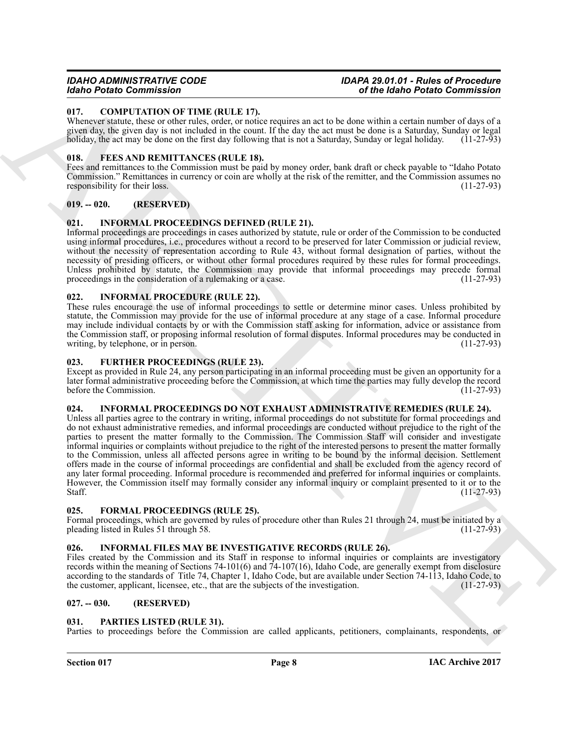#### <span id="page-7-11"></span><span id="page-7-0"></span>**017. COMPUTATION OF TIME (RULE 17).**

Whenever statute, these or other rules, order, or notice requires an act to be done within a certain number of days of a given day, the given day is not included in the count. If the day the act must be done is a Saturday, Sunday or legal holiday, the act may be done on the first day following that is not a Saturday, Sunday or legal holiday. (11-27-93)

#### <span id="page-7-12"></span><span id="page-7-1"></span>**018. FEES AND REMITTANCES (RULE 18).**

Fees and remittances to the Commission must be paid by money order, bank draft or check payable to "Idaho Potato Commission." Remittances in currency or coin are wholly at the risk of the remitter, and the Commission assumes no responsibility for their loss. responsibility for their loss.

### <span id="page-7-2"></span>**019. -- 020. (RESERVED)**

#### <span id="page-7-17"></span><span id="page-7-3"></span>**021. INFORMAL PROCEEDINGS DEFINED (RULE 21).**

Informal proceedings are proceedings in cases authorized by statute, rule or order of the Commission to be conducted using informal procedures, i.e., procedures without a record to be preserved for later Commission or judicial review, without the necessity of representation according to Rule 43, without formal designation of parties, without the necessity of presiding officers, or without other formal procedures required by these rules for formal proceedings. Unless prohibited by statute, the Commission may provide that informal proceedings may precede formal proceedings in the consideration of a rulemaking or a case. (11-27-93)

#### <span id="page-7-16"></span><span id="page-7-4"></span>**022. INFORMAL PROCEDURE (RULE 22).**

These rules encourage the use of informal proceedings to settle or determine minor cases. Unless prohibited by statute, the Commission may provide for the use of informal procedure at any stage of a case. Informal procedure may include individual contacts by or with the Commission staff asking for information, advice or assistance from the Commission staff, or proposing informal resolution of formal disputes. Informal procedures may be conducted in writing, by telephone, or in person. writing, by telephone, or in person.

#### <span id="page-7-14"></span><span id="page-7-5"></span>**023. FURTHER PROCEEDINGS (RULE 23).**

Except as provided in Rule 24, any person participating in an informal proceeding must be given an opportunity for a later formal administrative proceeding before the Commission, at which time the parties may fully develop the record before the Commission.

# <span id="page-7-18"></span><span id="page-7-6"></span>**024. INFORMAL PROCEEDINGS DO NOT EXHAUST ADMINISTRATIVE REMEDIES (RULE 24).**

Goto Protocol Commission Contribute Ltd. 17.<br>
When Contribute the contribute Commission Contribute Ltd. 17.<br>
When we are the contribute to the contribute Contribute Ltd. 17.<br>
The contribute Commission Contribute Contribut Unless all parties agree to the contrary in writing, informal proceedings do not substitute for formal proceedings and do not exhaust administrative remedies, and informal proceedings are conducted without prejudice to the right of the parties to present the matter formally to the Commission. The Commission Staff will consider and investigate informal inquiries or complaints without prejudice to the right of the interested persons to present the matter formally to the Commission, unless all affected persons agree in writing to be bound by the informal decision. Settlement offers made in the course of informal proceedings are confidential and shall be excluded from the agency record of any later formal proceeding. Informal procedure is recommended and preferred for informal inquiries or complaints. However, the Commission itself may formally consider any informal inquiry or complaint presented to it or to the Staff.  $(11-27-93)$ 

### <span id="page-7-13"></span><span id="page-7-7"></span>**025. FORMAL PROCEEDINGS (RULE 25).**

Formal proceedings, which are governed by rules of procedure other than Rules 21 through 24, must be initiated by a pleading listed in Rules 51 through 58. (11-27-93) pleading listed in Rules 51 through 58.

### <span id="page-7-15"></span><span id="page-7-8"></span>**026. INFORMAL FILES MAY BE INVESTIGATIVE RECORDS (RULE 26).**

Files created by the Commission and its Staff in response to informal inquiries or complaints are investigatory records within the meaning of Sections 74-101(6) and 74-107(16), Idaho Code, are generally exempt from disclosure according to the standards of Title 74, Chapter 1, Idaho Code, but are available under Section 74-113, Idaho Code, to the customer, applicant, licensee, etc., that are the subjects of the investigation. (11-27-93)

#### <span id="page-7-9"></span>**027. -- 030. (RESERVED)**

#### <span id="page-7-19"></span><span id="page-7-10"></span>**031. PARTIES LISTED (RULE 31).**

Parties to proceedings before the Commission are called applicants, petitioners, complainants, respondents, or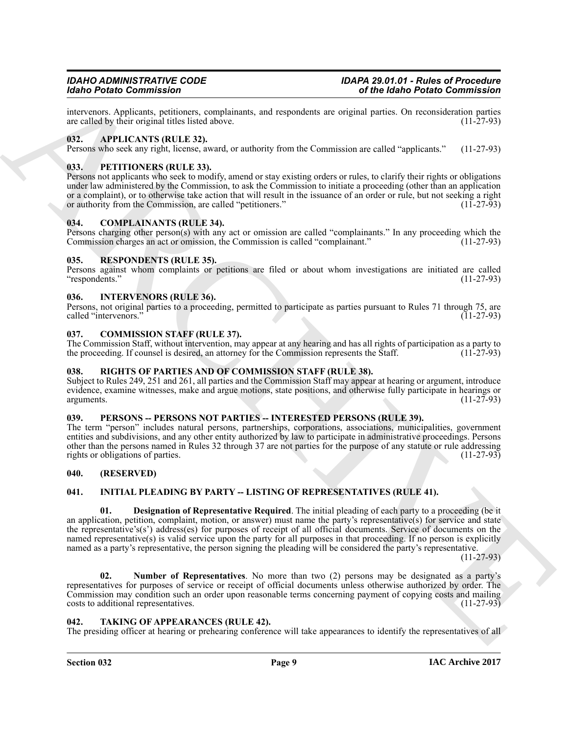intervenors. Applicants, petitioners, complainants, and respondents are original parties. On reconsideration parties are called by their original titles listed above.

#### <span id="page-8-11"></span><span id="page-8-0"></span>**032. APPLICANTS (RULE 32).**

Persons who seek any right, license, award, or authority from the Commission are called "applicants." (11-27-93)

#### <span id="page-8-19"></span><span id="page-8-1"></span>**033. PETITIONERS (RULE 33).**

Persons not applicants who seek to modify, amend or stay existing orders or rules, to clarify their rights or obligations under law administered by the Commission, to ask the Commission to initiate a proceeding (other than an application or a complaint), or to otherwise take action that will result in the issuance of an order or rule, but not seeking a right or authority from the Commission, are called "petitioners." (11-27-93) or authority from the Commission, are called "petitioners."

#### <span id="page-8-13"></span><span id="page-8-2"></span>**034. COMPLAINANTS (RULE 34).**

Persons charging other person(s) with any act or omission are called "complainants." In any proceeding which the Commission charges an act or omission, the Commission is called "complainant." (11-27-93)

#### <span id="page-8-20"></span><span id="page-8-3"></span>**035. RESPONDENTS (RULE 35).**

Persons against whom complaints or petitions are filed or about whom investigations are initiated are called "respondents." (11-27-93)

#### <span id="page-8-17"></span><span id="page-8-4"></span>**036. INTERVENORS (RULE 36).**

Persons, not original parties to a proceeding, permitted to participate as parties pursuant to Rules 71 through 75, are called "intervenors."

#### <span id="page-8-12"></span><span id="page-8-5"></span>**037. COMMISSION STAFF (RULE 37).**

The Commission Staff, without intervention, may appear at any hearing and has all rights of participation as a party to the proceeding. If counsel is desired, an attorney for the Commission represents the Staff. (11-27-93) the proceeding. If counsel is desired, an attorney for the Commission represents the Staff.

# <span id="page-8-21"></span><span id="page-8-6"></span>**038. RIGHTS OF PARTIES AND OF COMMISSION STAFF (RULE 38).**

Subject to Rules 249, 251 and 261, all parties and the Commission Staff may appear at hearing or argument, introduce evidence, examine witnesses, make and argue motions, state positions, and otherwise fully participate in hearings or arguments. (11-27-93) arguments. (11-27-93)

#### <span id="page-8-18"></span><span id="page-8-7"></span>**039. PERSONS -- PERSONS NOT PARTIES -- INTERESTED PERSONS (RULE 39).**

The term "person" includes natural persons, partnerships, corporations, associations, municipalities, government entities and subdivisions, and any other entity authorized by law to participate in administrative proceedings. Persons other than the persons named in Rules 32 through 37 are not parties for the purpose of any statute or rule addressing rights or obligations of parties.

#### <span id="page-8-8"></span>**040. (RESERVED)**

### <span id="page-8-15"></span><span id="page-8-14"></span><span id="page-8-9"></span>**041. INITIAL PLEADING BY PARTY -- LISTING OF REPRESENTATIVES (RULE 41).**

Goto Protocolonia Construction and the system and the system and the system of the System and the System and the System and the System and the System and the System and the System and the System and the System and the Sys **01. Designation of Representative Required**. The initial pleading of each party to a proceeding (be it an application, petition, complaint, motion, or answer) must name the party's representative(s) for service and state the representative's(s') address(es) for purposes of receipt of all official documents. Service of documents on the named representative(s) is valid service upon the party for all purposes in that proceeding. If no person is explicitly named as a party's representative, the person signing the pleading will be considered the party's representative.

 $(11-27-93)$ 

<span id="page-8-16"></span>**02. Number of Representatives**. No more than two (2) persons may be designated as a party's representatives for purposes of service or receipt of official documents unless otherwise authorized by order. The Commission may condition such an order upon reasonable terms concerning payment of copying costs and mailing costs to additional representatives. (11-27-93) costs to additional representatives.

#### <span id="page-8-22"></span><span id="page-8-10"></span>**042. TAKING OF APPEARANCES (RULE 42).**

The presiding officer at hearing or prehearing conference will take appearances to identify the representatives of all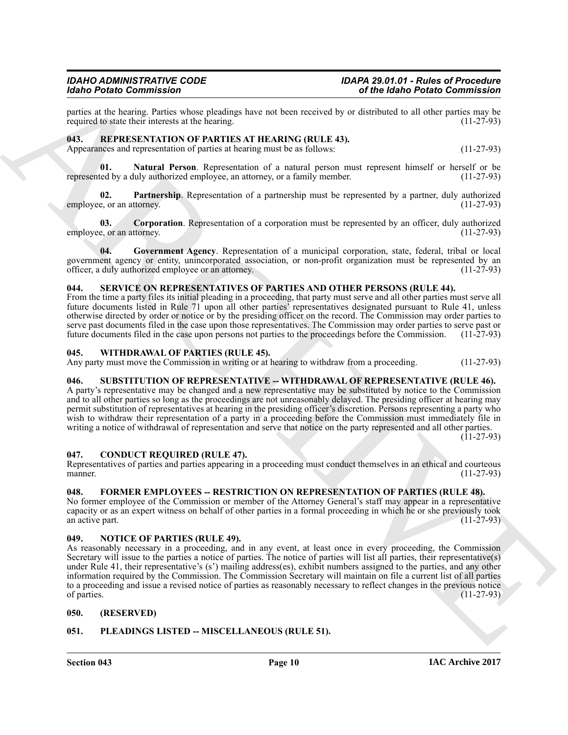parties at the hearing. Parties whose pleadings have not been received by or distributed to all other parties may be required to state their interests at the hearing. (11-27-93) required to state their interests at the hearing.

#### <span id="page-9-13"></span><span id="page-9-0"></span>043. REPRESENTATION OF PARTIES AT HEARING (RULE 43). Appearances and representation of parties at hearing must be as follows: (11-27-93)

<span id="page-9-16"></span>**01.** Natural Person. Representation of a natural person must represent himself or herself or be ted by a duly authorized employee, an attorney, or a family member. (11-27-93) represented by a duly authorized employee, an attorney, or a family member.

<span id="page-9-17"></span>**02. Partnership**. Representation of a partnership must be represented by a partner, duly authorized e, or an attorney. (11-27-93) employee, or an attorney.

<span id="page-9-14"></span>**03. Corporation**. Representation of a corporation must be represented by an officer, duly authorized e. or an attorney. (11-27-93) employee, or an attorney.

<span id="page-9-15"></span>**04. Government Agency**. Representation of a municipal corporation, state, federal, tribal or local government agency or entity, unincorporated association, or non-profit organization must be represented by an officer, a duly authorized employee or an attorney. officer, a duly authorized employee or an attorney.

#### <span id="page-9-18"></span><span id="page-9-1"></span>**044. SERVICE ON REPRESENTATIVES OF PARTIES AND OTHER PERSONS (RULE 44).**

From the time a party files its initial pleading in a proceeding, that party must serve and all other parties must serve all future documents listed in Rule 71 upon all other parties' representatives designated pursuant to Rule 41, unless otherwise directed by order or notice or by the presiding officer on the record. The Commission may order parties to serve past documents filed in the case upon those representatives. The Commission may order parties to serve past or future documents filed in the case upon persons not parties to the proceedings before the Commission. (11-27-93)

#### <span id="page-9-20"></span><span id="page-9-2"></span>**045. WITHDRAWAL OF PARTIES (RULE 45).**

Any party must move the Commission in writing or at hearing to withdraw from a proceeding. (11-27-93)

### <span id="page-9-19"></span><span id="page-9-3"></span>046. SUBSTITUTION OF REPRESENTATIVE -- WITHDRAWAL OF REPRESENTATIVE (RULE 46).

A party's representative may be changed and a new representative may be substituted by notice to the Commission and to all other parties so long as the proceedings are not unreasonably delayed. The presiding officer at hearing may permit substitution of representatives at hearing in the presiding officer's discretion. Persons representing a party who wish to withdraw their representation of a party in a proceeding before the Commission must immediately file in writing a notice of withdrawal of representation and serve that notice on the party represented and all other parties.

 $(11-27-93)$ 

#### <span id="page-9-9"></span><span id="page-9-4"></span>**047. CONDUCT REQUIRED (RULE 47).**

Representatives of parties and parties appearing in a proceeding must conduct themselves in an ethical and courteous manner. (11-27-93) manner. (11-27-93)

#### <span id="page-9-10"></span><span id="page-9-5"></span>**048. FORMER EMPLOYEES -- RESTRICTION ON REPRESENTATION OF PARTIES (RULE 48).**

No former employee of the Commission or member of the Attorney General's staff may appear in a representative capacity or as an expert witness on behalf of other parties in a formal proceeding in which he or she previously took an active part. (11-27-93) an active part.

#### <span id="page-9-11"></span><span id="page-9-6"></span>**049. NOTICE OF PARTIES (RULE 49).**

Mode Protocoles Towards and the state of a constraint is of the black brack of the state of the state of the state of the state of the state of the state of the state of the state of the state of the state of the state o As reasonably necessary in a proceeding, and in any event, at least once in every proceeding, the Commission Secretary will issue to the parties a notice of parties. The notice of parties will list all parties, their representative(s) under Rule 41, their representative's (s') mailing address(es), exhibit numbers assigned to the parties, and any other information required by the Commission. The Commission Secretary will maintain on file a current list of all parties to a proceeding and issue a revised notice of parties as reasonably necessary to reflect changes in the previous notice of parties. (11-27-93) of parties. (11-27-93)

#### <span id="page-9-7"></span>**050. (RESERVED)**

#### <span id="page-9-12"></span><span id="page-9-8"></span>**051. PLEADINGS LISTED -- MISCELLANEOUS (RULE 51).**

**Section 043 Page 10**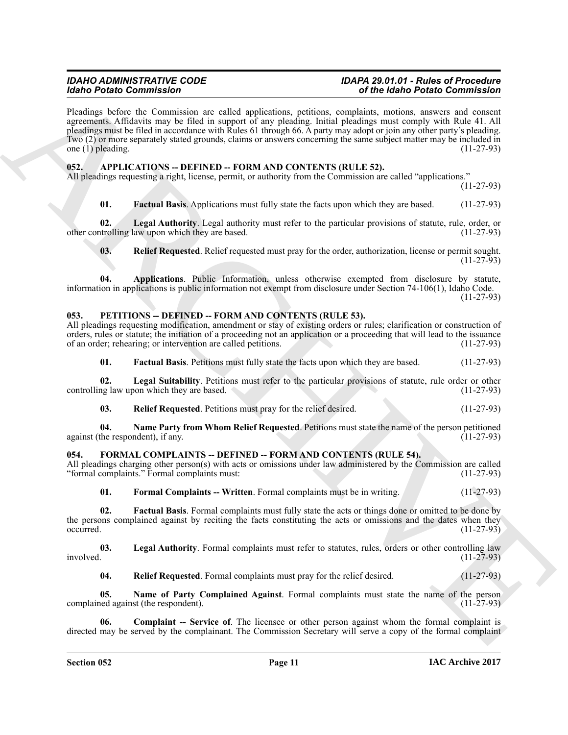For Deal Contents and the specific state of the state of the Color Contents and the Contents and the Contents and the specific state of the Contents and the Contents and the Contents and the Contents and the Contents and Pleadings before the Commission are called applications, petitions, complaints, motions, answers and consent agreements. Affidavits may be filed in support of any pleading. Initial pleadings must comply with Rule 41. All pleadings must be filed in accordance with Rules 61 through 66. A party may adopt or join any other party's pleading. Two (2) or more separately stated grounds, claims or answers concerning the same subject matter may be included in one (1) pleading. (11-27-93)

#### <span id="page-10-3"></span><span id="page-10-0"></span>**052. APPLICATIONS -- DEFINED -- FORM AND CONTENTS (RULE 52).**

All pleadings requesting a right, license, permit, or authority from the Commission are called "applications."

(11-27-93)

<span id="page-10-6"></span><span id="page-10-5"></span>**01. Factual Basis**. Applications must fully state the facts upon which they are based. (11-27-93)

**02.** Legal Authority. Legal authority must refer to the particular provisions of statute, rule, order, or trolling law upon which they are based. (11-27-93) other controlling law upon which they are based.

<span id="page-10-7"></span><span id="page-10-4"></span>**03. Relief Requested**. Relief requested must pray for the order, authorization, license or permit sought.  $(11-27-93)$ 

**04. Applications**. Public Information, unless otherwise exempted from disclosure by statute, information in applications is public information not exempt from disclosure under Section 74-106(1), Idaho Code. (11-27-93)

#### <span id="page-10-15"></span><span id="page-10-1"></span>**053. PETITIONS -- DEFINED -- FORM AND CONTENTS (RULE 53).**

All pleadings requesting modification, amendment or stay of existing orders or rules; clarification or construction of orders, rules or statute; the initiation of a proceeding not an application or a proceeding that will lead to the issuance of an order; rehearing; or intervention are called petitions. (11-27-93) of an order; rehearing; or intervention are called petitions.

<span id="page-10-17"></span><span id="page-10-16"></span>**01. Factual Basis**. Petitions must fully state the facts upon which they are based. (11-27-93)

**02.** Legal Suitability. Petitions must refer to the particular provisions of statute, rule order or other ng law upon which they are based. (11-27-93) controlling law upon which they are based.

<span id="page-10-19"></span><span id="page-10-18"></span>**03.** Relief Requested. Petitions must pray for the relief desired. (11-27-93)

**04.** Name Party from Whom Relief Requested. Petitions must state the name of the person petitioned the respondent), if any. (11-27-93) against (the respondent), if any.

### <span id="page-10-8"></span><span id="page-10-2"></span>054. FORMAL COMPLAINTS -- DEFINED -- FORM AND CONTENTS (RULE 54).

All pleadings charging other person(s) with acts or omissions under law administered by the Commission are called "formal complaints." Formal complaints must: (11-27-93) "formal complaints." Formal complaints must:

<span id="page-10-11"></span><span id="page-10-10"></span>**01. Formal Complaints -- Written**. Formal complaints must be in writing. (11-27-93)

**02. Factual Basis**. Formal complaints must fully state the acts or things done or omitted to be done by the persons complained against by reciting the facts constituting the acts or omissions and the dates when they occurred. (11-27-93)  $\alpha$  occurred.  $(11-27-93)$ 

**03.** Legal Authority. Formal complaints must refer to statutes, rules, orders or other controlling law involved. (11-27-93)  $involved.$  (11-27-93)

<span id="page-10-14"></span><span id="page-10-13"></span><span id="page-10-12"></span><span id="page-10-9"></span>**04.** Relief Requested. Formal complaints must pray for the relief desired. (11-27-93)

**05.** Name of Party Complained Against. Formal complaints must state the name of the person led against (the respondent). complained against (the respondent).

**Complaint -- Service of**. The licensee or other person against whom the formal complaint is directed may be served by the complainant. The Commission Secretary will serve a copy of the formal complaint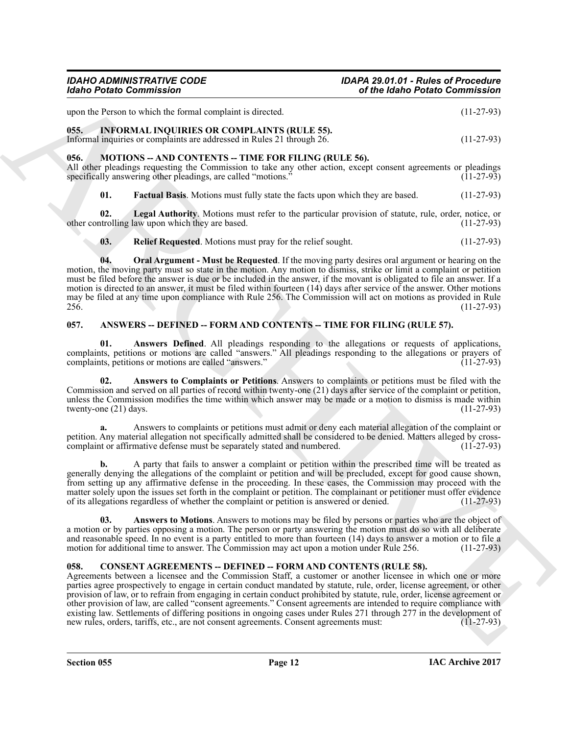**a.** Answers to complaints or petitions must admit or deny each material allegation of the complaint or

**b.** A party that fails to answer a complaint or petition within the prescribed time will be treated as generally denying the allegations of the complaint or petition and will be precluded, except for good cause shown, from setting up any affirmative defense in the proceeding. In these cases, the Commission may proceed with the matter solely upon the issues set forth in the complaint or petition. The complainant or petitioner must offer evidence of its allegations regardless of whether the complaint or petition is answered or denied. (11-27-93)

<span id="page-11-7"></span>**03. Answers to Motions**. Answers to motions may be filed by persons or parties who are the object of a motion or by parties opposing a motion. The person or party answering the motion must do so with all deliberate and reasonable speed. In no event is a party entitled to more than fourteen (14) days to answer a motion or to file a motion for additional time to answer. The Commission may act upon a motion under Rule 256. (11-27-93)

# <span id="page-11-8"></span><span id="page-11-3"></span>**058. CONSENT AGREEMENTS -- DEFINED -- FORM AND CONTENTS (RULE 58).**

Globa Penins Commission Contract and complete the first of the Main Penins Commission (127-29)<br>
(137-29)<br>
1986. INFORMATION (1878) (137-29)<br>
1986. INFORMATION (1878) (137-29)<br>
1986. INFORMATION (1878) (137-29)<br>
1986. INFO Agreements between a licensee and the Commission Staff, a customer or another licensee in which one or more parties agree prospectively to engage in certain conduct mandated by statute, rule, order, license agreement, or other provision of law, or to refrain from engaging in certain conduct prohibited by statute, rule, order, license agreement or other provision of law, are called "consent agreements." Consent agreements are intended to require compliance with existing law. Settlements of differing positions in ongoing cases under Rules 271 through 277 in the development of new rules, orders, tariffs, etc., are not consent agreements. Consent agreements must: (11-27-93) new rules, orders, tariffs, etc., are not consent agreements. Consent agreements must:

*IDAHO ADMINISTRATIVE CODE IDAPA 29.01.01 - Rules of Procedure Idaho Potato Commission of the Idaho Potato Commission*

upon the Person to which the formal complaint is directed. (11-27-93)

# <span id="page-11-9"></span><span id="page-11-0"></span>**055. INFORMAL INQUIRIES OR COMPLAINTS (RULE 55).**

Informal inquiries or complaints are addressed in Rules 21 through 26. (11-27-93)

# <span id="page-11-10"></span><span id="page-11-1"></span>**056. MOTIONS -- AND CONTENTS -- TIME FOR FILING (RULE 56).**

All other pleadings requesting the Commission to take any other action, except consent agreements or pleadings specifically answering other pleadings, are called "motions." (11-27-93) specifically answering other pleadings, are called "motions."

<span id="page-11-12"></span><span id="page-11-11"></span>**01. Factual Basis**. Motions must fully state the facts upon which they are based. (11-27-93)

**02.** Legal Authority. Motions must refer to the particular provision of statute, rule, order, notice, or trolling law upon which they are based. (11-27-93) other controlling law upon which they are based.

<span id="page-11-14"></span><span id="page-11-13"></span>**03.** Relief Requested. Motions must pray for the relief sought. (11-27-93)

**04. Oral Argument - Must be Requested**. If the moving party desires oral argument or hearing on the motion, the moving party must so state in the motion. Any motion to dismiss, strike or limit a complaint or petition must be filed before the answer is due or be included in the answer, if the movant is obligated to file an answer. If a motion is directed to an answer, it must be filed within fourteen  $(14)$  days after service of the answer. Other motions may be filed at any time upon compliance with Rule 256. The Commission will act on motions as provided in Rule 256. (11-27-93)

### <span id="page-11-4"></span><span id="page-11-2"></span>**057. ANSWERS -- DEFINED -- FORM AND CONTENTS -- TIME FOR FILING (RULE 57).**

<span id="page-11-5"></span>**01. Answers Defined**. All pleadings responding to the allegations or requests of applications, complaints, petitions or motions are called "answers." All pleadings responding to the allegations or prayers of complaints, petitions or motions are called "answers." (11-27-93)

<span id="page-11-6"></span>**02. Answers to Complaints or Petitions**. Answers to complaints or petitions must be filed with the Commission and served on all parties of record within twenty-one (21) days after service of the complaint or petition, unless the Commission modifies the time within which answer may be made or a motion to dismiss is made within twenty-one (21) days. (11-27-93) twenty-one  $(21)$  days.

petition. Any material allegation not specifically admitted shall be considered to be denied. Matters alleged by cross-<br>complaint or affirmative defense must be separately stated and numbered. (11-27-93) complaint or affirmative defense must be separately stated and numbered.

**Section 055 Page 12**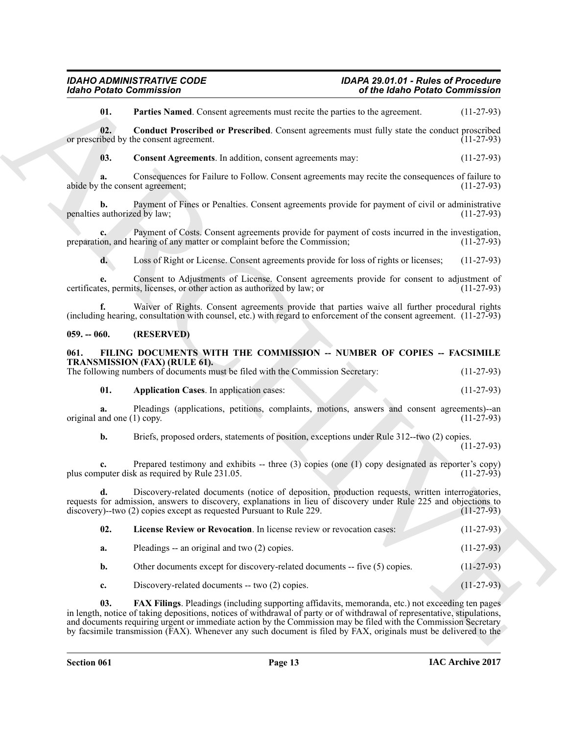#### <span id="page-12-0"></span>**059. -- 060. (RESERVED)**

#### <span id="page-12-5"></span><span id="page-12-1"></span>**061. FILING DOCUMENTS WITH THE COMMISSION -- NUMBER OF COPIES -- FACSIMILE TRANSMISSION (FAX) (RULE 61).**

# <span id="page-12-8"></span><span id="page-12-7"></span><span id="page-12-6"></span>**01. Application Cases**. In application cases: (11-27-93)

<span id="page-12-4"></span><span id="page-12-3"></span><span id="page-12-2"></span>

| <b>Idaho Potato Commission</b>        |                                                                                                                                                                                                                                                                                                                                                                                                                                                                              | of the Idaho Potato Commission |              |
|---------------------------------------|------------------------------------------------------------------------------------------------------------------------------------------------------------------------------------------------------------------------------------------------------------------------------------------------------------------------------------------------------------------------------------------------------------------------------------------------------------------------------|--------------------------------|--------------|
| 01.                                   | Parties Named. Consent agreements must recite the parties to the agreement.                                                                                                                                                                                                                                                                                                                                                                                                  |                                | $(11-27-93)$ |
| 02.                                   | Conduct Proscribed or Prescribed. Consent agreements must fully state the conduct proscribed<br>or prescribed by the consent agreement.                                                                                                                                                                                                                                                                                                                                      |                                | $(11-27-93)$ |
| 03.                                   | Consent Agreements. In addition, consent agreements may:                                                                                                                                                                                                                                                                                                                                                                                                                     |                                | $(11-27-93)$ |
| a.<br>abide by the consent agreement; | Consequences for Failure to Follow. Consent agreements may recite the consequences of failure to                                                                                                                                                                                                                                                                                                                                                                             |                                | $(11-27-93)$ |
| b.<br>penalties authorized by law;    | Payment of Fines or Penalties. Consent agreements provide for payment of civil or administrative                                                                                                                                                                                                                                                                                                                                                                             |                                | $(11-27-93)$ |
|                                       | Payment of Costs. Consent agreements provide for payment of costs incurred in the investigation,<br>preparation, and hearing of any matter or complaint before the Commission;                                                                                                                                                                                                                                                                                               |                                | $(11-27-93)$ |
| d.                                    | Loss of Right or License. Consent agreements provide for loss of rights or licenses;                                                                                                                                                                                                                                                                                                                                                                                         |                                | $(11-27-93)$ |
| e.                                    | Consent to Adjustments of License. Consent agreements provide for consent to adjustment of<br>certificates, permits, licenses, or other action as authorized by law; or                                                                                                                                                                                                                                                                                                      |                                | $(11-27-93)$ |
| f.                                    | Waiver of Rights. Consent agreements provide that parties waive all further procedural rights<br>(including hearing, consultation with counsel, etc.) with regard to enforcement of the consent agreement. (11-27-93)                                                                                                                                                                                                                                                        |                                |              |
| $059. - 060.$                         | (RESERVED)                                                                                                                                                                                                                                                                                                                                                                                                                                                                   |                                |              |
| 061.                                  | FILING DOCUMENTS WITH THE COMMISSION -- NUMBER OF COPIES -- FACSIMILE<br>TRANSMISSION (FAX) (RULE 61).<br>The following numbers of documents must be filed with the Commission Secretary:                                                                                                                                                                                                                                                                                    |                                | $(11-27-93)$ |
| 01.                                   | <b>Application Cases</b> . In application cases:                                                                                                                                                                                                                                                                                                                                                                                                                             |                                | $(11-27-93)$ |
| a.<br>original and one (1) copy.      | Pleadings (applications, petitions, complaints, motions, answers and consent agreements)--an                                                                                                                                                                                                                                                                                                                                                                                 |                                | $(11-27-93)$ |
| b.                                    | Briefs, proposed orders, statements of position, exceptions under Rule 312-two (2) copies.                                                                                                                                                                                                                                                                                                                                                                                   |                                | $(11-27-93)$ |
| c.                                    | Prepared testimony and exhibits -- three $(3)$ copies (one $(1)$ copy designated as reporter's copy)<br>plus computer disk as required by Rule 231.05.                                                                                                                                                                                                                                                                                                                       |                                | $(11-27-93)$ |
| d.                                    | Discovery-related documents (notice of deposition, production requests, written interrogatories,<br>requests for admission, answers to discovery, explanations in lieu of discovery under Rule 225 and objections to<br>discovery)--two (2) copies except as requested Pursuant to Rule 229.                                                                                                                                                                                 |                                | $(11-27-93)$ |
| 02.                                   | License Review or Revocation. In license review or revocation cases:                                                                                                                                                                                                                                                                                                                                                                                                         |                                | $(11-27-93)$ |
| a.                                    | Pleadings -- an original and two (2) copies.                                                                                                                                                                                                                                                                                                                                                                                                                                 |                                | $(11-27-93)$ |
| b.                                    | Other documents except for discovery-related documents -- five (5) copies.                                                                                                                                                                                                                                                                                                                                                                                                   |                                | $(11-27-93)$ |
| c.                                    | Discovery-related documents -- two (2) copies.                                                                                                                                                                                                                                                                                                                                                                                                                               |                                | $(11-27-93)$ |
| 03.                                   | <b>FAX Filings</b> . Pleadings (including supporting affidavits, memoranda, etc.) not exceeding ten pages<br>in length, notice of taking depositions, notices of withdrawal of party or of withdrawal of representative, stipulations,<br>and documents requiring urgent or immediate action by the Commission may be filed with the Commission Secretary<br>by facsimile transmission (FAX). Whenever any such document is filed by FAX, originals must be delivered to the |                                |              |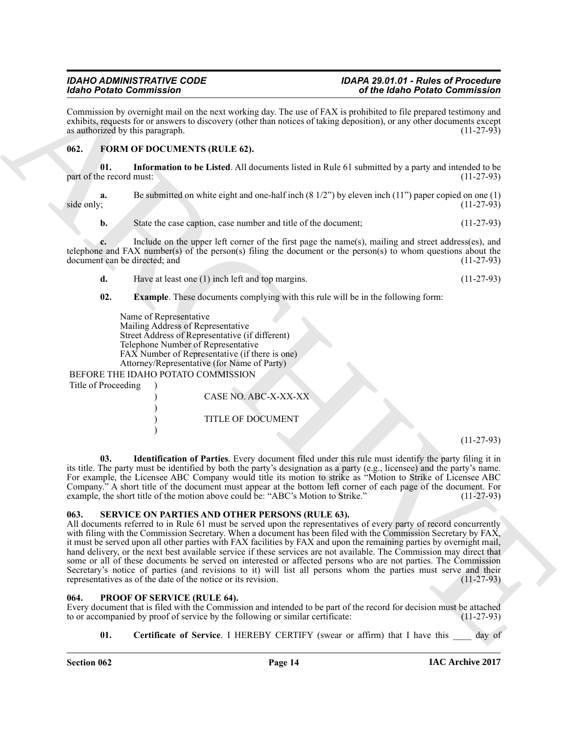Commission by overnight mail on the next working day. The use of FAX is prohibited to file prepared testimony and exhibits, requests for or answers to discovery (other than notices of taking deposition), or any other documents except as authorized by this paragraph. (11-27-93) as authorized by this paragraph.

#### <span id="page-13-6"></span><span id="page-13-3"></span><span id="page-13-0"></span>**062. FORM OF DOCUMENTS (RULE 62).**

**01. Information to be Listed**. All documents listed in Rule 61 submitted by a party and intended to be part of the record must:

Be submitted on white eight and one-half inch (8 1/2") by eleven inch (11") paper copied on one (1) (11-27-93)  $side only;$  (11-27-93)

**b.** State the case caption, case number and title of the document; (11-27-93)

**c.** Include on the upper left corner of the first page the name(s), mailing and street address(es), and telephone and FAX number(s) of the person(s) filing the document or the person(s) to whom questions about the document can be directed; and  $(11-27-93)$ document can be directed; and

**d.** Have at least one (1) inch left and top margins. (11-27-93)

**02. Example**. These documents complying with this rule will be in the following form:

<span id="page-13-4"></span>Name of Representative Mailing Address of Representative Street Address of Representative (if different) Telephone Number of Representative FAX Number of Representative (if there is one) Attorney/Representative (for Name of Party)

BEFORE THE IDAHO POTATO COMMISSION

)

<span id="page-13-5"></span>)

Title of Proceeding )

) CASE NO. ABC-X-XX-XX ) TITLE OF DOCUMENT

(11-27-93)

**03. Identification of Parties**. Every document filed under this rule must identify the party filing it in its title. The party must be identified by both the party's designation as a party (e.g., licensee) and the party's name. For example, the Licensee ABC Company would title its motion to strike as "Motion to Strike of Licensee ABC Company." A short title of the document must appear at the bottom left corner of each page of the document. For example, the short title of the motion above could be: "ABC's Motion to Strike." (11-27-93) example, the short title of the motion above could be: "ABC's Motion to Strike."

#### <span id="page-13-9"></span><span id="page-13-1"></span>**063. SERVICE ON PARTIES AND OTHER PERSONS (RULE 63).**

Mode Protocol Commission Control Commission Commission Commission Commission Commission Commission Commission Commission Commission Commission Commission Commission Commission Commission Commission Commission Commission C All documents referred to in Rule 61 must be served upon the representatives of every party of record concurrently with filing with the Commission Secretary. When a document has been filed with the Commission Secretary by FAX, it must be served upon all other parties with FAX facilities by FAX and upon the remaining parties by overnight mail, hand delivery, or the next best available service if these services are not available. The Commission may direct that some or all of these documents be served on interested or affected persons who are not parties. The Commission Secretary's notice of parties (and revisions to it) will list all persons whom the parties must serve and their representatives as of the date of the notice or its revision. (11-27-93)

#### <span id="page-13-7"></span><span id="page-13-2"></span>**064. PROOF OF SERVICE (RULE 64).**

Every document that is filed with the Commission and intended to be part of the record for decision must be attached to or accompanied by proof of service by the following or similar certificate: (11-27-93) to or accompanied by proof of service by the following or similar certificate:

<span id="page-13-8"></span>**01.** Certificate of Service. I HEREBY CERTIFY (swear or affirm) that I have this day of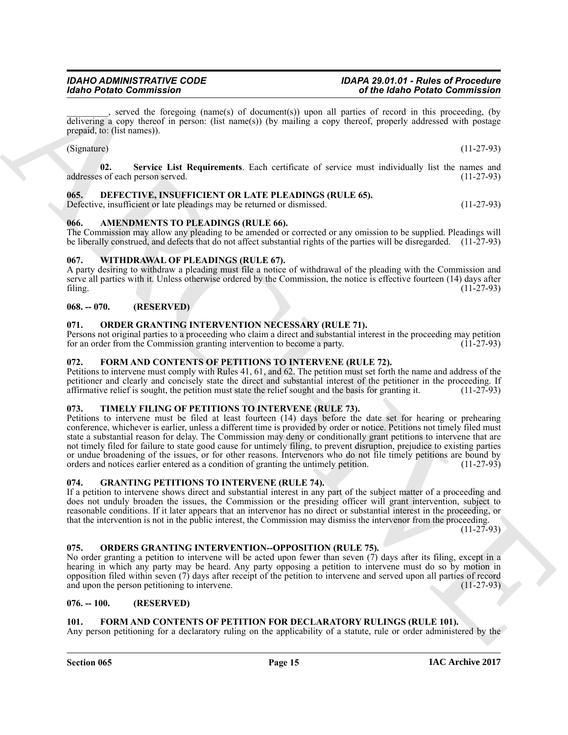\_\_\_\_\_\_\_\_\_, served the foregoing (name(s) of document(s)) upon all parties of record in this proceeding, (by delivering a copy thereof in person: (list name(s)) (by mailing a copy thereof, properly addressed with postage prepaid, to: (list names)).

<span id="page-14-18"></span> $(Signature)$  (11-27-93)

**02. Service List Requirements**. Each certificate of service must individually list the names and addresses of each person served.

# <span id="page-14-12"></span><span id="page-14-0"></span>**065. DEFECTIVE, INSUFFICIENT OR LATE PLEADINGS (RULE 65).**

Defective, insufficient or late pleadings may be returned or dismissed. (11-27-93)

# <span id="page-14-11"></span><span id="page-14-1"></span>**066. AMENDMENTS TO PLEADINGS (RULE 66).**

The Commission may allow any pleading to be amended or corrected or any omission to be supplied. Pleadings will be liberally construed, and defects that do not affect substantial rights of the parties will be disregarded. (11-27-93)

# <span id="page-14-20"></span><span id="page-14-2"></span>**067. WITHDRAWAL OF PLEADINGS (RULE 67).**

A party desiring to withdraw a pleading must file a notice of withdrawal of the pleading with the Commission and serve all parties with it. Unless otherwise ordered by the Commission, the notice is effective fourteen (14) days after filing. (11-27-93) filing. (11-27-93)

# <span id="page-14-3"></span>**068. -- 070. (RESERVED)**

# <span id="page-14-16"></span><span id="page-14-4"></span>**071. ORDER GRANTING INTERVENTION NECESSARY (RULE 71).**

Persons not original parties to a proceeding who claim a direct and substantial interest in the proceeding may petition for an order from the Commission granting intervention to become a party. for an order from the Commission granting intervention to become a party.

# <span id="page-14-14"></span><span id="page-14-5"></span>**072. FORM AND CONTENTS OF PETITIONS TO INTERVENE (RULE 72).**

Petitions to intervene must comply with Rules 41, 61, and 62. The petition must set forth the name and address of the petitioner and clearly and concisely state the direct and substantial interest of the petitioner in the proceeding. If affirmative relief is sought, the petition must state the relief sought and the basis for granting it. affirmative relief is sought, the petition must state the relief sought and the basis for granting it.

### <span id="page-14-19"></span><span id="page-14-6"></span>**073. TIMELY FILING OF PETITIONS TO INTERVENE (RULE 73).**

**Exhibit Commission**<br> **ARCHIVE COMMISSION** COMMISSION CONTROVERS (EITE A) **ARCHIVE COMMISSION** (FIGURE 2) **ARCHIVE COMMISSION** (FIGURE 2)<br>
ARCHIVES A REPORT OF THE COMMISSION CONTROVERS (EVER COMMISSION COMMISSION) (FIGU Petitions to intervene must be filed at least fourteen (14) days before the date set for hearing or prehearing conference, whichever is earlier, unless a different time is provided by order or notice. Petitions not timely filed must state a substantial reason for delay. The Commission may deny or conditionally grant petitions to intervene that are not timely filed for failure to state good cause for untimely filing, to prevent disruption, prejudice to existing parties or undue broadening of the issues, or for other reasons. Intervenors who do not file timely petitions are bound by orders and notices earlier entered as a condition of granting the untimely petition. (11-27-93) orders and notices earlier entered as a condition of granting the untimely petition.

### <span id="page-14-15"></span><span id="page-14-7"></span>**074. GRANTING PETITIONS TO INTERVENE (RULE 74).**

If a petition to intervene shows direct and substantial interest in any part of the subject matter of a proceeding and does not unduly broaden the issues, the Commission or the presiding officer will grant intervention, subject to reasonable conditions. If it later appears that an intervenor has no direct or substantial interest in the proceeding, or that the intervention is not in the public interest, the Commission may dismiss the intervenor from the proceeding.

 $(11-27-93)$ 

### <span id="page-14-17"></span><span id="page-14-8"></span>**075. ORDERS GRANTING INTERVENTION--OPPOSITION (RULE 75).**

No order granting a petition to intervene will be acted upon fewer than seven  $(7)$  days after its filing, except in a hearing in which any party may be heard. Any party opposing a petition to intervene must do so by motion in opposition filed within seven (7) days after receipt of the petition to intervene and served upon all parties of record and upon the person petitioning to intervene. (11-27-93)

### <span id="page-14-9"></span>**076. -- 100. (RESERVED)**

### <span id="page-14-13"></span><span id="page-14-10"></span>**101. FORM AND CONTENTS OF PETITION FOR DECLARATORY RULINGS (RULE 101).**

Any person petitioning for a declaratory ruling on the applicability of a statute, rule or order administered by the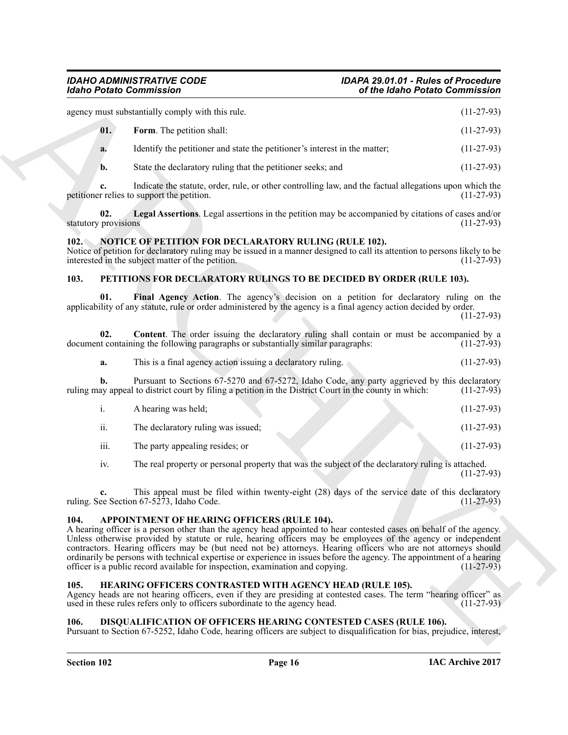Global Painto Commission<br>
states can be a state derivative of the state of the state of the state of the state of the state of the state of the state of the state of the state of the state of the state of the state of the agency must substantially comply with this rule. (11-27-93) **01.** Form. The petition shall: (11-27-93) **a.** Identify the petitioner and state the petitioner's interest in the matter; (11-27-93) **b.** State the declaratory ruling that the petitioner seeks; and (11-27-93)

<span id="page-15-7"></span>**c.** Indicate the statute, order, rule, or other controlling law, and the factual allegations upon which the petitioner relies to support the petition. (11-27-93)

<span id="page-15-8"></span>**02. Legal Assertions**. Legal assertions in the petition may be accompanied by citations of cases and/or statutory provisions

### <span id="page-15-10"></span><span id="page-15-0"></span>**102. NOTICE OF PETITION FOR DECLARATORY RULING (RULE 102).**

Notice of petition for declaratory ruling may be issued in a manner designed to call its attention to persons likely to be interested in the subject matter of the petition. (11-27-93) interested in the subject matter of the petition.

#### <span id="page-15-13"></span><span id="page-15-11"></span><span id="page-15-1"></span>**103. PETITIONS FOR DECLARATORY RULINGS TO BE DECIDED BY ORDER (RULE 103).**

**01. Final Agency Action**. The agency's decision on a petition for declaratory ruling on the applicability of any statute, rule or order administered by the agency is a final agency action decided by order. (11-27-93)

**02. Content**. The order issuing the declaratory ruling shall contain or must be accompanied by a nt containing the following paragraphs or substantially similar paragraphs: (11-27-93) document containing the following paragraphs or substantially similar paragraphs:

<span id="page-15-12"></span>

|  | This is a final agency action issuing a declaratory ruling. | $(11-27-93)$ |
|--|-------------------------------------------------------------|--------------|
|  |                                                             |              |

**b.** Pursuant to Sections 67-5270 and 67-5272, Idaho Code, any party aggrieved by this declaratory av appeal to district court by filing a petition in the District Court in the county in which: (11-27-93) ruling may appeal to district court by filing a petition in the District Court in the county in which:

|                  | A hearing was held:                |  | $(11-27-93)$ |
|------------------|------------------------------------|--|--------------|
| . .<br>-11.      | The declaratory ruling was issued; |  | $(11-27-93)$ |
| $\cdots$<br>111. | The party appealing resides; or    |  | $(11-27-93)$ |

iv. The real property or personal property that was the subject of the declaratory ruling is attached. (11-27-93)

**c.** This appeal must be filed within twenty-eight (28) days of the service date of this declaratory ee Section 67-5273, Idaho Code. (11-27-93) ruling. See Section  $67-5273$ , Idaho Code.

#### <span id="page-15-5"></span><span id="page-15-2"></span>**104. APPOINTMENT OF HEARING OFFICERS (RULE 104).**

A hearing officer is a person other than the agency head appointed to hear contested cases on behalf of the agency. Unless otherwise provided by statute or rule, hearing officers may be employees of the agency or independent contractors. Hearing officers may be (but need not be) attorneys. Hearing officers who are not attorneys should ordinarily be persons with technical expertise or experience in issues before the agency. The appointment of a hearing officer is a public record available for inspection, examination and copying. (11-27-93) officer is a public record available for inspection, examination and copying.

#### <span id="page-15-9"></span><span id="page-15-3"></span>**105. HEARING OFFICERS CONTRASTED WITH AGENCY HEAD (RULE 105).**

Agency heads are not hearing officers, even if they are presiding at contested cases. The term "hearing officer" as used in these rules refers only to officers subordinate to the agency head. (11-27-93) used in these rules refers only to officers subordinate to the agency head.

#### <span id="page-15-6"></span><span id="page-15-4"></span>**106. DISQUALIFICATION OF OFFICERS HEARING CONTESTED CASES (RULE 106).**

Pursuant to Section 67-5252, Idaho Code, hearing officers are subject to disqualification for bias, prejudice, interest,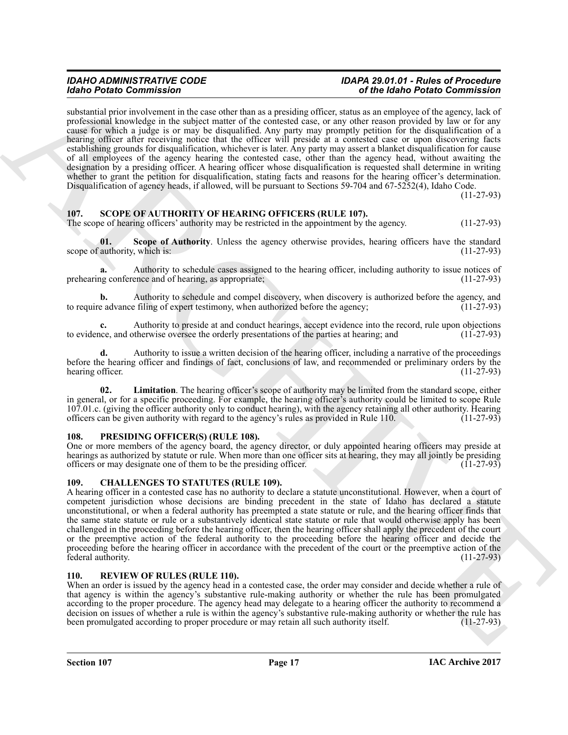Mode Printe Commissions in the transformation in a probability of the Mole Principle in the Mole Principle interaction (1) the Mole Principle interaction in the Mole Principle interaction in the mole Principle interaction substantial prior involvement in the case other than as a presiding officer, status as an employee of the agency, lack of professional knowledge in the subject matter of the contested case, or any other reason provided by law or for any cause for which a judge is or may be disqualified. Any party may promptly petition for the disqualification of a hearing officer after receiving notice that the officer will preside at a contested case or upon discovering facts establishing grounds for disqualification, whichever is later. Any party may assert a blanket disqualification for cause of all employees of the agency hearing the contested case, other than the agency head, without awaiting the designation by a presiding officer. A hearing officer whose disqualification is requested shall determine in writing whether to grant the petition for disqualification, stating facts and reasons for the hearing officer's determination. Disqualification of agency heads, if allowed, will be pursuant to Sections 59-704 and 67-5252(4), Idaho Code.

<span id="page-16-7"></span>(11-27-93)

# <span id="page-16-0"></span>**107. SCOPE OF AUTHORITY OF HEARING OFFICERS (RULE 107).**

The scope of hearing officers' authority may be restricted in the appointment by the agency. (11-27-93)

<span id="page-16-9"></span>**01.** Scope of Authority. Unless the agency otherwise provides, hearing officers have the standard authority, which is: (11-27-93) scope of authority, which is:

**a.** Authority to schedule cases assigned to the hearing officer, including authority to issue notices of prehearing conference and of hearing, as appropriate; (11-27-93)

**b.** Authority to schedule and compel discovery, when discovery is authorized before the agency, and e advance filing of expert testimony, when authorized before the agency; (11-27-93) to require advance filing of expert testimony, when authorized before the agency;

**c.** Authority to preside at and conduct hearings, accept evidence into the record, rule upon objections to evidence, and otherwise oversee the orderly presentations of the parties at hearing; and (11-27-93)

**d.** Authority to issue a written decision of the hearing officer, including a narrative of the proceedings before the hearing officer and findings of fact, conclusions of law, and recommended or preliminary orders by the hearing officer. (11-27-93) hearing officer.

<span id="page-16-8"></span>**02. Limitation**. The hearing officer's scope of authority may be limited from the standard scope, either in general, or for a specific proceeding. For example, the hearing officer's authority could be limited to scope Rule 107.01.c. (giving the officer authority only to conduct hearing), with the agency retaining all other authority. Hearing officers can be given authority with regard to the agency's rules as provided in Rule 110. (11-27-93) officers can be given authority with regard to the agency's rules as provided in Rule 110.

### <span id="page-16-5"></span><span id="page-16-1"></span>**108. PRESIDING OFFICER(S) (RULE 108).**

One or more members of the agency board, the agency director, or duly appointed hearing officers may preside at hearings as authorized by statute or rule. When more than one officer sits at hearing, they may all jointly be presiding officers or may designate one of them to be the presiding officer. (11-27-93) officers or may designate one of them to be the presiding officer.

### <span id="page-16-4"></span><span id="page-16-2"></span>**109. CHALLENGES TO STATUTES (RULE 109).**

A hearing officer in a contested case has no authority to declare a statute unconstitutional. However, when a court of competent jurisdiction whose decisions are binding precedent in the state of Idaho has declared a statute unconstitutional, or when a federal authority has preempted a state statute or rule, and the hearing officer finds that the same state statute or rule or a substantively identical state statute or rule that would otherwise apply has been challenged in the proceeding before the hearing officer, then the hearing officer shall apply the precedent of the court or the preemptive action of the federal authority to the proceeding before the hearing officer and decide the proceeding before the hearing officer in accordance with the precedent of the court or the preemptive action of the federal authority. (11-27-93) federal authority.

#### <span id="page-16-6"></span><span id="page-16-3"></span>**110. REVIEW OF RULES (RULE 110).**

When an order is issued by the agency head in a contested case, the order may consider and decide whether a rule of that agency is within the agency's substantive rule-making authority or whether the rule has been promulgated according to the proper procedure. The agency head may delegate to a hearing officer the authority to recommend a decision on issues of whether a rule is within the agency's substantive rule-making authority or whether the rule has been promulgated according to proper procedure or may retain all such authority itself. (11-27-93) been promulgated according to proper procedure or may retain all such authority itself.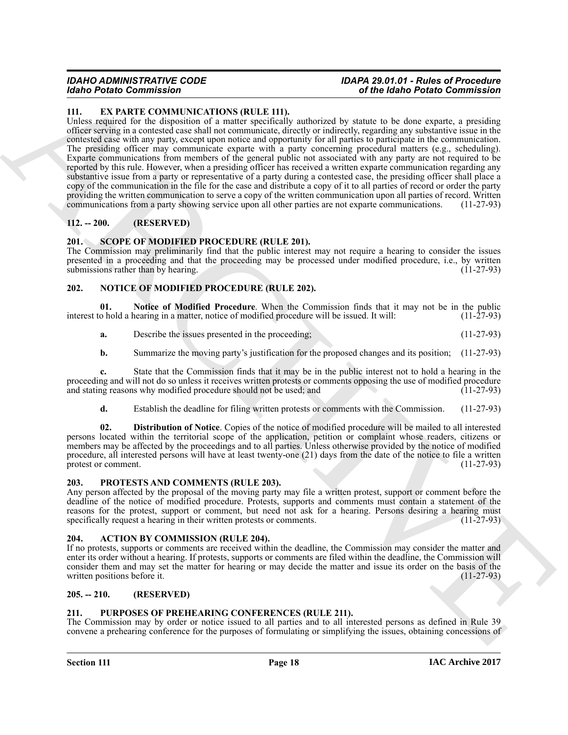### <span id="page-17-9"></span><span id="page-17-0"></span>**111. EX PARTE COMMUNICATIONS (RULE 111).**

More Protocol and South CASTENTID)<br>
The EX CARRE COMMUNICATION (IRLEATED)<br>
Units received the control and specified more protocol and specified more to the specified more and the specified more of the specified more to th Unless required for the disposition of a matter specifically authorized by statute to be done exparte, a presiding officer serving in a contested case shall not communicate, directly or indirectly, regarding any substantive issue in the contested case with any party, except upon notice and opportunity for all parties to participate in the communication. The presiding officer may communicate exparte with a party concerning procedural matters (e.g., scheduling). Exparte communications from members of the general public not associated with any party are not required to be reported by this rule. However, when a presiding officer has received a written exparte communication regarding any substantive issue from a party or representative of a party during a contested case, the presiding officer shall place a copy of the communication in the file for the case and distribute a copy of it to all parties of record or order the party providing the written communication to serve a copy of the written communication upon all parties of record. Written communications from a party showing service upon all other parties are not exparte communications. (11-27-93)

### <span id="page-17-1"></span>**112. -- 200. (RESERVED)**

### <span id="page-17-15"></span><span id="page-17-2"></span>**201. SCOPE OF MODIFIED PROCEDURE (RULE 201).**

The Commission may preliminarily find that the public interest may not require a hearing to consider the issues presented in a proceeding and that the proceeding may be processed under modified procedure, i.e., by written submissions rather than by hearing. (11-27-93) submissions rather than by hearing.

### <span id="page-17-10"></span><span id="page-17-3"></span>**202. NOTICE OF MODIFIED PROCEDURE (RULE 202).**

**01.** Notice of Modified Procedure. When the Commission finds that it may not be in the public o hold a hearing in a matter, notice of modified procedure will be issued. It will: (11-27-93) interest to hold a hearing in a matter, notice of modified procedure will be issued. It will:

- <span id="page-17-12"></span>**a.** Describe the issues presented in the proceeding; (11-27-93)
- **b.** Summarize the moving party's justification for the proposed changes and its position; (11-27-93)

**c.** State that the Commission finds that it may be in the public interest not to hold a hearing in the proceeding and will not do so unless it receives written protests or comments opposing the use of modified procedure<br>and stating reasons why modified procedure should not be used: and (11-27-93) and stating reasons why modified procedure should not be used; and

<span id="page-17-11"></span>**d.** Establish the deadline for filing written protests or comments with the Commission. (11-27-93)

**02. Distribution of Notice**. Copies of the notice of modified procedure will be mailed to all interested persons located within the territorial scope of the application, petition or complaint whose readers, citizens or members may be affected by the proceedings and to all parties. Unless otherwise provided by the notice of modified procedure, all interested persons will have at least twenty-one (21) days from the date of the notice to file a written protest or comment. (11-27-93) protest or comment.

#### <span id="page-17-13"></span><span id="page-17-4"></span>**203. PROTESTS AND COMMENTS (RULE 203).**

Any person affected by the proposal of the moving party may file a written protest, support or comment before the deadline of the notice of modified procedure. Protests, supports and comments must contain a statement of the reasons for the protest, support or comment, but need not ask for a hearing. Persons desiring a hearing must specifically request a hearing in their written protests or comments. (11-27-93) specifically request a hearing in their written protests or comments.

### <span id="page-17-8"></span><span id="page-17-5"></span>**204. ACTION BY COMMISSION (RULE 204).**

If no protests, supports or comments are received within the deadline, the Commission may consider the matter and enter its order without a hearing. If protests, supports or comments are filed within the deadline, the Commission will consider them and may set the matter for hearing or may decide the matter and issue its order on the basis of the written positions before it. (11-27-93) written positions before it.

### <span id="page-17-6"></span>**205. -- 210. (RESERVED)**

### <span id="page-17-14"></span><span id="page-17-7"></span>**211. PURPOSES OF PREHEARING CONFERENCES (RULE 211).**

The Commission may by order or notice issued to all parties and to all interested persons as defined in Rule 39 convene a prehearing conference for the purposes of formulating or simplifying the issues, obtaining concessions of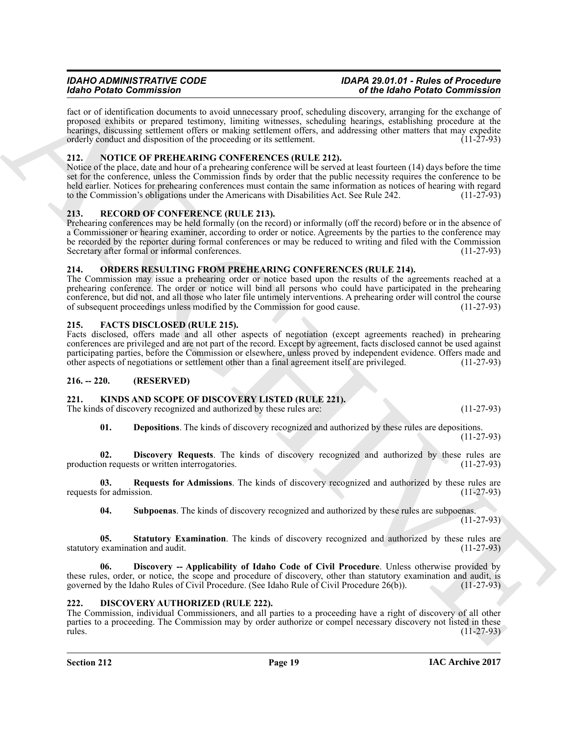fact or of identification documents to avoid unnecessary proof, scheduling discovery, arranging for the exchange of proposed exhibits or prepared testimony, limiting witnesses, scheduling hearings, establishing procedure at the hearings, discussing settlement offers or making settlement offers, and addressing other matters that may expedite orderly conduct and disposition of the proceeding or its settlement. (11-27-93)

### <span id="page-18-16"></span><span id="page-18-0"></span>**212. NOTICE OF PREHEARING CONFERENCES (RULE 212).**

Notice of the place, date and hour of a prehearing conference will be served at least fourteen (14) days before the time set for the conference, unless the Commission finds by order that the public necessity requires the conference to be held earlier. Notices for prehearing conferences must contain the same information as notices of hearing with regard to the Commission's obligations under the Americans with Disabilities Act. See Rule 242. (11-27-93)

# <span id="page-18-18"></span><span id="page-18-1"></span>**213. RECORD OF CONFERENCE (RULE 213).**

Mode Proteins Commissions of the state of the state of the Molecule (and Molecule The Commissions of the Molecule Theorem (and Molecule The Commissions of the Commissions of the Commissions of the Commissions of the Comm Prehearing conferences may be held formally (on the record) or informally (off the record) before or in the absence of a Commissioner or hearing examiner, according to order or notice. Agreements by the parties to the conference may be recorded by the reporter during formal conferences or may be reduced to writing and filed with the Commission Secretary after formal or informal conferences. (11-27-93)

# <span id="page-18-17"></span><span id="page-18-2"></span>**214. ORDERS RESULTING FROM PREHEARING CONFERENCES (RULE 214).**

The Commission may issue a prehearing order or notice based upon the results of the agreements reached at a prehearing conference. The order or notice will bind all persons who could have participated in the prehearing conference, but did not, and all those who later file untimely interventions. A prehearing order will control the course of subsequent proceedings unless modified by the Commission for good cause. (11-27-93) of subsequent proceedings unless modified by the Commission for good cause.

# <span id="page-18-8"></span><span id="page-18-3"></span>**215. FACTS DISCLOSED (RULE 215).**

Facts disclosed, offers made and all other aspects of negotiation (except agreements reached) in prehearing conferences are privileged and are not part of the record. Except by agreement, facts disclosed cannot be used against participating parties, before the Commission or elsewhere, unless proved by independent evidence. Offers made and other aspects of negotiations or settlement other than a final agreement itself are privileged. (11-27-93) other aspects of negotiations or settlement other than a final agreement itself are privileged.

# <span id="page-18-4"></span>**216. -- 220. (RESERVED)**

# <span id="page-18-9"></span><span id="page-18-5"></span>**221. KINDS AND SCOPE OF DISCOVERY LISTED (RULE 221).**

The kinds of discovery recognized and authorized by these rules are: (11-27-93)

<span id="page-18-12"></span><span id="page-18-10"></span>**01. Depositions**. The kinds of discovery recognized and authorized by these rules are depositions. (11-27-93)

**02. Discovery Requests**. The kinds of discovery recognized and authorized by these rules are on requests or written interrogatories. (11-27-93) production requests or written interrogatories.

**03.** Requests for Admissions. The kinds of discovery recognized and authorized by these rules are for admission. (11-27-93) requests for admission.

<span id="page-18-15"></span><span id="page-18-14"></span><span id="page-18-13"></span><span id="page-18-11"></span>**04. Subpoenas**. The kinds of discovery recognized and authorized by these rules are subpoenas.

(11-27-93)

**05. Statutory Examination**. The kinds of discovery recognized and authorized by these rules are statutory examination and audit. (11-27-93)

**06. Discovery -- Applicability of Idaho Code of Civil Procedure**. Unless otherwise provided by these rules, order, or notice, the scope and procedure of discovery, other than statutory examination and audit, is governed by the Idaho Rules of Civil Procedure. (See Idaho Rule of Civil Procedure 26(b)). (11-27-93)

### <span id="page-18-7"></span><span id="page-18-6"></span>**222. DISCOVERY AUTHORIZED (RULE 222).**

The Commission, individual Commissioners, and all parties to a proceeding have a right of discovery of all other parties to a proceeding. The Commission may by order authorize or compel necessary discovery not listed in these rules. (11-27-93) rules. (11-27-93)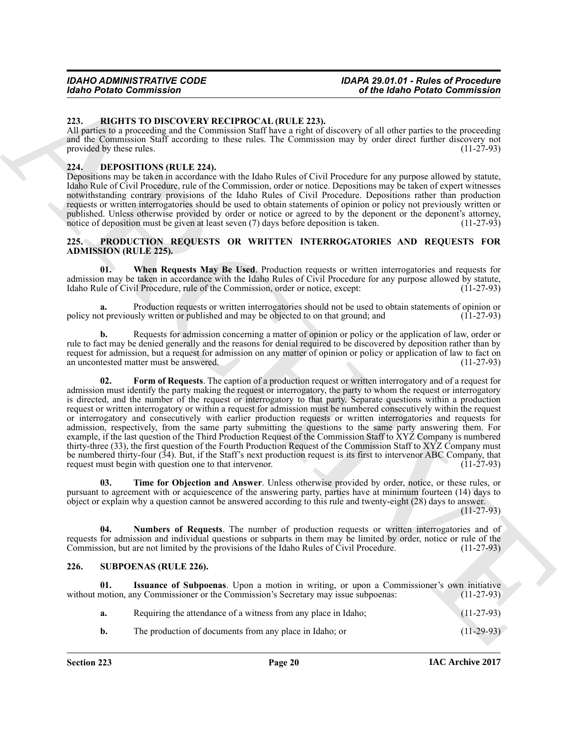#### <span id="page-19-10"></span><span id="page-19-0"></span>**223. RIGHTS TO DISCOVERY RECIPROCAL (RULE 223).**

All parties to a proceeding and the Commission Staff have a right of discovery of all other parties to the proceeding and the Commission Staff according to these rules. The Commission may by order direct further discovery not provided by these rules. (11-27-93) provided by these rules.

#### <span id="page-19-4"></span><span id="page-19-1"></span>**224. DEPOSITIONS (RULE 224).**

Depositions may be taken in accordance with the Idaho Rules of Civil Procedure for any purpose allowed by statute, Idaho Rule of Civil Procedure, rule of the Commission, order or notice. Depositions may be taken of expert witnesses notwithstanding contrary provisions of the Idaho Rules of Civil Procedure. Depositions rather than production requests or written interrogatories should be used to obtain statements of opinion or policy not previously written or published. Unless otherwise provided by order or notice or agreed to by the deponent or the deponent's attorney, notice of deposition must be given at least seven (7) days before deposition is taken. (11-27-93) notice of deposition must be given at least seven  $(7)$  days before deposition is taken.

#### <span id="page-19-5"></span><span id="page-19-2"></span>**225. PRODUCTION REQUESTS OR WRITTEN INTERROGATORIES AND REQUESTS FOR ADMISSION (RULE 225).**

<span id="page-19-9"></span>**01. When Requests May Be Used**. Production requests or written interrogatories and requests for admission may be taken in accordance with the Idaho Rules of Civil Procedure for any purpose allowed by statute, Idaho Rule of Civil Procedure, rule of the Commission, order or notice, except: (11-27-93) Idaho Rule of Civil Procedure, rule of the Commission, order or notice, except:

**a.** Production requests or written interrogatories should not be used to obtain statements of opinion or ot previously written or published and may be objected to on that ground; and (11-27-93) policy not previously written or published and may be objected to on that ground; and

<span id="page-19-6"></span>**b.** Requests for admission concerning a matter of opinion or policy or the application of law, order or rule to fact may be denied generally and the reasons for denial required to be discovered by deposition rather than by request for admission, but a request for admission on any matter of opinion or policy or application of law to fact on an uncontested matter must be answered. an uncontested matter must be answered.

Globa Penins Commission  $\sim$  and Malno Penins Commission  $\sim$  and Malno Penins Commission 233.<br>
233. BEFOIRS DEVEL EN ENCORE EN ENTERNATION (ELLE EDS)<br>
(a) Horses Process (a) Horses Process Profile the Commission 249, by **02. Form of Requests**. The caption of a production request or written interrogatory and of a request for admission must identify the party making the request or interrogatory, the party to whom the request or interrogatory is directed, and the number of the request or interrogatory to that party. Separate questions within a production request or written interrogatory or within a request for admission must be numbered consecutively within the request or interrogatory and consecutively with earlier production requests or written interrogatories and requests for admission, respectively, from the same party submitting the questions to the same party answering them. For example, if the last question of the Third Production Request of the Commission Staff to XYZ Company is numbered thirty-three (33), the first question of the Fourth Production Request of the Commission Staff to XYZ Company must be numbered thirty-four (34). But, if the Staff's next production request is its first to intervenor ABC Company, that request must begin with question one to that intervenor. (11-27-93) request must begin with question one to that intervenor.

<span id="page-19-8"></span>**03. Time for Objection and Answer**. Unless otherwise provided by order, notice, or these rules, or pursuant to agreement with or acquiescence of the answering party, parties have at minimum fourteen (14) days to object or explain why a question cannot be answered according to this rule and twenty-eight (28) days to answer.

(11-27-93)

<span id="page-19-7"></span>**04. Numbers of Requests**. The number of production requests or written interrogatories and of requests for admission and individual questions or subparts in them may be limited by order, notice or rule of the Commission, but are not limited by the provisions of the Idaho Rules of Civil Procedure. (11-27-93)

### <span id="page-19-11"></span><span id="page-19-3"></span>**226. SUBPOENAS (RULE 226).**

**Issuance of Subpoenas**. Upon a motion in writing, or upon a Commissioner's own initiative ny Commissioner or the Commission's Secretary may issue subpoenas: (11-27-93) without motion, any Commissioner or the Commission's Secretary may issue subpoenas:

<span id="page-19-12"></span>

|  | Requiring the attendance of a witness from any place in Idaho; | $(11-27-93)$ |
|--|----------------------------------------------------------------|--------------|
|--|----------------------------------------------------------------|--------------|

**b.** The production of documents from any place in Idaho; or (11-29-93)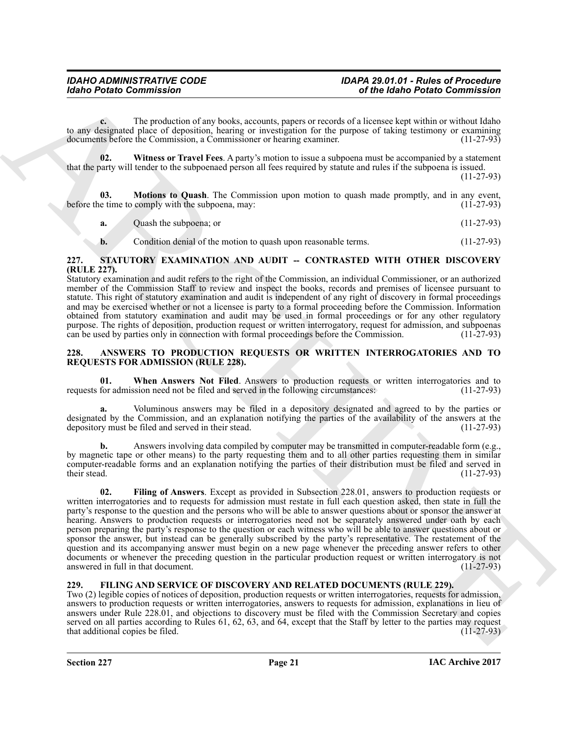**c.** The production of any books, accounts, papers or records of a licensee kept within or without Idaho to any designated place of deposition, hearing or investigation for the purpose of taking testimony or examining documents before the Commission. a Commissioner or hearing examiner. (11-27-93) documents before the Commission, a Commissioner or hearing examiner.

<span id="page-20-9"></span>**02. Witness or Travel Fees**. A party's motion to issue a subpoena must be accompanied by a statement that the party will tender to the subpoenaed person all fees required by statute and rules if the subpoena is issued.

(11-27-93)

**Motions to Quash**. The Commission upon motion to quash made promptly, and in any event, comply with the subpoena, may: (11-27-93) before the time to comply with the subpoena, may:

<span id="page-20-8"></span>

<span id="page-20-7"></span>**b.** Condition denial of the motion to quash upon reasonable terms. (11-27-93)

#### <span id="page-20-0"></span>**227. STATUTORY EXAMINATION AND AUDIT -- CONTRASTED WITH OTHER DISCOVERY (RULE 227).**

Statutory examination and audit refers to the right of the Commission, an individual Commissioner, or an authorized member of the Commission Staff to review and inspect the books, records and premises of licensee pursuant to statute. This right of statutory examination and audit is independent of any right of discovery in formal proceedings and may be exercised whether or not a licensee is party to a formal proceeding before the Commission. Information obtained from statutory examination and audit may be used in formal proceedings or for any other regulatory purpose. The rights of deposition, production request or written interrogatory, request for admission, and subpoenas can be used by parties only in connection with formal proceedings before the Commission. (11-27-93)

#### <span id="page-20-3"></span><span id="page-20-1"></span>**228. ANSWERS TO PRODUCTION REQUESTS OR WRITTEN INTERROGATORIES AND TO REQUESTS FOR ADMISSION (RULE 228).**

<span id="page-20-5"></span>**01. When Answers Not Filed**. Answers to production requests or written interrogatories and to for admission need not be filed and served in the following circumstances: (11-27-93) requests for admission need not be filed and served in the following circumstances:

**a.** Voluminous answers may be filed in a depository designated and agreed to by the parties or designated by the Commission, and an explanation notifying the parties of the availability of the answers at the depository must be filed and served in their stead. (11-27-93) depository must be filed and served in their stead.

<span id="page-20-4"></span>**b.** Answers involving data compiled by computer may be transmitted in computer-readable form (e.g., by magnetic tape or other means) to the party requesting them and to all other parties requesting them in similar computer-readable forms and an explanation notifying the parties of their distribution must be filed and served in their stead. (11-27-93) their stead.  $(11-27-93)$ 

Globa Penins Commission<br>
Carl The probability that American control and the probability of the state of the probability of the state of the state of the state of the state of the state of the state of the state of the sta **02. Filing of Answers**. Except as provided in Subsection 228.01, answers to production requests or written interrogatories and to requests for admission must restate in full each question asked, then state in full the party's response to the question and the persons who will be able to answer questions about or sponsor the answer at hearing. Answers to production requests or interrogatories need not be separately answered under oath by each person preparing the party's response to the question or each witness who will be able to answer questions about or sponsor the answer, but instead can be generally subscribed by the party's representative. The restatement of the question and its accompanying answer must begin on a new page whenever the preceding answer refers to other documents or whenever the preceding question in the particular production request or written interrogatory is not answered in full in that document. answered in full in that document.

### <span id="page-20-6"></span><span id="page-20-2"></span>**229. FILING AND SERVICE OF DISCOVERY AND RELATED DOCUMENTS (RULE 229).**

Two (2) legible copies of notices of deposition, production requests or written interrogatories, requests for admission, answers to production requests or written interrogatories, answers to requests for admission, explanations in lieu of answers under Rule 228.01, and objections to discovery must be filed with the Commission Secretary and copies served on all parties according to Rules 61, 62, 63, and 64, except that the Staff by letter to the parties may request that additional copies be filed. (11-27-93) that additional copies be filed.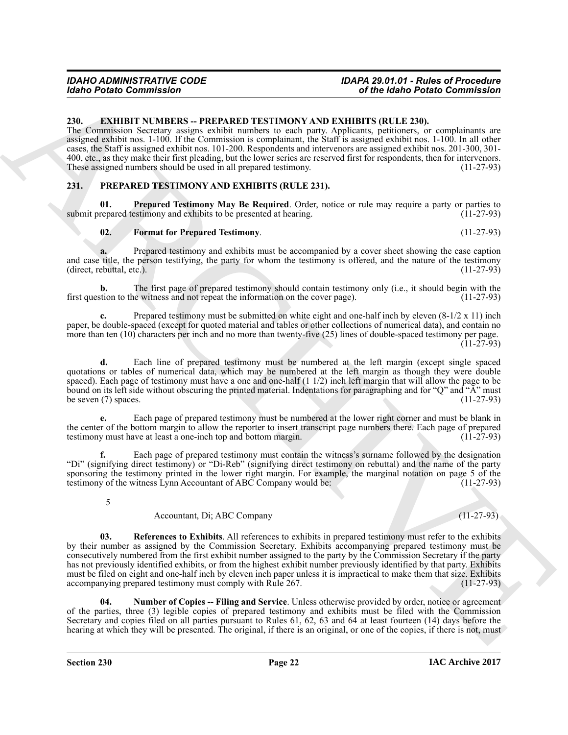#### <span id="page-21-2"></span><span id="page-21-0"></span>**230. EXHIBIT NUMBERS -- PREPARED TESTIMONY AND EXHIBITS (RULE 230).**

The Commission Secretary assigns exhibit numbers to each party. Applicants, petitioners, or complainants are assigned exhibit nos. 1-100. If the Commission is complainant, the Staff is assigned exhibit nos. 1-100. In all other cases, the Staff is assigned exhibit nos. 101-200. Respondents and intervenors are assigned exhibit nos. 201-300, 301- 400, etc., as they make their first pleading, but the lower series are reserved first for respondents, then for intervenors.<br>These assigned numbers should be used in all prepared testimony. (11-27-93) These assigned numbers should be used in all prepared testimony.

#### <span id="page-21-3"></span><span id="page-21-1"></span>**231. PREPARED TESTIMONY AND EXHIBITS (RULE 231).**

**01.** Prepared Testimony May Be Required. Order, notice or rule may require a party or parties to repared testimony and exhibits to be presented at hearing. (11-27-93) submit prepared testimony and exhibits to be presented at hearing.

#### <span id="page-21-6"></span><span id="page-21-4"></span>**02. Format for Prepared Testimony**. (11-27-93)

**a.** Prepared testimony and exhibits must be accompanied by a cover sheet showing the case caption

and case title, the person testifying, the party for whom the testimony is offered, and the nature of the testimony (direct, rebuttal, etc.).  $(direct,$  rebuttal, etc.).

**b.** The first page of prepared testimony should contain testimony only (i.e., it should begin with the stion to the witness and not repeat the information on the cover page). (11-27-93) first question to the witness and not repeat the information on the cover page).

**c.** Prepared testimony must be submitted on white eight and one-half inch by eleven  $(8-1/2 \times 11)$  inch paper, be double-spaced (except for quoted material and tables or other collections of numerical data), and contain no more than ten (10) characters per inch and no more than twenty-five (25) lines of double-spaced testimony per page.  $(11-27-93)$ 

**d.** Each line of prepared testimony must be numbered at the left margin (except single spaced quotations or tables of numerical data, which may be numbered at the left margin as though they were double spaced). Each page of testimony must have a one and one-half (1 1/2) inch left margin that will allow the page to be bound on its left side without obscuring the printed material. Indentations for paragraphing and for "Q" and "A" must<br>be seven (7) spaces. (11-27-93) be seven  $(7)$  spaces.

**e.** Each page of prepared testimony must be numbered at the lower right corner and must be blank in the center of the bottom margin to allow the reporter to insert transcript page numbers there. Each page of prepared testimony must have at least a one-inch top and bottom margin. (11-27-93) testimony must have at least a one-inch top and bottom margin.

**f.** Each page of prepared testimony must contain the witness's surname followed by the designation "Di" (signifying direct testimony) or "Di-Reb" (signifying direct testimony on rebuttal) and the name of the party sponsoring the testimony printed in the lower right margin. For example, the marginal notation on page 5 of the testimony of the witness Lynn Accountant of ABC Company would be: testimony of the witness Lynn Accountant of ABC Company would be:

5

#### <span id="page-21-7"></span>Accountant, Di; ABC Company (11-27-93)

Globa Petrio Commission<br>
2. Column N. VABICAL PETRIAUD TESTINONY AND WANTER (1412) 2008.<br>
The Commission control of the Column N. VABICA PETRIAUS (142) 2008.<br>
The Commission Column N. VABICA COMMISS (1412) 2008. Applicati **03. References to Exhibits**. All references to exhibits in prepared testimony must refer to the exhibits by their number as assigned by the Commission Secretary. Exhibits accompanying prepared testimony must be consecutively numbered from the first exhibit number assigned to the party by the Commission Secretary if the party has not previously identified exhibits, or from the highest exhibit number previously identified by that party. Exhibits must be filed on eight and one-half inch by eleven inch paper unless it is impractical to make them that size. Exhibits accompanying prepared testimony must comply with Rule 267. accompanying prepared testimony must comply with Rule 267.

<span id="page-21-5"></span>**04. Number of Copies -- Filing and Service**. Unless otherwise provided by order, notice or agreement of the parties, three (3) legible copies of prepared testimony and exhibits must be filed with the Commission Secretary and copies filed on all parties pursuant to Rules 61, 62, 63 and 64 at least fourteen (14) days before the hearing at which they will be presented. The original, if there is an original, or one of the copies, if there is not, must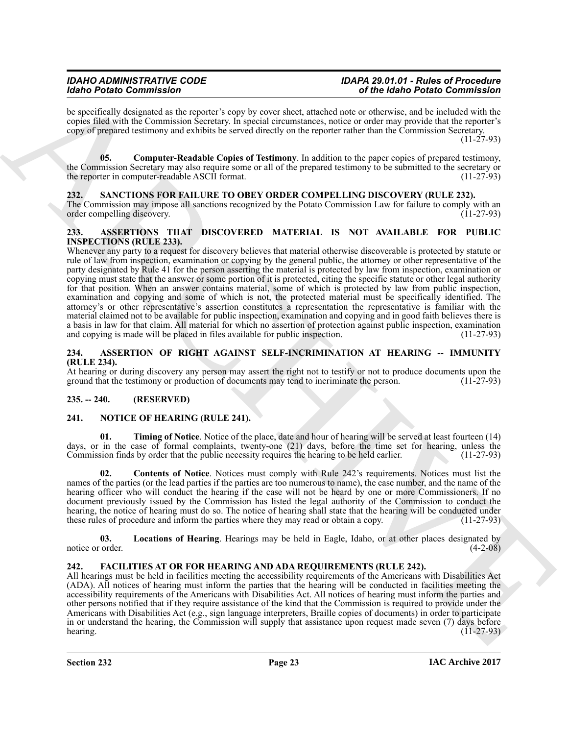# *IDAHO ADMINISTRATIVE CODE IDAPA 29.01.01 - Rules of Procedure*

# *Idaho Potato Commission of the Idaho Potato Commission*

be specifically designated as the reporter's copy by cover sheet, attached note or otherwise, and be included with the copies filed with the Commission Secretary. In special circumstances, notice or order may provide that the reporter's copy of prepared testimony and exhibits be served directly on the reporter rather than the Commission Secretary.

 $(11 - 27 - 93)$ 

<span id="page-22-13"></span>**05. Computer-Readable Copies of Testimony**. In addition to the paper copies of prepared testimony, the Commission Secretary may also require some or all of the prepared testimony to be submitted to the secretary or the reporter in computer-readable ASCII format. (11-27-93)

# <span id="page-22-14"></span><span id="page-22-0"></span>**232. SANCTIONS FOR FAILURE TO OBEY ORDER COMPELLING DISCOVERY (RULE 232).**

The Commission may impose all sanctions recognized by the Potato Commission Law for failure to comply with an order compelling discovery. (11-27-93) order compelling discovery.

#### <span id="page-22-7"></span><span id="page-22-1"></span>**233. ASSERTIONS THAT DISCOVERED MATERIAL IS NOT AVAILABLE FOR PUBLIC INSPECTIONS (RULE 233).**

More President Commission in the system of the system of the More President Commission in the Commission of the Commission of the Commission of the Commission of the Commission of the Commission of the Commission of the Whenever any party to a request for discovery believes that material otherwise discoverable is protected by statute or rule of law from inspection, examination or copying by the general public, the attorney or other representative of the party designated by Rule 41 for the person asserting the material is protected by law from inspection, examination or copying must state that the answer or some portion of it is protected, citing the specific statute or other legal authority for that position. When an answer contains material, some of which is protected by law from public inspection, examination and copying and some of which is not, the protected material must be specifically identified. The attorney's or other representative's assertion constitutes a representation the representative is familiar with the material claimed not to be available for public inspection, examination and copying and in good faith believes there is a basis in law for that claim. All material for which no assertion of protection against public inspection, examination and copying is made will be placed in files available for public inspection. (11-27-93) and copying is made will be placed in files available for public inspection.

#### <span id="page-22-6"></span><span id="page-22-2"></span>**234. ASSERTION OF RIGHT AGAINST SELF-INCRIMINATION AT HEARING -- IMMUNITY (RULE 234).**

At hearing or during discovery any person may assert the right not to testify or not to produce documents upon the ground that the testimony or production of documents may tend to incriminate the person. (11-27-93) ground that the testimony or production of documents may tend to incriminate the person.

### <span id="page-22-3"></span>**235. -- 240. (RESERVED)**

### <span id="page-22-9"></span><span id="page-22-4"></span>**241. NOTICE OF HEARING (RULE 241).**

<span id="page-22-12"></span>**01.** Timing of Notice. Notice of the place, date and hour of hearing will be served at least fourteen (14) days, or in the case of formal complaints, twenty-one (21) days, before the time set for hearing, unless the Commission finds by order that the public necessity requires the hearing to be held earlier. (11-27-93) Commission finds by order that the public necessity requires the hearing to be held earlier.

<span id="page-22-10"></span>**02. Contents of Notice**. Notices must comply with Rule 242's requirements. Notices must list the names of the parties (or the lead parties if the parties are too numerous to name), the case number, and the name of the hearing officer who will conduct the hearing if the case will not be heard by one or more Commissioners. If no document previously issued by the Commission has listed the legal authority of the Commission to conduct the hearing, the notice of hearing must do so. The notice of hearing shall state that the hearing will be conducted under these rules of procedure and inform the parties where they may read or obtain a copy. (11-27-93) these rules of procedure and inform the parties where they may read or obtain a copy.

<span id="page-22-11"></span>**03. Locations of Hearing**. Hearings may be held in Eagle, Idaho, or at other places designated by notice or order. (4-2-08)

# <span id="page-22-8"></span><span id="page-22-5"></span>**242. FACILITIES AT OR FOR HEARING AND ADA REQUIREMENTS (RULE 242).**

All hearings must be held in facilities meeting the accessibility requirements of the Americans with Disabilities Act (ADA). All notices of hearing must inform the parties that the hearing will be conducted in facilities meeting the accessibility requirements of the Americans with Disabilities Act. All notices of hearing must inform the parties and other persons notified that if they require assistance of the kind that the Commission is required to provide under the Americans with Disabilities Act (e.g., sign language interpreters, Braille copies of documents) in order to participate in or understand the hearing, the Commission will supply that assistance upon request made seven (7) days before hearing. hearing. (11-27-93) (11-27-93)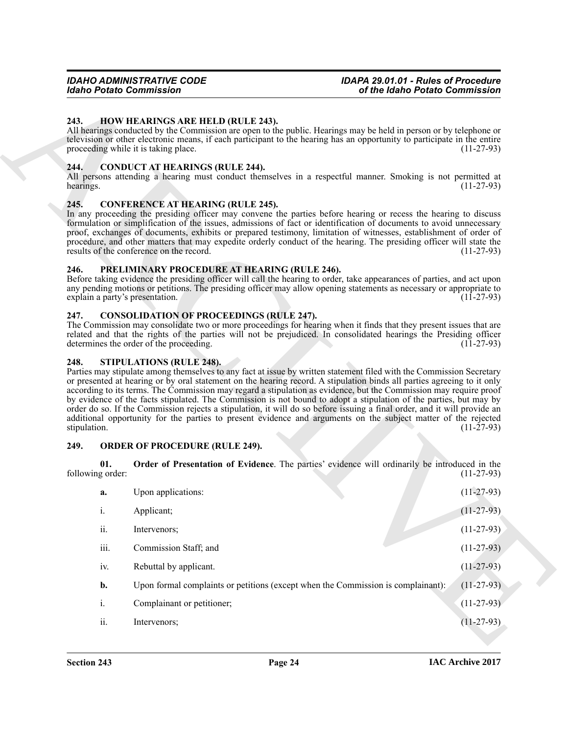#### <span id="page-23-10"></span><span id="page-23-0"></span>**243. HOW HEARINGS ARE HELD (RULE 243).**

#### <span id="page-23-7"></span><span id="page-23-1"></span>**244. CONDUCT AT HEARINGS (RULE 244).**

#### <span id="page-23-8"></span><span id="page-23-2"></span>**245. CONFERENCE AT HEARING (RULE 245).**

#### <span id="page-23-13"></span><span id="page-23-3"></span>**246. PRELIMINARY PROCEDURE AT HEARING (RULE 246).**

#### <span id="page-23-9"></span><span id="page-23-4"></span>**247. CONSOLIDATION OF PROCEEDINGS (RULE 247).**

#### <span id="page-23-14"></span><span id="page-23-5"></span>**248. STIPULATIONS (RULE 248).**

#### <span id="page-23-12"></span><span id="page-23-11"></span><span id="page-23-6"></span>**249. ORDER OF PROCEDURE (RULE 249).**

|                   |                         | <b>Idaho Potato Commission</b><br>of the Idaho Potato Commission                                                                                                                                                                                                                                                                                                                                                                                                                                                                                                           |                  |
|-------------------|-------------------------|----------------------------------------------------------------------------------------------------------------------------------------------------------------------------------------------------------------------------------------------------------------------------------------------------------------------------------------------------------------------------------------------------------------------------------------------------------------------------------------------------------------------------------------------------------------------------|------------------|
| 243.              |                         | <b>HOW HEARINGS ARE HELD (RULE 243).</b><br>All hearings conducted by the Commission are open to the public. Hearings may be held in person or by telephone or<br>television or other electronic means, if each participant to the hearing has an opportunity to participate in the entire<br>proceeding while it is taking place.                                                                                                                                                                                                                                         | $(11-27-93)$     |
| 244.<br>hearings. |                         | <b>CONDUCT AT HEARINGS (RULE 244).</b><br>All persons attending a hearing must conduct themselves in a respectful manner. Smoking is not permitted at                                                                                                                                                                                                                                                                                                                                                                                                                      | $(11-27-93)$     |
| 245.              |                         | <b>CONFERENCE AT HEARING (RULE 245).</b><br>In any proceeding the presiding officer may convene the parties before hearing or recess the hearing to discuss<br>formulation or simplification of the issues, admissions of fact or identification of documents to avoid unnecessary<br>proof, exchanges of documents, exhibits or prepared testimony, limitation of witnesses, establishment of order of<br>procedure, and other matters that may expedite orderly conduct of the hearing. The presiding officer will state the<br>results of the conference on the record. | $(11-27-93)$     |
| 246.              |                         | PRELIMINARY PROCEDURE AT HEARING (RULE 246).<br>Before taking evidence the presiding officer will call the hearing to order, take appearances of parties, and act upon<br>any pending motions or petitions. The presiding officer may allow opening statements as necessary or appropriate to<br>explain a party's presentation.                                                                                                                                                                                                                                           | $(11-27-93)$     |
| 247.              |                         | <b>CONSOLIDATION OF PROCEEDINGS (RULE 247).</b><br>The Commission may consolidate two or more proceedings for hearing when it finds that they present issues that are<br>related and that the rights of the parties will not be prejudiced. In consolidated hearings the Presiding officer<br>determines the order of the proceeding.                                                                                                                                                                                                                                      | $(11-27-93)$     |
| 248.              |                         | <b>STIPULATIONS (RULE 248).</b><br>Parties may stipulate among themselves to any fact at issue by written statement filed with the Commission Secretary<br>or presented at hearing or by oral statement on the hearing record. A stipulation binds all parties agreeing to it only<br>according to its terms. The Commission may regard a stipulation as evidence, but the Commission may require proof<br>by evidence of the facts stipulated. The Commission is not bound to adopt a stipulation of the parties, but may by                                              |                  |
| stipulation.      |                         | order do so. If the Commission rejects a stipulation, it will do so before issuing a final order, and it will provide an<br>additional opportunity for the parties to present evidence and arguments on the subject matter of the rejected                                                                                                                                                                                                                                                                                                                                 | $(11 - 27 - 93)$ |
| 249.              |                         | <b>ORDER OF PROCEDURE (RULE 249).</b>                                                                                                                                                                                                                                                                                                                                                                                                                                                                                                                                      |                  |
|                   | 01.<br>following order: | Order of Presentation of Evidence. The parties' evidence will ordinarily be introduced in the                                                                                                                                                                                                                                                                                                                                                                                                                                                                              | $(11-27-93)$     |
|                   | a.                      | Upon applications:                                                                                                                                                                                                                                                                                                                                                                                                                                                                                                                                                         | $(11-27-93)$     |
|                   | $\dot{1}$               | Applicant;                                                                                                                                                                                                                                                                                                                                                                                                                                                                                                                                                                 | $(11-27-93)$     |
|                   | ii.                     | Intervenors;                                                                                                                                                                                                                                                                                                                                                                                                                                                                                                                                                               | $(11-27-93)$     |
|                   | iii.                    | Commission Staff; and                                                                                                                                                                                                                                                                                                                                                                                                                                                                                                                                                      | $(11-27-93)$     |
|                   | iv.                     | Rebuttal by applicant.                                                                                                                                                                                                                                                                                                                                                                                                                                                                                                                                                     | $(11-27-93)$     |
|                   | b.                      | Upon formal complaints or petitions (except when the Commission is complainant):                                                                                                                                                                                                                                                                                                                                                                                                                                                                                           | $(11-27-93)$     |
|                   | i.                      | Complainant or petitioner;                                                                                                                                                                                                                                                                                                                                                                                                                                                                                                                                                 | $(11-27-93)$     |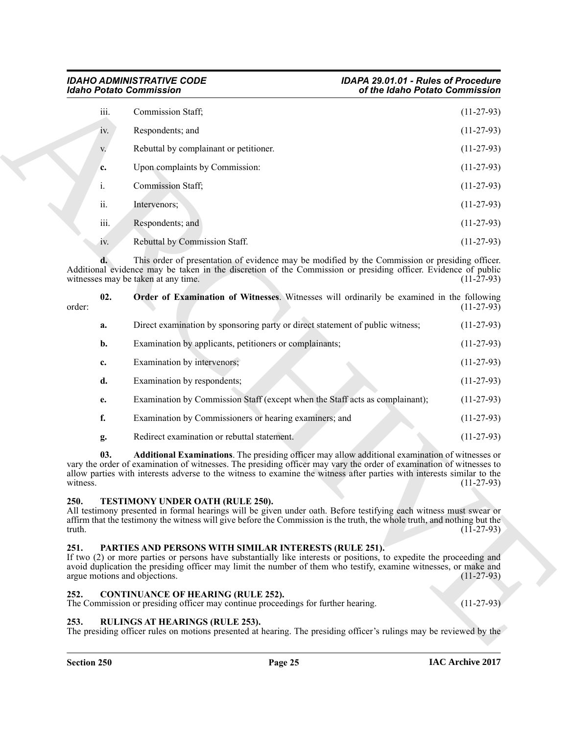<span id="page-24-6"></span>

| iii.           | Commission Staff;                      | $(11-27-93)$ |
|----------------|----------------------------------------|--------------|
| iv.            | Respondents; and                       | $(11-27-93)$ |
| V.             | Rebuttal by complainant or petitioner. | $(11-27-93)$ |
| c.             | Upon complaints by Commission:         | $(11-27-93)$ |
| $\mathbf{i}$ . | Commission Staff;                      | $(11-27-93)$ |
| ii.            | Intervenors;                           | $(11-27-93)$ |
| iii.           | Respondents; and                       | $(11-27-93)$ |
| iv.            | Rebuttal by Commission Staff.          | $(11-27-93)$ |

|                |      | <b>Idaho Potato Commission</b>                                                                                                                                                                                                                                                                                                                           | of the Idaho Potato Commission |
|----------------|------|----------------------------------------------------------------------------------------------------------------------------------------------------------------------------------------------------------------------------------------------------------------------------------------------------------------------------------------------------------|--------------------------------|
|                | iii. | Commission Staff;                                                                                                                                                                                                                                                                                                                                        | $(11-27-93)$                   |
|                | iv.  | Respondents; and                                                                                                                                                                                                                                                                                                                                         | $(11-27-93)$                   |
|                | V.   | Rebuttal by complainant or petitioner.                                                                                                                                                                                                                                                                                                                   | $(11-27-93)$                   |
|                | c.   | Upon complaints by Commission:                                                                                                                                                                                                                                                                                                                           | $(11-27-93)$                   |
|                | i.   | <b>Commission Staff</b> ;                                                                                                                                                                                                                                                                                                                                | $(11-27-93)$                   |
|                | ii.  | Intervenors;                                                                                                                                                                                                                                                                                                                                             | $(11-27-93)$                   |
|                | iii. | Respondents; and                                                                                                                                                                                                                                                                                                                                         | $(11-27-93)$                   |
|                | 1V.  | Rebuttal by Commission Staff.                                                                                                                                                                                                                                                                                                                            | $(11-27-93)$                   |
|                |      | This order of presentation of evidence may be modified by the Commission or presiding officer.<br>Additional evidence may be taken in the discretion of the Commission or presiding officer. Evidence of public<br>witnesses may be taken at any time.                                                                                                   | $(11-27-93)$                   |
| order:         | 02.  | Order of Examination of Witnesses. Witnesses will ordinarily be examined in the following                                                                                                                                                                                                                                                                | $(11-27-93)$                   |
|                | a.   | Direct examination by sponsoring party or direct statement of public witness;                                                                                                                                                                                                                                                                            | $(11-27-93)$                   |
|                | b.   | Examination by applicants, petitioners or complainants;                                                                                                                                                                                                                                                                                                  | $(11-27-93)$                   |
|                | c.   | Examination by intervenors;                                                                                                                                                                                                                                                                                                                              | $(11-27-93)$                   |
|                | d.   | Examination by respondents;                                                                                                                                                                                                                                                                                                                              | $(11-27-93)$                   |
|                | e.   | Examination by Commission Staff (except when the Staff acts as complainant);                                                                                                                                                                                                                                                                             | $(11-27-93)$                   |
|                | f.   | Examination by Commissioners or hearing examiners; and                                                                                                                                                                                                                                                                                                   | $(11-27-93)$                   |
|                | g.   | Redirect examination or rebuttal statement.                                                                                                                                                                                                                                                                                                              | $(11-27-93)$                   |
| witness.       | 03.  | <b>Additional Examinations</b> . The presiding officer may allow additional examination of witnesses or<br>vary the order of examination of witnesses. The presiding officer may vary the order of examination of witnesses to<br>allow parties with interests adverse to the witness to examine the witness after parties with interests similar to the | $(11-27-93)$                   |
| 250.<br>truth. |      | TESTIMONY UNDER OATH (RULE 250).<br>All testimony presented in formal hearings will be given under oath. Before testifying each witness must swear or<br>affirm that the testimony the witness will give before the Commission is the truth, the whole truth, and nothing but the                                                                        | $(11-27-93)$                   |
| 251.           |      | PARTIES AND PERSONS WITH SIMILAR INTERESTS (RULE 251).<br>If two (2) or more parties or persons have substantially like interests or positions, to expedite the proceeding and<br>avoid duplication the presiding officer may limit the number of them who testify, examine witnesses, or make and<br>argue motions and objections.                      | $(11-27-93)$                   |
| 252.           |      | <b>CONTINUANCE OF HEARING (RULE 252).</b><br>The Commission or presiding officer may continue proceedings for further hearing.                                                                                                                                                                                                                           | $(11-27-93)$                   |
|                |      | <b>RULINGS AT HEARINGS (RULE 253).</b>                                                                                                                                                                                                                                                                                                                   |                                |

# <span id="page-24-9"></span><span id="page-24-5"></span><span id="page-24-0"></span>**250. TESTIMONY UNDER OATH (RULE 250).**

### <span id="page-24-7"></span><span id="page-24-1"></span>**251. PARTIES AND PERSONS WITH SIMILAR INTERESTS (RULE 251).**

### <span id="page-24-4"></span><span id="page-24-2"></span>**252. CONTINUANCE OF HEARING (RULE 252).**

### <span id="page-24-8"></span><span id="page-24-3"></span>**253. RULINGS AT HEARINGS (RULE 253).**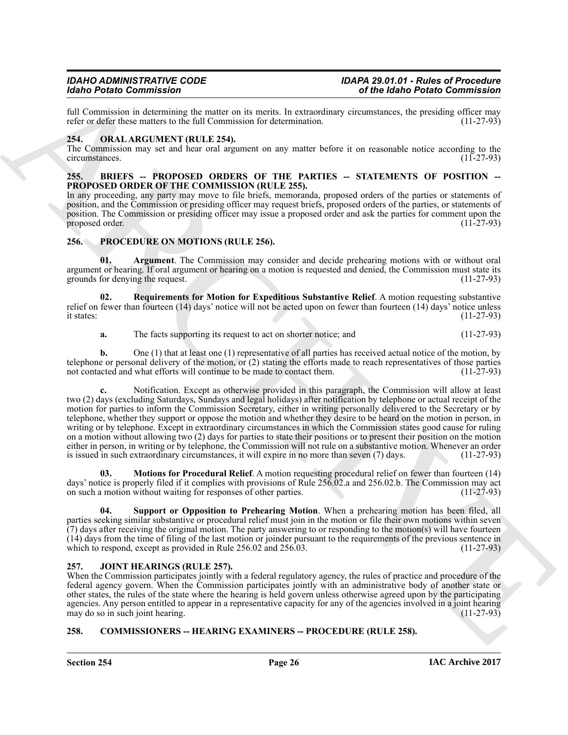full Commission in determining the matter on its merits. In extraordinary circumstances, the presiding officer may refer or defer these matters to the full Commission for determination. (11-27-93) refer or defer these matters to the full Commission for determination.

#### <span id="page-25-8"></span><span id="page-25-0"></span>**254. ORAL ARGUMENT (RULE 254).**

The Commission may set and hear oral argument on any matter before it on reasonable notice according to the circumstances. (11-27-93) circumstances.

#### <span id="page-25-5"></span><span id="page-25-1"></span>**255. BRIEFS -- PROPOSED ORDERS OF THE PARTIES -- STATEMENTS OF POSITION -- PROPOSED ORDER OF THE COMMISSION (RULE 255).**

In any proceeding, any party may move to file briefs, memoranda, proposed orders of the parties or statements of position, and the Commission or presiding officer may request briefs, proposed orders of the parties, or statements of position. The Commission or presiding officer may issue a proposed order and ask the parties for comment upon the proposed order. proposed order.

### <span id="page-25-9"></span><span id="page-25-2"></span>**256. PROCEDURE ON MOTIONS (RULE 256).**

<span id="page-25-10"></span>**01. Argument**. The Commission may consider and decide prehearing motions with or without oral argument or hearing. If oral argument or hearing on a motion is requested and denied, the Commission must state its grounds for denying the request. (11-27-93)

**02. Requirements for Motion for Expeditious Substantive Relief**. A motion requesting substantive relief on fewer than fourteen (14) days' notice will not be acted upon on fewer than fourteen (14) days' notice unless it states:  $(11-27-93)$ it states:  $(11-27-93)$ 

<span id="page-25-12"></span>**a.** The facts supporting its request to act on shorter notice; and  $(11-27-93)$ 

**b.** One (1) that at least one (1) representative of all parties has received actual notice of the motion, by telephone or personal delivery of the motion, or (2) stating the efforts made to reach representatives of those parties not contacted and what efforts will continue to be made to contact them. (11-27-93) not contacted and what efforts will continue to be made to contact them.

Goto Persis Commission Commission and the space of the state of the space of the space of the space of the space of the space of the space of the space of the space of the space of the space of the space of the space of t **c.** Notification. Except as otherwise provided in this paragraph, the Commission will allow at least two (2) days (excluding Saturdays, Sundays and legal holidays) after notification by telephone or actual receipt of the motion for parties to inform the Commission Secretary, either in writing personally delivered to the Secretary or by telephone, whether they support or oppose the motion and whether they desire to be heard on the motion in person, in writing or by telephone. Except in extraordinary circumstances in which the Commission states good cause for ruling on a motion without allowing two (2) days for parties to state their positions or to present their position on the motion either in person, in writing or by telephone, the Commission will not rule on a substantive motion. Whenever an order is issued in such extraordinary circumstances, it will expire in no more than seven (7) days. (11-27-93) is issued in such extraordinary circumstances, it will expire in no more than seven (7) days.

<span id="page-25-11"></span>**03. Motions for Procedural Relief**. A motion requesting procedural relief on fewer than fourteen (14) days' notice is properly filed if it complies with provisions of Rule 256.02.a and 256.02.b. The Commission may act on such a motion without waiting for responses of other parties. (11-27-93) on such a motion without waiting for responses of other parties.

<span id="page-25-13"></span>**04. Support or Opposition to Prehearing Motion**. When a prehearing motion has been filed, all parties seeking similar substantive or procedural relief must join in the motion or file their own motions within seven (7) days after receiving the original motion. The party answering to or responding to the motion(s) will have fourteen (14) days from the time of filing of the last motion or joinder pursuant to the requirements of the previous sentence in which to respond, except as provided in Rule 256.02 and 256.03. (11-27-93)

### <span id="page-25-7"></span><span id="page-25-3"></span>**257. JOINT HEARINGS (RULE 257).**

When the Commission participates jointly with a federal regulatory agency, the rules of practice and procedure of the federal agency govern. When the Commission participates jointly with an administrative body of another state or other states, the rules of the state where the hearing is held govern unless otherwise agreed upon by the participating agencies. Any person entitled to appear in a representative capacity for any of the agencies involved in a joint hearing may do so in such joint hearing. may do so in such joint hearing.

### <span id="page-25-6"></span><span id="page-25-4"></span>**258. COMMISSIONERS -- HEARING EXAMINERS -- PROCEDURE (RULE 258).**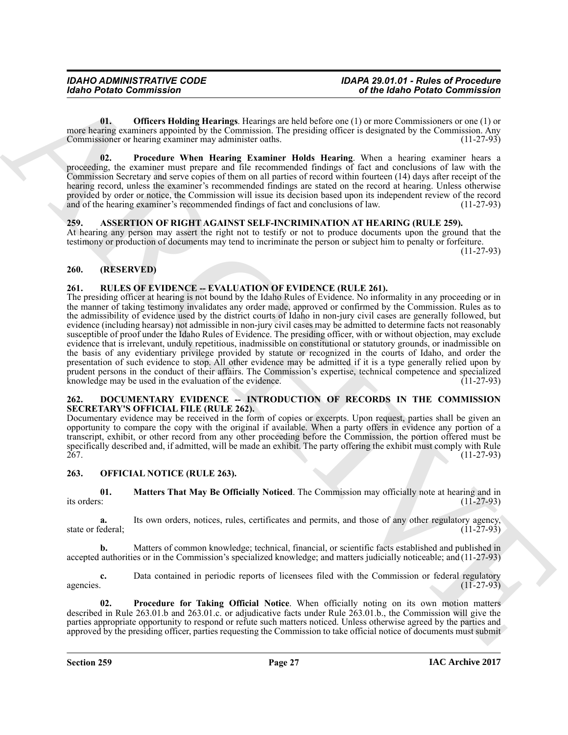<span id="page-26-6"></span>**01. Officers Holding Hearings**. Hearings are held before one (1) or more Commissioners or one (1) or more hearing examiners appointed by the Commission. The presiding officer is designated by the Commission. Any<br>Commissioner or hearing examiner may administer oaths. (11-27-93) Commissioner or hearing examiner may administer oaths.

<span id="page-26-7"></span>**02. Procedure When Hearing Examiner Holds Hearing**. When a hearing examiner hears a proceeding, the examiner must prepare and file recommended findings of fact and conclusions of law with the Commission Secretary and serve copies of them on all parties of record within fourteen (14) days after receipt of the hearing record, unless the examiner's recommended findings are stated on the record at hearing. Unless otherwise provided by order or notice, the Commission will issue its decision based upon its independent review of the record and of the hearing examiner's recommended findings of fact and conclusions of law. (11-27-93) and of the hearing examiner's recommended findings of fact and conclusions of law.

#### <span id="page-26-5"></span><span id="page-26-0"></span>**259. ASSERTION OF RIGHT AGAINST SELF-INCRIMINATION AT HEARING (RULE 259).**

At hearing any person may assert the right not to testify or not to produce documents upon the ground that the testimony or production of documents may tend to incriminate the person or subject him to penalty or forfeiture.

(11-27-93)

#### <span id="page-26-1"></span>**260. (RESERVED)**

### <span id="page-26-12"></span><span id="page-26-2"></span>**261. RULES OF EVIDENCE -- EVALUATION OF EVIDENCE (RULE 261).**

Gotio Points Commission<br>
Calcular Commission<br>
Units (Commission Commission Commission Commission Commission Commission Commission Commission Commission Commission Commission Commission Commission Commission Commission Com The presiding officer at hearing is not bound by the Idaho Rules of Evidence. No informality in any proceeding or in the manner of taking testimony invalidates any order made, approved or confirmed by the Commission. Rules as to the admissibility of evidence used by the district courts of Idaho in non-jury civil cases are generally followed, but evidence (including hearsay) not admissible in non-jury civil cases may be admitted to determine facts not reasonably susceptible of proof under the Idaho Rules of Evidence. The presiding officer, with or without objection, may exclude evidence that is irrelevant, unduly repetitious, inadmissible on constitutional or statutory grounds, or inadmissible on the basis of any evidentiary privilege provided by statute or recognized in the courts of Idaho, and order the presentation of such evidence to stop. All other evidence may be admitted if it is a type generally relied upon by prudent persons in the conduct of their affairs. The Commission's expertise, technical competence and specialized<br>knowledge may be used in the evaluation of the evidence. (11-27-93) knowledge may be used in the evaluation of the evidence.

#### <span id="page-26-8"></span><span id="page-26-3"></span>**262. DOCUMENTARY EVIDENCE -- INTRODUCTION OF RECORDS IN THE COMMISSION SECRETARY'S OFFICIAL FILE (RULE 262).**

Documentary evidence may be received in the form of copies or excerpts. Upon request, parties shall be given an opportunity to compare the copy with the original if available. When a party offers in evidence any portion of a transcript, exhibit, or other record from any other proceeding before the Commission, the portion offered must be specifically described and, if admitted, will be made an exhibit. The party offering the exhibit must comply with Rule 267. 267. (11-27-93)

#### <span id="page-26-9"></span><span id="page-26-4"></span>**263. OFFICIAL NOTICE (RULE 263).**

<span id="page-26-10"></span>**01. Matters That May Be Officially Noticed**. The Commission may officially note at hearing and in its orders:  $(11-27-93)$ 

**a.** Its own orders, notices, rules, certificates and permits, and those of any other regulatory agency, ederal: (11-27-93) state or federal;

**b.** Matters of common knowledge; technical, financial, or scientific facts established and published in accepted authorities or in the Commission's specialized knowledge; and matters judicially noticeable; and (11-27-93)

**c.** Data contained in periodic reports of licensees filed with the Commission or federal regulatory agencies.  $(11-27-93)$ 

<span id="page-26-11"></span>**02. Procedure for Taking Official Notice**. When officially noting on its own motion matters described in Rule 263.01.b and 263.01.c. or adjudicative facts under Rule 263.01.b., the Commission will give the parties appropriate opportunity to respond or refute such matters noticed. Unless otherwise agreed by the parties and approved by the presiding officer, parties requesting the Commission to take official notice of documents must submit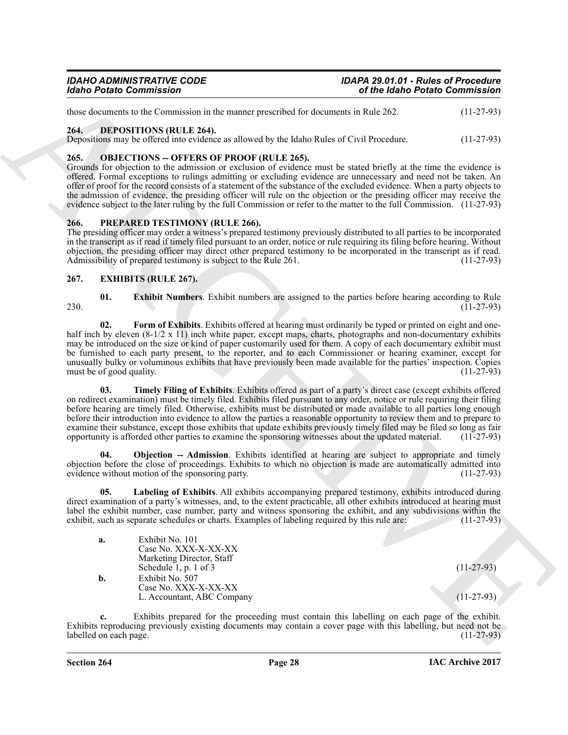#### <span id="page-27-4"></span><span id="page-27-0"></span>**264. DEPOSITIONS (RULE 264).**

#### <span id="page-27-11"></span><span id="page-27-1"></span>**265. OBJECTIONS -- OFFERS OF PROOF (RULE 265).**

#### <span id="page-27-12"></span><span id="page-27-2"></span>**266. PREPARED TESTIMONY (RULE 266).**

### <span id="page-27-10"></span><span id="page-27-9"></span><span id="page-27-8"></span><span id="page-27-7"></span><span id="page-27-6"></span><span id="page-27-5"></span><span id="page-27-3"></span>**267. EXHIBITS (RULE 267).**

| <b>Idaho Potato Commission</b>                                                                                                                                                                                                                                                                                                                                                                                                                                                                                                                                                                                                                                                | of the Idaho Potato Commission                                                                        |                              |
|-------------------------------------------------------------------------------------------------------------------------------------------------------------------------------------------------------------------------------------------------------------------------------------------------------------------------------------------------------------------------------------------------------------------------------------------------------------------------------------------------------------------------------------------------------------------------------------------------------------------------------------------------------------------------------|-------------------------------------------------------------------------------------------------------|------------------------------|
| those documents to the Commission in the manner prescribed for documents in Rule 262.                                                                                                                                                                                                                                                                                                                                                                                                                                                                                                                                                                                         |                                                                                                       | $(11-27-93)$                 |
| <b>DEPOSITIONS (RULE 264).</b><br>264.<br>Depositions may be offered into evidence as allowed by the Idaho Rules of Civil Procedure.                                                                                                                                                                                                                                                                                                                                                                                                                                                                                                                                          |                                                                                                       | $(11-27-93)$                 |
| 265.<br><b>OBJECTIONS - OFFERS OF PROOF (RULE 265).</b><br>Grounds for objection to the admission or exclusion of evidence must be stated briefly at the time the evidence is<br>offered. Formal exceptions to rulings admitting or excluding evidence are unnecessary and need not be taken. An<br>offer of proof for the record consists of a statement of the substance of the excluded evidence. When a party objects to<br>the admission of evidence, the presiding officer will rule on the objection or the presiding officer may receive the<br>evidence subject to the later ruling by the full Commission or refer to the matter to the full Commission. (11-27-93) |                                                                                                       |                              |
| 266.<br><b>PREPARED TESTIMONY (RULE 266).</b><br>The presiding officer may order a witness's prepared testimony previously distributed to all parties to be incorporated<br>in the transcript as if read if timely filed pursuant to an order, notice or rule requiring its filing before hearing. Without<br>objection, the presiding officer may direct other prepared testimony to be incorporated in the transcript as if read.<br>Admissibility of prepared testimony is subject to the Rule 261.                                                                                                                                                                        |                                                                                                       | $(11-27-93)$                 |
| 267.<br><b>EXHIBITS (RULE 267).</b>                                                                                                                                                                                                                                                                                                                                                                                                                                                                                                                                                                                                                                           |                                                                                                       |                              |
| 01.<br>230.                                                                                                                                                                                                                                                                                                                                                                                                                                                                                                                                                                                                                                                                   | <b>Exhibit Numbers.</b> Exhibit numbers are assigned to the parties before hearing according to Rule  | $(11-27-93)$                 |
| 02.<br>half inch by eleven (8-1/2 x 11) inch white paper, except maps, charts, photographs and non-documentary exhibits<br>may be introduced on the size or kind of paper customarily used for them. A copy of each documentary exhibit must<br>be furnished to each party present, to the reporter, and to each Commissioner or hearing examiner, except for<br>unusually bulky or voluminous exhibits that have previously been made available for the parties' inspection. Copies<br>must be of good quality.                                                                                                                                                              | Form of Exhibits. Exhibits offered at hearing must ordinarily be typed or printed on eight and one-   | $(11-27-93)$                 |
| 03.<br>on redirect examination) must be timely filed. Exhibits filed pursuant to any order, notice or rule requiring their filing<br>before hearing are timely filed. Otherwise, exhibits must be distributed or made available to all parties long enough<br>before their introduction into evidence to allow the parties a reasonable opportunity to review them and to prepare to<br>examine their substance, except those exhibits that update exhibits previously timely filed may be filed so long as fair<br>opportunity is afforded other parties to examine the sponsoring witnesses about the updated material.                                                     | Timely Filing of Exhibits. Exhibits offered as part of a party's direct case (except exhibits offered | $(11-27-93)$                 |
| 04.<br>objection before the close of proceedings. Exhibits to which no objection is made are automatically admitted into<br>evidence without motion of the sponsoring party.                                                                                                                                                                                                                                                                                                                                                                                                                                                                                                  | <b>Objection -- Admission</b> . Exhibits identified at hearing are subject to appropriate and timely  | $(11-27-93)$                 |
| 05.<br>direct examination of a party's witnesses, and, to the extent practicable, all other exhibits introduced at hearing must<br>label the exhibit number, case number, party and witness sponsoring the exhibit, and any subdivisions within the<br>exhibit, such as separate schedules or charts. Examples of labeling required by this rule are:                                                                                                                                                                                                                                                                                                                         | Labeling of Exhibits. All exhibits accompanying prepared testimony, exhibits introduced during        | $(11-27-93)$                 |
| Exhibit No. 101<br>a.<br>Case No. XXX-X-XX-XX<br>Marketing Director, Staff                                                                                                                                                                                                                                                                                                                                                                                                                                                                                                                                                                                                    |                                                                                                       |                              |
| Schedule 1, p. 1 of $3$<br>Exhibit No. 507<br>b.<br>Case No. XXX-X-XX-XX<br>L. Accountant, ABC Company                                                                                                                                                                                                                                                                                                                                                                                                                                                                                                                                                                        |                                                                                                       | $(11-27-93)$<br>$(11-27-93)$ |
| $c_{\cdot}$<br>Exhibits reproducing previously existing documents may contain a cover page with this labelling, but need not be<br>labelled on each page.                                                                                                                                                                                                                                                                                                                                                                                                                                                                                                                     | Exhibits prepared for the proceeding must contain this labelling on each page of the exhibit.         |                              |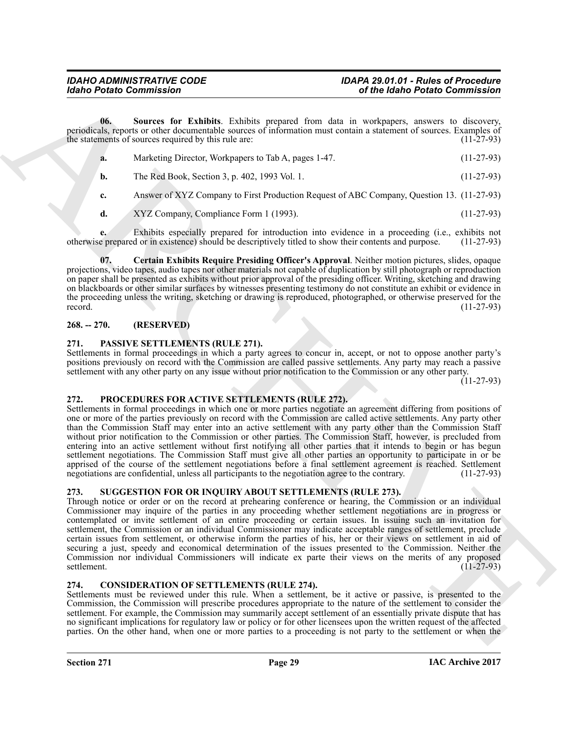**06. Sources for Exhibits**. Exhibits prepared from data in workpapers, answers to discovery, periodicals, reports or other documentable sources of information must contain a statement of sources. Examples of the statements of sources required by this rule are: (11-27-93)

<span id="page-28-7"></span>

|           | Marketing Director, Workpapers to Tab A, pages 1-47. | $(11-27-93)$ |
|-----------|------------------------------------------------------|--------------|
| <b>b.</b> | The Red Book, Section 3, p. 402, 1993 Vol. 1.        | $(11-27-93)$ |

**c.** Answer of XYZ Company to First Production Request of ABC Company, Question 13. (11-27-93)

<span id="page-28-6"></span>**d.** XYZ Company, Compliance Form 1 (1993). (11-27-93)

**e.** Exhibits especially prepared for introduction into evidence in a proceeding (i.e., exhibits not otherwise prepared or in existence) should be descriptively titled to show their contents and purpose. (11-27-93)

**07. Certain Exhibits Require Presiding Officer's Approval**. Neither motion pictures, slides, opaque projections, video tapes, audio tapes nor other materials not capable of duplication by still photograph or reproduction on paper shall be presented as exhibits without prior approval of the presiding officer. Writing, sketching and drawing on blackboards or other similar surfaces by witnesses presenting testimony do not constitute an exhibit or evidence in the proceeding unless the writing, sketching or drawing is reproduced, photographed, or otherwise preserved for the record. (11-27-93) record.  $(11-27-93)$ 

### <span id="page-28-0"></span>**268. -- 270. (RESERVED)**

#### <span id="page-28-8"></span><span id="page-28-1"></span>**271. PASSIVE SETTLEMENTS (RULE 271).**

Settlements in formal proceedings in which a party agrees to concur in, accept, or not to oppose another party's positions previously on record with the Commission are called passive settlements. Any party may reach a passive settlement with any other party on any issue without prior notification to the Commission or any other party.

(11-27-93)

#### <span id="page-28-9"></span><span id="page-28-2"></span>**272. PROCEDURES FOR ACTIVE SETTLEMENTS (RULE 272).**

Globa Points Commission<br>
Under Commission Commission Commission Commission Commission Commission Commission Commission Commission Commission Commission Commission Commission Commission Commission Commission Commission Com Settlements in formal proceedings in which one or more parties negotiate an agreement differing from positions of one or more of the parties previously on record with the Commission are called active settlements. Any party other than the Commission Staff may enter into an active settlement with any party other than the Commission Staff without prior notification to the Commission or other parties. The Commission Staff, however, is precluded from entering into an active settlement without first notifying all other parties that it intends to begin or has begun settlement negotiations. The Commission Staff must give all other parties an opportunity to participate in or be apprised of the course of the settlement negotiations before a final settlement agreement is reached. Settlement negotiations are confidential, unless all participants to the negotiation agree to the contrary. (11-27-93) negotiations are confidential, unless all participants to the negotiation agree to the contrary.

### <span id="page-28-10"></span><span id="page-28-3"></span>**273. SUGGESTION FOR OR INQUIRY ABOUT SETTLEMENTS (RULE 273).**

Through notice or order or on the record at prehearing conference or hearing, the Commission or an individual Commissioner may inquire of the parties in any proceeding whether settlement negotiations are in progress or contemplated or invite settlement of an entire proceeding or certain issues. In issuing such an invitation for settlement, the Commission or an individual Commissioner may indicate acceptable ranges of settlement, preclude certain issues from settlement, or otherwise inform the parties of his, her or their views on settlement in aid of securing a just, speedy and economical determination of the issues presented to the Commission. Neither the Commission nor individual Commissioners will indicate ex parte their views on the merits of any proposed settlement. (11-27-93)

#### <span id="page-28-5"></span><span id="page-28-4"></span>**274. CONSIDERATION OF SETTLEMENTS (RULE 274).**

Settlements must be reviewed under this rule. When a settlement, be it active or passive, is presented to the Commission, the Commission will prescribe procedures appropriate to the nature of the settlement to consider the settlement. For example, the Commission may summarily accept settlement of an essentially private dispute that has no significant implications for regulatory law or policy or for other licensees upon the written request of the affected parties. On the other hand, when one or more parties to a proceeding is not party to the settlement or when the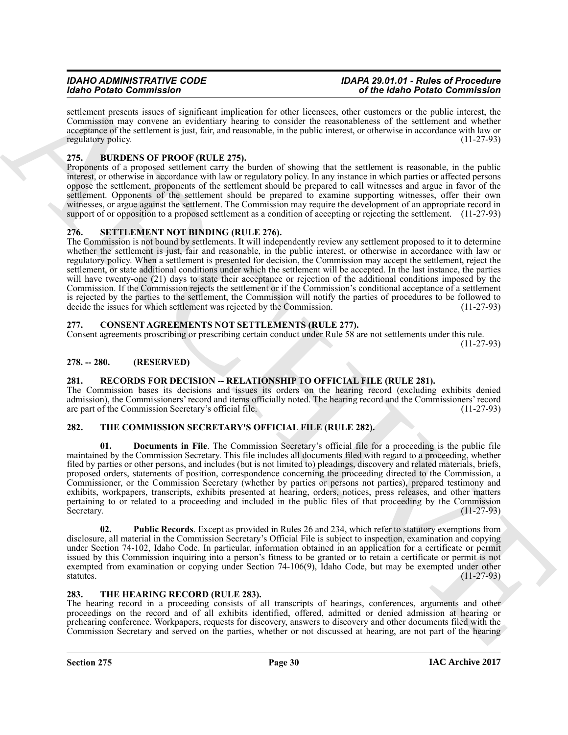settlement presents issues of significant implication for other licensees, other customers or the public interest, the Commission may convene an evidentiary hearing to consider the reasonableness of the settlement and whether acceptance of the settlement is just, fair, and reasonable, in the public interest, or otherwise in accordance with law or regulatory policy. (11-27-93)

# <span id="page-29-7"></span><span id="page-29-0"></span>**275. BURDENS OF PROOF (RULE 275).**

Proponents of a proposed settlement carry the burden of showing that the settlement is reasonable, in the public interest, or otherwise in accordance with law or regulatory policy. In any instance in which parties or affected persons oppose the settlement, proponents of the settlement should be prepared to call witnesses and argue in favor of the settlement. Opponents of the settlement should be prepared to examine supporting witnesses, offer their own witnesses, or argue against the settlement. The Commission may require the development of an appropriate record in support of or opposition to a proposed settlement as a condition of accepting or rejecting the settlement. (11-27-93)

# <span id="page-29-10"></span><span id="page-29-1"></span>**276. SETTLEMENT NOT BINDING (RULE 276).**

The Commission is not bound by settlements. It will independently review any settlement proposed to it to determine whether the settlement is just, fair and reasonable, in the public interest, or otherwise in accordance with law or regulatory policy. When a settlement is presented for decision, the Commission may accept the settlement, reject the settlement, or state additional conditions under which the settlement will be accepted. In the last instance, the parties will have twenty-one (21) days to state their acceptance or rejection of the additional conditions imposed by the Commission. If the Commission rejects the settlement or if the Commission's conditional acceptance of a settlement is rejected by the parties to the settlement, the Commission will notify the parties of procedures to be followed to decide the issues for which settlement was rejected by the Commission. (11-27-93) decide the issues for which settlement was rejected by the Commission.

#### <span id="page-29-8"></span><span id="page-29-2"></span>**277. CONSENT AGREEMENTS NOT SETTLEMENTS (RULE 277).**

Consent agreements proscribing or prescribing certain conduct under Rule 58 are not settlements under this rule. (11-27-93)

# <span id="page-29-3"></span>**278. -- 280. (RESERVED)**

# <span id="page-29-9"></span><span id="page-29-4"></span>**281. RECORDS FOR DECISION -- RELATIONSHIP TO OFFICIAL FILE (RULE 281).**

The Commission bases its decisions and issues its orders on the hearing record (excluding exhibits denied admission), the Commissioners' record and items officially noted. The hearing record and the Commissioners' record are part of the Commission Secretary's official file.

### <span id="page-29-12"></span><span id="page-29-11"></span><span id="page-29-5"></span>**282. THE COMMISSION SECRETARY'S OFFICIAL FILE (RULE 282).**

Mode Protocol Construction Constraint (a) the state of the state of the Mole Protocol Constraint (a) the state of the Mole Protocol Constraint (a) the state of the Mole Protocol Constraint (a) the state of the Mole Protoc **Documents in File**. The Commission Secretary's official file for a proceeding is the public file maintained by the Commission Secretary. This file includes all documents filed with regard to a proceeding, whether filed by parties or other persons, and includes (but is not limited to) pleadings, discovery and related materials, briefs, proposed orders, statements of position, correspondence concerning the proceeding directed to the Commission, a Commissioner, or the Commission Secretary (whether by parties or persons not parties), prepared testimony and exhibits, workpapers, transcripts, exhibits presented at hearing, orders, notices, press releases, and other matters pertaining to or related to a proceeding and included in the public files of that proceeding by the Commission<br>Secretary. (11-27-93) Secretary.  $(11-27-93)$ 

<span id="page-29-13"></span>**02. Public Records**. Except as provided in Rules 26 and 234, which refer to statutory exemptions from disclosure, all material in the Commission Secretary's Official File is subject to inspection, examination and copying under Section 74-102, Idaho Code. In particular, information obtained in an application for a certificate or permit issued by this Commission inquiring into a person's fitness to be granted or to retain a certificate or permit is not exempted from examination or copying under Section 74-106(9), Idaho Code, but may be exempted under other statutes. (11-27-93) statutes.  $(11-27-93)$ 

### <span id="page-29-14"></span><span id="page-29-6"></span>**283. THE HEARING RECORD (RULE 283).**

The hearing record in a proceeding consists of all transcripts of hearings, conferences, arguments and other proceedings on the record and of all exhibits identified, offered, admitted or denied admission at hearing or prehearing conference. Workpapers, requests for discovery, answers to discovery and other documents filed with the Commission Secretary and served on the parties, whether or not discussed at hearing, are not part of the hearing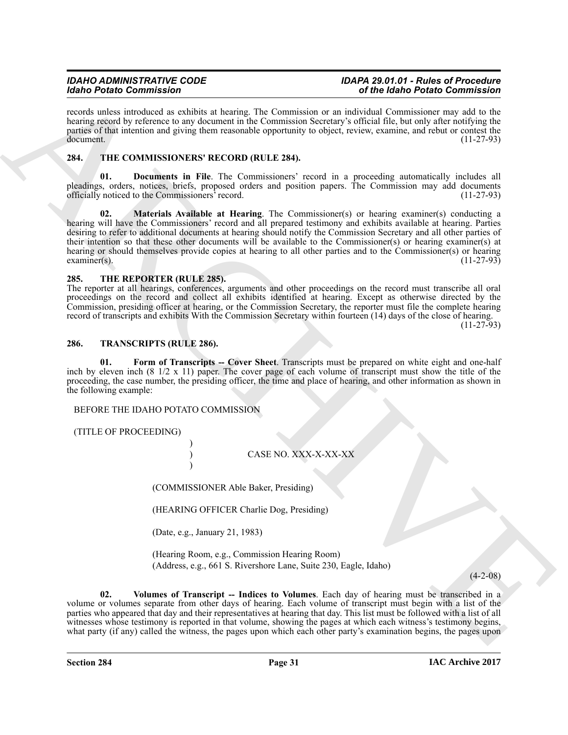records unless introduced as exhibits at hearing. The Commission or an individual Commissioner may add to the hearing record by reference to any document in the Commission Secretary's official file, but only after notifying the parties of that intention and giving them reasonable opportunity to object, review, examine, and rebut or contest the  $d$ ocument.  $(11-27-93)$ 

# <span id="page-30-3"></span><span id="page-30-0"></span>**284. THE COMMISSIONERS' RECORD (RULE 284).**

<span id="page-30-5"></span><span id="page-30-4"></span>**01. Documents in File**. The Commissioners' record in a proceeding automatically includes all pleadings, orders, notices, briefs, proposed orders and position papers. The Commission may add documents officially noticed to the Commissioners' record. (11-27-93)

Mode Praise Commissions Commission and the Commission and the Mole Deal Commission and the Mole Deal Commission and the Mole Deal Commission and the Mole Deal Commission and the Mole Deal Commission and the Mole Deal Com **02. Materials Available at Hearing**. The Commissioner(s) or hearing examiner(s) conducting a hearing will have the Commissioners' record and all prepared testimony and exhibits available at hearing. Parties desiring to refer to additional documents at hearing should notify the Commission Secretary and all other parties of their intention so that these other documents will be available to the Commissioner(s) or hearing examiner(s) at hearing or should themselves provide copies at hearing to all other parties and to the Commissioner(s) or hearing examiner(s).  $\alpha$  examiner(s). (11-27-93)

### <span id="page-30-6"></span><span id="page-30-1"></span>**285. THE REPORTER (RULE 285).**

The reporter at all hearings, conferences, arguments and other proceedings on the record must transcribe all oral proceedings on the record and collect all exhibits identified at hearing. Except as otherwise directed by the Commission, presiding officer at hearing, or the Commission Secretary, the reporter must file the complete hearing record of transcripts and exhibits With the Commission Secretary within fourteen (14) days of the close of hearing.

(11-27-93)

### <span id="page-30-7"></span><span id="page-30-2"></span>**286. TRANSCRIPTS (RULE 286).**

<span id="page-30-8"></span>**01. Form of Transcripts -- Cover Sheet**. Transcripts must be prepared on white eight and one-half inch by eleven inch (8 1/2 x 11) paper. The cover page of each volume of transcript must show the title of the proceeding, the case number, the presiding officer, the time and place of hearing, and other information as shown in the following example:

BEFORE THE IDAHO POTATO COMMISSION

)

)

(TITLE OF PROCEEDING)

) CASE NO. XXX-X-XX-XX

(COMMISSIONER Able Baker, Presiding)

(HEARING OFFICER Charlie Dog, Presiding)

(Date, e.g., January 21, 1983)

<span id="page-30-9"></span>(Hearing Room, e.g., Commission Hearing Room) (Address, e.g., 661 S. Rivershore Lane, Suite 230, Eagle, Idaho)

 $(4-2-08)$ 

**02. Volumes of Transcript -- Indices to Volumes**. Each day of hearing must be transcribed in a volume or volumes separate from other days of hearing. Each volume of transcript must begin with a list of the parties who appeared that day and their representatives at hearing that day. This list must be followed with a list of all witnesses whose testimony is reported in that volume, showing the pages at which each witness's testimony begins, what party (if any) called the witness, the pages upon which each other party's examination begins, the pages upon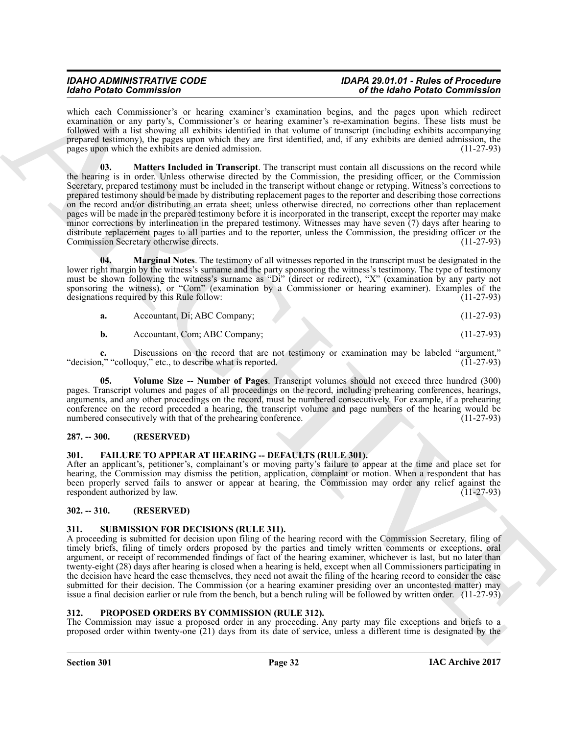<span id="page-31-9"></span>which each Commissioner's or hearing examiner's examination begins, and the pages upon which redirect examination or any party's, Commissioner's or hearing examiner's re-examination begins. These lists must be followed with a list showing all exhibits identified in that volume of transcript (including exhibits accompanying prepared testimony), the pages upon which they are first identified, and, if any exhibits are denied admission, the pages upon which the exhibits are denied admission. (11-27-93)

Mode Printe Commissions 1 at the state of the state of the black of the black of the commission of the commission of the commission of the commission of the commission of the commission of the commission of the commission **03. Matters Included in Transcript**. The transcript must contain all discussions on the record while the hearing is in order. Unless otherwise directed by the Commission, the presiding officer, or the Commission Secretary, prepared testimony must be included in the transcript without change or retyping. Witness's corrections to prepared testimony should be made by distributing replacement pages to the reporter and describing those corrections on the record and/or distributing an errata sheet; unless otherwise directed, no corrections other than replacement pages will be made in the prepared testimony before it is incorporated in the transcript, except the reporter may make minor corrections by interlineation in the prepared testimony. Witnesses may have seven (7) days after hearing to distribute replacement pages to all parties and to the reporter, unless the Commission, the presiding officer or the Commission Secretary otherwise directs. (11-27-93)

<span id="page-31-8"></span>**04. Marginal Notes**. The testimony of all witnesses reported in the transcript must be designated in the lower right margin by the witness's surname and the party sponsoring the witness's testimony. The type of testimony must be shown following the witness's surname as "Di" (direct or redirect), "X" (examination by any party not sponsoring the witness), or "Com" (examination by a Commissioner or hearing examiner). Examples of the designations required by this Rule follow: (11-27-93)

| Accountant, Di; ABC Company; |  | $(11-27-93)$ |
|------------------------------|--|--------------|
|                              |  |              |

<span id="page-31-10"></span>**b.** Accountant, Com; ABC Company; (11-27-93)

**c.** Discussions on the record that are not testimony or examination may be labeled "argument,"  $n$ ," "colloguy," etc., to describe what is reported. (11-27-93) "decision," "colloquy," etc., to describe what is reported.

**05. Volume Size -- Number of Pages**. Transcript volumes should not exceed three hundred (300) pages. Transcript volumes and pages of all proceedings on the record, including prehearing conferences, hearings, arguments, and any other proceedings on the record, must be numbered consecutively. For example, if a prehearing conference on the record preceded a hearing, the transcript volume and page numbers of the hearing would be numbered consecutively with that of the prehearing conference. (11-27-93) numbered consecutively with that of the prehearing conference.

### <span id="page-31-0"></span>**287. -- 300. (RESERVED)**

### <span id="page-31-5"></span><span id="page-31-1"></span>**301. FAILURE TO APPEAR AT HEARING -- DEFAULTS (RULE 301).**

After an applicant's, petitioner's, complainant's or moving party's failure to appear at the time and place set for hearing, the Commission may dismiss the petition, application, complaint or motion. When a respondent that has been properly served fails to answer or appear at hearing, the Commission may order any relief against the respondent authorized by law. (11-27-93)

### <span id="page-31-2"></span>**302. -- 310. (RESERVED)**

#### <span id="page-31-7"></span><span id="page-31-3"></span>**311. SUBMISSION FOR DECISIONS (RULE 311).**

A proceeding is submitted for decision upon filing of the hearing record with the Commission Secretary, filing of timely briefs, filing of timely orders proposed by the parties and timely written comments or exceptions, oral argument, or receipt of recommended findings of fact of the hearing examiner, whichever is last, but no later than twenty-eight (28) days after hearing is closed when a hearing is held, except when all Commissioners participating in the decision have heard the case themselves, they need not await the filing of the hearing record to consider the case submitted for their decision. The Commission (or a hearing examiner presiding over an uncontested matter) may issue a final decision earlier or rule from the bench, but a bench ruling will be followed by written order. (11-27-93)

### <span id="page-31-6"></span><span id="page-31-4"></span>**312. PROPOSED ORDERS BY COMMISSION (RULE 312).**

The Commission may issue a proposed order in any proceeding. Any party may file exceptions and briefs to a proposed order within twenty-one (21) days from its date of service, unless a different time is designated by the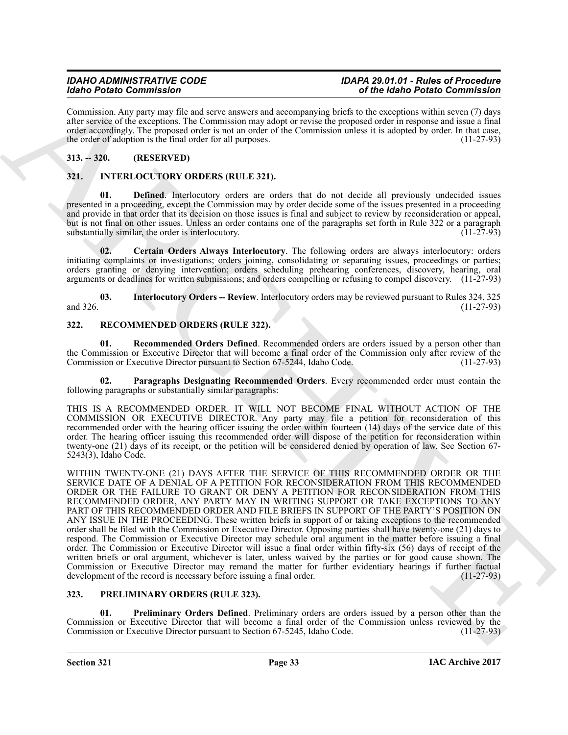Commission. Any party may file and serve answers and accompanying briefs to the exceptions within seven (7) days after service of the exceptions. The Commission may adopt or revise the proposed order in response and issue a final order accordingly. The proposed order is not an order of the Commission unless it is adopted by order. In that case, the order of adoption is the final order for all purposes. (11-27-93)

# <span id="page-32-0"></span>**313. -- 320. (RESERVED)**

# <span id="page-32-4"></span><span id="page-32-1"></span>**321. INTERLOCUTORY ORDERS (RULE 321).**

<span id="page-32-6"></span>**Defined**. Interlocutory orders are orders that do not decide all previously undecided issues presented in a proceeding, except the Commission may by order decide some of the issues presented in a proceeding and provide in that order that its decision on those issues is final and subject to review by reconsideration or appeal, but is not final on other issues. Unless an order contains one of the paragraphs set forth in Rule 322 or a paragraph<br>substantially similar, the order is interlocutory. (11-27-93) substantially similar, the order is interlocutory.

<span id="page-32-5"></span>**02. Certain Orders Always Interlocutory**. The following orders are always interlocutory: orders initiating complaints or investigations; orders joining, consolidating or separating issues, proceedings or parties; orders granting or denying intervention; orders scheduling prehearing conferences, discovery, hearing, oral arguments or deadlines for written submissions; and orders compelling or refusing to compel discovery. (11-27-93)

<span id="page-32-7"></span>**03. Interlocutory Orders -- Review**. Interlocutory orders may be reviewed pursuant to Rules 324, 325 and 326.  $(11-27-93)$ 

# <span id="page-32-10"></span><span id="page-32-2"></span>**322. RECOMMENDED ORDERS (RULE 322).**

<span id="page-32-12"></span>**01. Recommended Orders Defined**. Recommended orders are orders issued by a person other than the Commission or Executive Director that will become a final order of the Commission only after review of the<br>Commission or Executive Director pursuant to Section 67-5244, Idaho Code. (11-27-93) Commission or Executive Director pursuant to Section 67-5244, Idaho Code.

<span id="page-32-11"></span>**02. Paragraphs Designating Recommended Orders**. Every recommended order must contain the following paragraphs or substantially similar paragraphs:

THIS IS A RECOMMENDED ORDER. IT WILL NOT BECOME FINAL WITHOUT ACTION OF THE COMMISSION OR EXECUTIVE DIRECTOR. Any party may file a petition for reconsideration of this recommended order with the hearing officer issuing the order within fourteen (14) days of the service date of this order. The hearing officer issuing this recommended order will dispose of the petition for reconsideration within twenty-one (21) days of its receipt, or the petition will be considered denied by operation of law. See Section 67- 5243(3), Idaho Code.

Mode Pratical Commission Control in the state of the Mole Pratical Commission Commission (2013)<br>
Commission Commission Commission Commission Commission Commission Commission Commission Commission Commission<br>
Commission Co WITHIN TWENTY-ONE (21) DAYS AFTER THE SERVICE OF THIS RECOMMENDED ORDER OR THE SERVICE DATE OF A DENIAL OF A PETITION FOR RECONSIDERATION FROM THIS RECOMMENDED ORDER OR THE FAILURE TO GRANT OR DENY A PETITION FOR RECONSIDERATION FROM THIS RECOMMENDED ORDER, ANY PARTY MAY IN WRITING SUPPORT OR TAKE EXCEPTIONS TO ANY PART OF THIS RECOMMENDED ORDER AND FILE BRIEFS IN SUPPORT OF THE PARTY'S POSITION ON ANY ISSUE IN THE PROCEEDING. These written briefs in support of or taking exceptions to the recommended order shall be filed with the Commission or Executive Director. Opposing parties shall have twenty-one (21) days to respond. The Commission or Executive Director may schedule oral argument in the matter before issuing a final order. The Commission or Executive Director will issue a final order within fifty-six (56) days of receipt of the written briefs or oral argument, whichever is later, unless waived by the parties or for good cause shown. The Commission or Executive Director may remand the matter for further evidentiary hearings if further factual development of the record is necessary before issuing a final order. (11-27-93) development of the record is necessary before issuing a final order.

# <span id="page-32-8"></span><span id="page-32-3"></span>**323. PRELIMINARY ORDERS (RULE 323).**

<span id="page-32-9"></span>**01. Preliminary Orders Defined**. Preliminary orders are orders issued by a person other than the Commission or Executive Director that will become a final order of the Commission unless reviewed by the Commission or Executive Director pursuant to Section 67-5245, Idaho Code.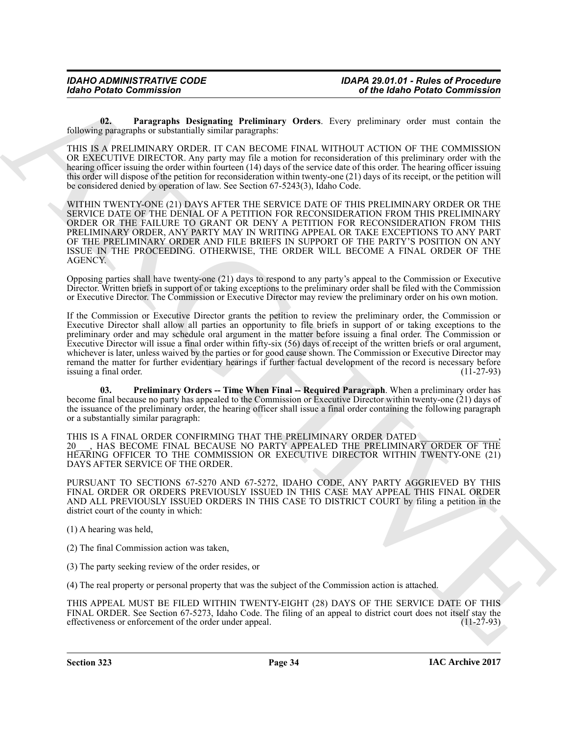<span id="page-33-0"></span>**02. Paragraphs Designating Preliminary Orders**. Every preliminary order must contain the following paragraphs or substantially similar paragraphs:

THIS IS A PRELIMINARY ORDER. IT CAN BECOME FINAL WITHOUT ACTION OF THE COMMISSION OR EXECUTIVE DIRECTOR. Any party may file a motion for reconsideration of this preliminary order with the hearing officer issuing the order within fourteen (14) days of the service date of this order. The hearing officer issuing this order will dispose of the petition for reconsideration within twenty-one (21) days of its receipt, or the petition will be considered denied by operation of law. See Section 67-5243(3), Idaho Code.

WITHIN TWENTY-ONE (21) DAYS AFTER THE SERVICE DATE OF THIS PRELIMINARY ORDER OR THE SERVICE DATE OF THE DENIAL OF A PETITION FOR RECONSIDERATION FROM THIS PRELIMINARY ORDER OR THE FAILURE TO GRANT OR DENY A PETITION FOR RECONSIDERATION FROM THIS PRELIMINARY ORDER, ANY PARTY MAY IN WRITING APPEAL OR TAKE EXCEPTIONS TO ANY PART OF THE PRELIMINARY ORDER AND FILE BRIEFS IN SUPPORT OF THE PARTY'S POSITION ON ANY ISSUE IN THE PROCEEDING. OTHERWISE, THE ORDER WILL BECOME A FINAL ORDER OF THE AGENCY.

Opposing parties shall have twenty-one (21) days to respond to any party's appeal to the Commission or Executive Director. Written briefs in support of or taking exceptions to the preliminary order shall be filed with the Commission or Executive Director. The Commission or Executive Director may review the preliminary order on his own motion.

Golnia Patietic Commission<br>
Color Patietic Commission<br>
Color Patietic Commission<br>
Color Patietic Color Patietic Color Patietic Color Patietic Color Patietic Color Patietic Color Patietic Color Patietic Color Patietic Colo If the Commission or Executive Director grants the petition to review the preliminary order, the Commission or Executive Director shall allow all parties an opportunity to file briefs in support of or taking exceptions to the preliminary order and may schedule oral argument in the matter before issuing a final order. The Commission or Executive Director will issue a final order within fifty-six (56) days of receipt of the written briefs or oral argument, whichever is later, unless waived by the parties or for good cause shown. The Commission or Executive Director may remand the matter for further evidentiary hearings if further factual development of the record is necessary before issuing a final order. (11-27-93) issuing a final order.

<span id="page-33-1"></span>**03. Preliminary Orders -- Time When Final -- Required Paragraph**. When a preliminary order has become final because no party has appealed to the Commission or Executive Director within twenty-one (21) days of the issuance of the preliminary order, the hearing officer shall issue a final order containing the following paragraph or a substantially similar paragraph:

THIS IS A FINAL ORDER CONFIRMING THAT THE PRELIMINARY ORDER DATED 20\_\_\_, HAS BECOME FINAL BECAUSE NO PARTY APPEALED THE PRELIMINARY ORDER OF THE HEARING OFFICER TO THE COMMISSION OR EXECUTIVE DIRECTOR WITHIN TWENTY-ONE (21) DAYS AFTER SERVICE OF THE ORDER.

PURSUANT TO SECTIONS 67-5270 AND 67-5272, IDAHO CODE, ANY PARTY AGGRIEVED BY THIS FINAL ORDER OR ORDERS PREVIOUSLY ISSUED IN THIS CASE MAY APPEAL THIS FINAL ORDER AND ALL PREVIOUSLY ISSUED ORDERS IN THIS CASE TO DISTRICT COURT by filing a petition in the district court of the county in which:

(1) A hearing was held,

(2) The final Commission action was taken,

(3) The party seeking review of the order resides, or

(4) The real property or personal property that was the subject of the Commission action is attached.

THIS APPEAL MUST BE FILED WITHIN TWENTY-EIGHT (28) DAYS OF THE SERVICE DATE OF THIS FINAL ORDER. See Section 67-5273, Idaho Code. The filing of an appeal to district court does not itself stay the effectiveness or enforcement of the order under appeal. (11-27-93) effectiveness or enforcement of the order under appeal.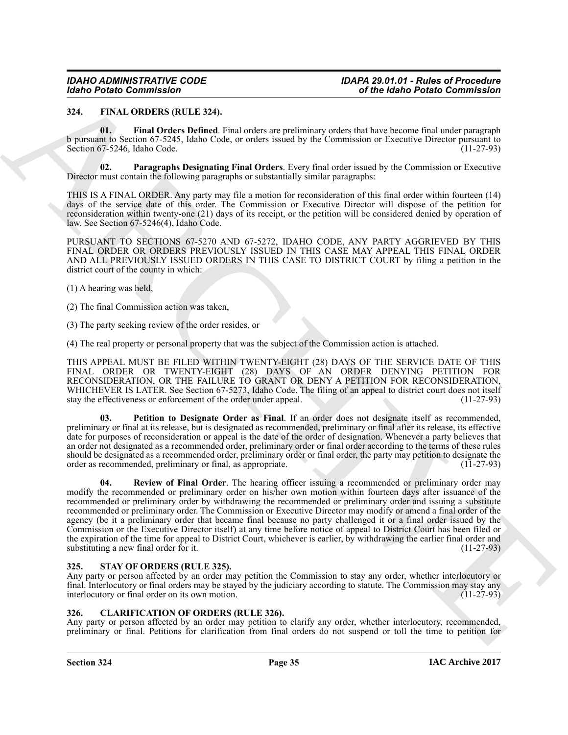#### <span id="page-34-4"></span><span id="page-34-0"></span>**324. FINAL ORDERS (RULE 324).**

<span id="page-34-5"></span>**01. Final Orders Defined**. Final orders are preliminary orders that have become final under paragraph b pursuant to Section 67-5245, Idaho Code, or orders issued by the Commission or Executive Director pursuant to Section 67-5246, Idaho Code. (11-27-93)

<span id="page-34-6"></span>**02. Paragraphs Designating Final Orders**. Every final order issued by the Commission or Executive Director must contain the following paragraphs or substantially similar paragraphs:

THIS IS A FINAL ORDER. Any party may file a motion for reconsideration of this final order within fourteen (14) days of the service date of this order. The Commission or Executive Director will dispose of the petition for reconsideration within twenty-one (21) days of its receipt, or the petition will be considered denied by operation of law. See Section 67-5246(4), Idaho Code.

PURSUANT TO SECTIONS 67-5270 AND 67-5272, IDAHO CODE, ANY PARTY AGGRIEVED BY THIS FINAL ORDER OR ORDERS PREVIOUSLY ISSUED IN THIS CASE MAY APPEAL THIS FINAL ORDER AND ALL PREVIOUSLY ISSUED ORDERS IN THIS CASE TO DISTRICT COURT by filing a petition in the district court of the county in which:

(1) A hearing was held,

(2) The final Commission action was taken,

(3) The party seeking review of the order resides, or

(4) The real property or personal property that was the subject of the Commission action is attached.

THIS APPEAL MUST BE FILED WITHIN TWENTY-EIGHT (28) DAYS OF THE SERVICE DATE OF THIS FINAL ORDER OR TWENTY-EIGHT (28) DAYS OF AN ORDER DENYING PETITION FOR RECONSIDERATION, OR THE FAILURE TO GRANT OR DENY A PETITION FOR RECONSIDERATION, WHICHEVER IS LATER. See Section 67-5273, Idaho Code. The filing of an appeal to district court does not itself stay the effectiveness or enforcement of the order under appeal. (11-27-93) stay the effectiveness or enforcement of the order under appeal.

<span id="page-34-8"></span><span id="page-34-7"></span>**03. Petition to Designate Order as Final**. If an order does not designate itself as recommended, preliminary or final at its release, but is designated as recommended, preliminary or final after its release, its effective date for purposes of reconsideration or appeal is the date of the order of designation. Whenever a party believes that an order not designated as a recommended order, preliminary order or final order according to the terms of these rules should be designated as a recommended order, preliminary order or final order, the party may petition to designate the order as recommended, preliminary or final, as appropriate. (11-27-93) order as recommended, preliminary or final, as appropriate.

Globa Points Commission (1988)<br>
23. Particular Commission (1988)<br>
23. Particular Commission (1988)<br>
23. Particular Commission (1988)<br>
23. Particular Commission (1988)<br>
23. Particular Commission (1988)<br>
23. Particular Comm **04. Review of Final Order**. The hearing officer issuing a recommended or preliminary order may modify the recommended or preliminary order on his/her own motion within fourteen days after issuance of the recommended or preliminary order by withdrawing the recommended or preliminary order and issuing a substitute recommended or preliminary order. The Commission or Executive Director may modify or amend a final order of the agency (be it a preliminary order that became final because no party challenged it or a final order issued by the Commission or the Executive Director itself) at any time before notice of appeal to District Court has been filed or the expiration of the time for appeal to District Court, whichever is earlier, by withdrawing the earlier final order and substituting a new final order for it. (11-27-93)

### <span id="page-34-9"></span><span id="page-34-1"></span>**325. STAY OF ORDERS (RULE 325).**

Any party or person affected by an order may petition the Commission to stay any order, whether interlocutory or final. Interlocutory or final orders may be stayed by the judiciary according to statute. The Commission may stay any interlocutory or final order on its own motion. interlocutory or final order on its own motion.

### <span id="page-34-3"></span><span id="page-34-2"></span>**326. CLARIFICATION OF ORDERS (RULE 326).**

Any party or person affected by an order may petition to clarify any order, whether interlocutory, recommended, preliminary or final. Petitions for clarification from final orders do not suspend or toll the time to petition for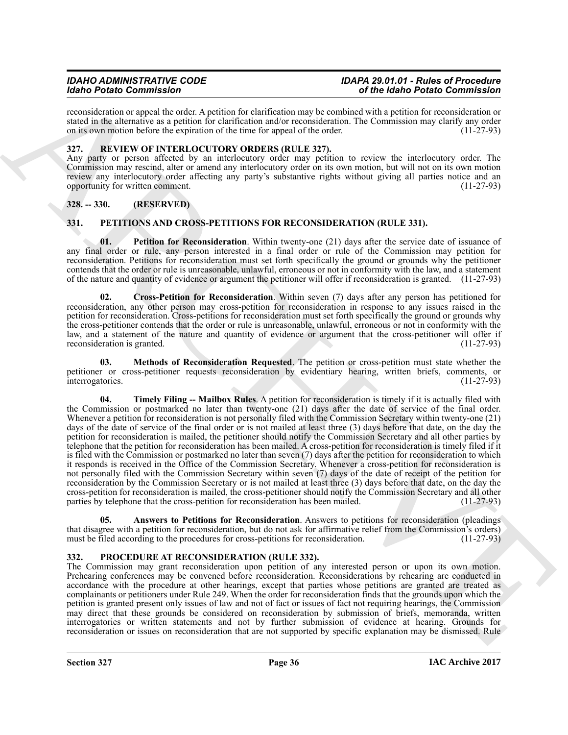reconsideration or appeal the order. A petition for clarification may be combined with a petition for reconsideration or stated in the alternative as a petition for clarification and/or reconsideration. The Commission may clarify any order<br>on its own motion before the expiration of the time for appeal of the order. (11-27-93) on its own motion before the expiration of the time for appeal of the order.

### <span id="page-35-11"></span><span id="page-35-0"></span>**327. REVIEW OF INTERLOCUTORY ORDERS (RULE 327).**

Any party or person affected by an interlocutory order may petition to review the interlocutory order. The Commission may rescind, alter or amend any interlocutory order on its own motion, but will not on its own motion review any interlocutory order affecting any party's substantive rights without giving all parties notice and an<br>
(11-27-93) opportunity for written comment.

# <span id="page-35-1"></span>**328. -- 330. (RESERVED)**

# <span id="page-35-4"></span><span id="page-35-2"></span>**331. PETITIONS AND CROSS-PETITIONS FOR RECONSIDERATION (RULE 331).**

<span id="page-35-8"></span>**01.** Petition for Reconsideration. Within twenty-one (21) days after the service date of issuance of any final order or rule, any person interested in a final order or rule of the Commission may petition for reconsideration. Petitions for reconsideration must set forth specifically the ground or grounds why the petitioner contends that the order or rule is unreasonable, unlawful, erroneous or not in conformity with the law, and a statement of the nature and quantity of evidence or argument the petitioner will offer if reconsideration is granted. (11-27-93)

<span id="page-35-6"></span>**02. Cross-Petition for Reconsideration**. Within seven (7) days after any person has petitioned for reconsideration, any other person may cross-petition for reconsideration in response to any issues raised in the petition for reconsideration. Cross-petitions for reconsideration must set forth specifically the ground or grounds why the cross-petitioner contends that the order or rule is unreasonable, unlawful, erroneous or not in conformity with the law, and a statement of the nature and quantity of evidence or argument that the cross-petitioner will offer if reconsideration is granted.

<span id="page-35-9"></span><span id="page-35-7"></span>**03. Methods of Reconsideration Requested**. The petition or cross-petition must state whether the petitioner or cross-petitioner requests reconsideration by evidentiary hearing, written briefs, comments, or interrogatories. (11-27-93) interrogatories.

Mode Period Commission of the third system in the state of the Mole Period Commission and the state of the Commission and the Commission of the Commission of the Commission of the Commission of the Commission of the Comm **04. Timely Filing -- Mailbox Rules**. A petition for reconsideration is timely if it is actually filed with the Commission or postmarked no later than twenty-one (21) days after the date of service of the final order. Whenever a petition for reconsideration is not personally filed with the Commission Secretary within twenty-one (21) days of the date of service of the final order or is not mailed at least three (3) days before that date, on the day the petition for reconsideration is mailed, the petitioner should notify the Commission Secretary and all other parties by telephone that the petition for reconsideration has been mailed. A cross-petition for reconsideration is timely filed if it is filed with the Commission or postmarked no later than seven (7) days after the petition for reconsideration to which it responds is received in the Office of the Commission Secretary. Whenever a cross-petition for reconsideration is not personally filed with the Commission Secretary within seven (7) days of the date of receipt of the petition for reconsideration by the Commission Secretary or is not mailed at least three (3) days before that date, on the day the cross-petition for reconsideration is mailed, the cross-petitioner should notify the Commission Secretary and all other parties by telephone that the cross-petition for reconsideration has been mailed. (11-27-93)

<span id="page-35-5"></span>**05. Answers to Petitions for Reconsideration**. Answers to petitions for reconsideration (pleadings that disagree with a petition for reconsideration, but do not ask for affirmative relief from the Commission's orders) must be filed according to the procedures for cross-petitions for reconsideration. (11-27-93) must be filed according to the procedures for cross-petitions for reconsideration.

### <span id="page-35-10"></span><span id="page-35-3"></span>**332. PROCEDURE AT RECONSIDERATION (RULE 332).**

The Commission may grant reconsideration upon petition of any interested person or upon its own motion. Prehearing conferences may be convened before reconsideration. Reconsiderations by rehearing are conducted in accordance with the procedure at other hearings, except that parties whose petitions are granted are treated as complainants or petitioners under Rule 249. When the order for reconsideration finds that the grounds upon which the petition is granted present only issues of law and not of fact or issues of fact not requiring hearings, the Commission may direct that these grounds be considered on reconsideration by submission of briefs, memoranda, written interrogatories or written statements and not by further submission of evidence at hearing. Grounds for reconsideration or issues on reconsideration that are not supported by specific explanation may be dismissed. Rule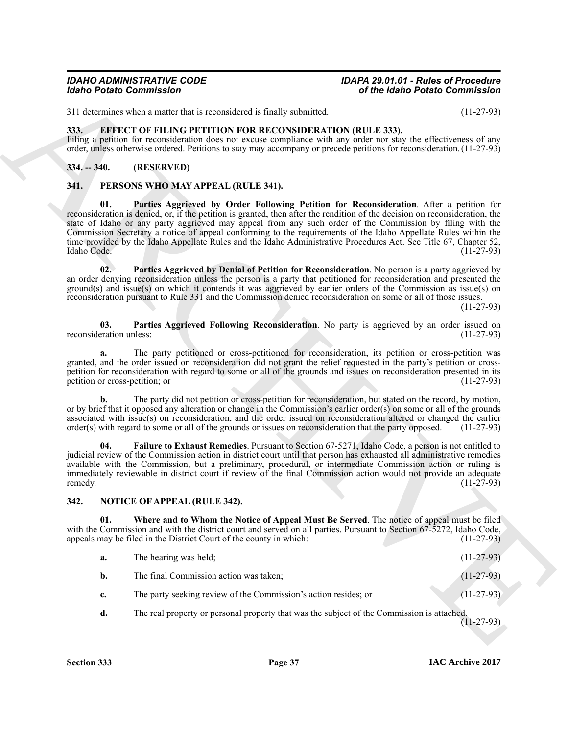311 determines when a matter that is reconsidered is finally submitted. (11-27-93)

### <span id="page-36-4"></span><span id="page-36-0"></span>**333. EFFECT OF FILING PETITION FOR RECONSIDERATION (RULE 333).**

Filing a petition for reconsideration does not excuse compliance with any order nor stay the effectiveness of any order, unless otherwise ordered. Petitions to stay may accompany or precede petitions for reconsideration. (11-27-93)

### <span id="page-36-1"></span>**334. -- 340. (RESERVED)**

### <span id="page-36-10"></span><span id="page-36-7"></span><span id="page-36-2"></span>**341. PERSONS WHO MAY APPEAL (RULE 341).**

Global Painto Commission<br>
31 december o mais de la revuester a studie session de session de la revuester a comparison de la revuester a studie de la revuester a studie de la revuester a studie de la revuester a studie de **01. Parties Aggrieved by Order Following Petition for Reconsideration**. After a petition for reconsideration is denied, or, if the petition is granted, then after the rendition of the decision on reconsideration, the state of Idaho or any party aggrieved may appeal from any such order of the Commission by filing with the Commission Secretary a notice of appeal conforming to the requirements of the Idaho Appellate Rules within the time provided by the Idaho Appellate Rules and the Idaho Administrative Procedures Act. See Title 67, Chapter 52, Idaho Code. (11-27-93) Idaho Code. (11-27-93)

<span id="page-36-9"></span>**02. Parties Aggrieved by Denial of Petition for Reconsideration**. No person is a party aggrieved by an order denying reconsideration unless the person is a party that petitioned for reconsideration and presented the ground(s) and issue(s) on which it contends it was aggrieved by earlier orders of the Commission as issue(s) on reconsideration pursuant to Rule 331 and the Commission denied reconsideration on some or all of those issues.

(11-27-93)

<span id="page-36-11"></span>**03.** Parties Aggrieved Following Reconsideration. No party is aggrieved by an order issued on eration unless: (11-27-93) reconsideration unless:

**a.** The party petitioned or cross-petitioned for reconsideration, its petition or cross-petition was granted, and the order issued on reconsideration did not grant the relief requested in the party's petition or crosspetition for reconsideration with regard to some or all of the grounds and issues on reconsideration presented in its petition or cross-petition; or petition or cross-petition; or

**b.** The party did not petition or cross-petition for reconsideration, but stated on the record, by motion, or by brief that it opposed any alteration or change in the Commission's earlier order(s) on some or all of the grounds associated with issue(s) on reconsideration, and the order issued on reconsideration altered or changed the earlier order(s) with regard to some or all of the grounds or issues on reconsideration that the party opposed. order(s) with regard to some or all of the grounds or issues on reconsideration that the party opposed.

<span id="page-36-8"></span>**04. Failure to Exhaust Remedies**. Pursuant to Section 67-5271, Idaho Code, a person is not entitled to judicial review of the Commission action in district court until that person has exhausted all administrative remedies available with the Commission, but a preliminary, procedural, or intermediate Commission action or ruling is immediately reviewable in district court if review of the final Commission action would not provide an adequate remedy. remedy.  $(11-27-93)$ 

#### <span id="page-36-5"></span><span id="page-36-3"></span>**342. NOTICE OF APPEAL (RULE 342).**

**01. Where and to Whom the Notice of Appeal Must Be Served**. The notice of appeal must be filed with the Commission and with the district court and served on all parties. Pursuant to Section 67-5272, Idaho Code, appeals may be filed in the District Court of the county in which: (11-27-93) appeals may be filed in the District Court of the county in which:

<span id="page-36-6"></span>

| а.            | The hearing was held:                                           | $(11-27-93)$ |
|---------------|-----------------------------------------------------------------|--------------|
| b.            | The final Commission action was taken;                          | $(11-27-93)$ |
| $c_{\bullet}$ | The party seeking review of the Commission's action resides; or | $(11-27-93)$ |

**d.** The real property or personal property that was the subject of the Commission is attached. (11-27-93)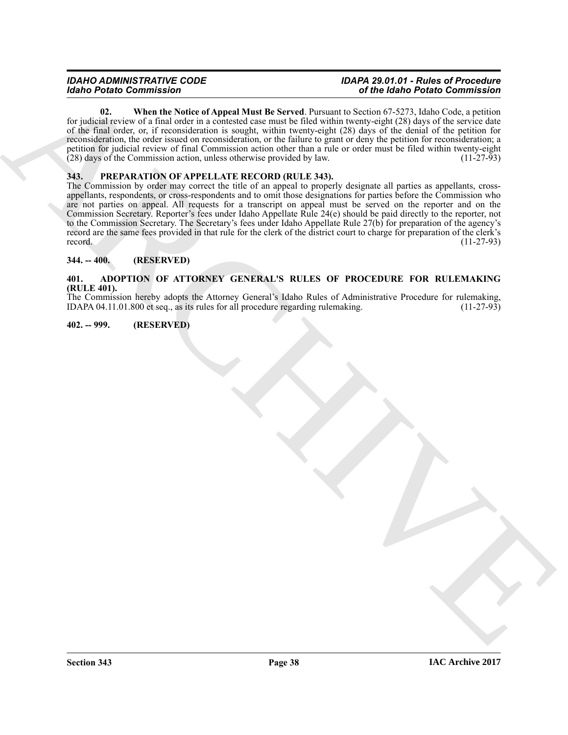<span id="page-37-5"></span>**02. When the Notice of Appeal Must Be Served**. Pursuant to Section 67-5273, Idaho Code, a petition for judicial review of a final order in a contested case must be filed within twenty-eight (28) days of the service date of the final order, or, if reconsideration is sought, within twenty-eight (28) days of the denial of the petition for reconsideration, the order issued on reconsideration, or the failure to grant or deny the petition for reconsideration; a petition for judicial review of final Commission action other than a rule or order must be filed within twenty-eight (28) days of the Commission action, unless otherwise provided by law. (11-27-93)

# <span id="page-37-6"></span><span id="page-37-0"></span>**343. PREPARATION OF APPELLATE RECORD (RULE 343).**

**Excels Commission Control in the Commission Control in the Control in the Commission Control in the Commission<br>
ARCHIVES CONTROL IN THE COMMISSION CONTROL INTERFERENCE IN THE CONTROL INTERFERENCE IN THE CONTROL INTERFERE** The Commission by order may correct the title of an appeal to properly designate all parties as appellants, crossappellants, respondents, or cross-respondents and to omit those designations for parties before the Commission who are not parties on appeal. All requests for a transcript on appeal must be served on the reporter and on the Commission Secretary. Reporter's fees under Idaho Appellate Rule 24(e) should be paid directly to the reporter, not to the Commission Secretary. The Secretary's fees under Idaho Appellate Rule 27(b) for preparation of the agency's record are the same fees provided in that rule for the clerk of the district court to charge for preparation of the clerk's record.  $(11-27-93)$ 

### <span id="page-37-1"></span>**344. -- 400. (RESERVED)**

#### <span id="page-37-4"></span><span id="page-37-2"></span>**401. ADOPTION OF ATTORNEY GENERAL'S RULES OF PROCEDURE FOR RULEMAKING (RULE 401).**

The Commission hereby adopts the Attorney General's Idaho Rules of Administrative Procedure for rulemaking, IDAPA 04.11.01.800 et seq., as its rules for all procedure regarding rulemaking. (11-27-93) IDAPA 04.11.01.800 et seq., as its rules for all procedure regarding rulemaking.

#### <span id="page-37-3"></span>**402. -- 999. (RESERVED)**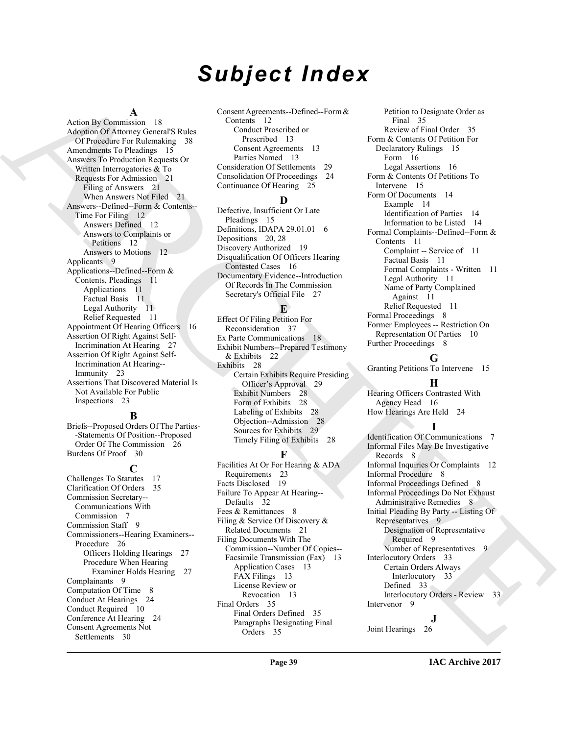# *Subject Index*

#### **A**

[A](#page-20-3)rchive (a) (a)  $\frac{1}{\sqrt{2}}$  (a)  $\frac{1}{\sqrt{2}}$  (a)  $\frac{1}{\sqrt{2}}$  (b)  $\frac{1}{\sqrt{2}}$  (a)  $\frac{1}{\sqrt{2}}$  (b)  $\frac{1}{\sqrt{2}}$  (a)  $\frac{1}{\sqrt{2}}$  (b)  $\frac{1}{\sqrt{2}}$  (a)  $\frac{1}{\sqrt{2}}$  (b)  $\frac{1}{\sqrt{2}}$  (b)  $\frac{1}{\sqrt{2}}$  (b)  $\frac{1}{\sqrt{2}}$  (c) Action By Commission 18 Adoption Of Attorney General'S Rules Of Procedure For Rulemaking 38 Amendments To Pleadings 15 Answers To Production Requests Or Written Interrogatories & To Requests For Admission 21 Filing of Answers 21 When Answers Not Filed 21 Answers--Defined--Form & Contents-- Time For Filing 12 Answers Defined 12 Answers to Complaints or Petitions 12 Answers to Motions 12 Applicants 9 Applications--Defined--Form & Contents, Pleadings 11 Applications 11 Factual Basis 11 Legal Authority 11 Relief Requested 11 Appointment Of Hearing Officers 16 Assertion Of Right Against Self-Incrimination At Hearing 27 Assertion Of Right Against Self-Incrimination At Hearing-- Immunity 23 Assertions That Discovered Material Is Not Available For Public Inspections 23

#### **B**

Briefs--Proposed Orders Of The Parties- -Statements Of Position--Proposed Order Of The Commission 26 Burdens Of Proof 30

**C** Challenges To Statutes 17 Clarification Of Orders 35 Commission Secretary-- Communications With Commission 7 Commission Staff 9 Commissioners--Hearing Examiners-- Procedure 26 Officers Holding Hearings 27 Procedure When Hearing Examiner Holds Hearing 27 Complainants 9 Computation Of Time 8 Conduct At Hearings 24 Conduct Required 10 Conference At Hearing 24 Consent Agreements Not Settlements 30

Consent Agreements--Defined--Form & Contents 12 Conduct Proscribed or Prescribed 13 Consent Agreements 13 Parties Named 13 Consideration Of Settlements 29 Consolidation Of Proceedings 24 Continuance Of Hearing 25

### **D**

Defective, Insufficient Or Late Pleadings 15 Definitions, IDAPA 29.01.01 6 Depositions 20, 28 Discovery Authorized 19 Disqualification Of Officers Hearing Contested Cases 16 Documentary Evidence--Introduction Of Records In The Commission Secretary's Official File 27

#### **E**

Effect Of Filing Petition For Reconsideration 37 Ex Parte Communications 18 Exhibit Numbers--Prepared Testimony & Exhibits 22 Exhibits 28 Certain Exhibits Require Presiding Officer's Approval 29 Exhibit Numbers 28 Form of Exhibits 28 Labeling of Exhibits 28 Objection--Admission 28 Sources for Exhibits 29 Timely Filing of Exhibits 28

# **F**

Facilities At Or For Hearing & ADA Requirements 23 Facts Disclosed 19 Failure To Appear At Hearing-- Defaults 32 Fees & Remittances 8 Filing & Service Of Discovery & Related Documents 21 Filing Documents With The Commission--Number Of Copies-- Facsimile Transmission (Fax) 13 Application Cases 13 FAX Filings 13 License Review or Revocation 13 Final Orders 35 Final Orders Defined 35 Paragraphs Designating Final Orders 35

Petition to Designate Order as Final 35 Review of Final Order 35 Form & Contents Of Petition For Declaratory Rulings 15 Form 16 Legal Assertions 16 Form & Contents Of Petitions To Intervene 15 Form Of Documents 14 Example 14 Identification of Parties 14 Information to be Listed 14 Formal Complaints--Defined--Form & Contents 11 Complaint -- Service of 11 Factual Basis 11 Formal Complaints - Written 11 Legal Authority 11 Name of Party Complained Against 11 Relief Requested 11 Formal Proceedings 8 Former Employees -- Restriction On Representation Of Parties 10 Further Proceedings 8

### **G**

Granting Petitions To Intervene 15

#### **H**

Hearing Officers Contrasted With Agency Head 16 How Hearings Are Held 24

**I** Identification Of Communications 7 Informal Files May Be Investigative Records 8 Informal Inquiries Or Complaints 12 Informal Procedure 8 Informal Proceedings Defined 8 Informal Proceedings Do Not Exhaust Administrative Remedies 8 Initial Pleading By Party -- Listing Of Representatives 9 Designation of Representative Required 9 Number of Representatives 9 Interlocutory Orders 33 Certain Orders Always Interlocutory 33 Defined 33 Interlocutory Orders - Review 33 Intervenor 9

**J**

Joint Hearings 26

#### **IAC Archive 2017**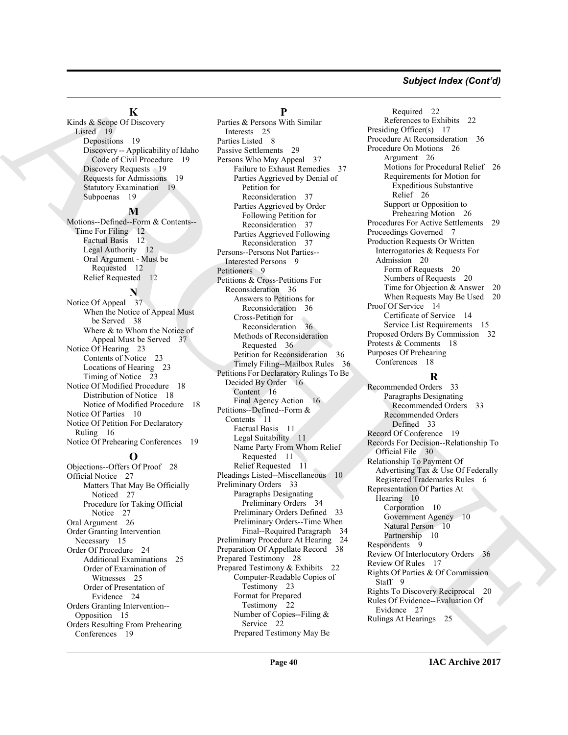#### *Subject Index (Cont'd)*

#### **K**

Kinds & Scope Of Discovery Listed 19 Depositions 19 Discovery -- Applicability of Idaho Code of Civil Procedure 19 Discovery Requests 19 Requests for Admissions 19 Statutory Examination 19 Subpoenas 19

#### **M**

Motions--Defined--Form & Contents-- Time For Filing 12 Factual Basis 12 Legal Authority 12 Oral Argument - Must be Requested 12 Relief Requested 12

#### **N**

Notice Of Appeal 37 When the Notice of Appeal Must be Served 38 Where & to Whom the Notice of Appeal Must be Served 37 Notice Of Hearing 23 Contents of Notice 23 Locations of Hearing 23 Timing of Notice 23 Notice Of Modified Procedure 18 Distribution of Notice 18 Notice of Modified Procedure 18 Notice Of Parties 10 Notice Of Petition For Declaratory Ruling 16 Notice Of Prehearing Conferences 19

#### **O**

Objections--Offers Of Proof 28 Official Notice 27 Matters That May Be Officially Noticed 27 Procedure for Taking Official Notice 27 Oral Argument 26 Order Granting Intervention Necessary 15 Order Of Procedure 24 Additional Examinations 25 Order of Examination of Witnesses 25 Order of Presentation of Evidence 24 Orders Granting Intervention-- Opposition 15 Orders Resulting From Prehearing Conferences 19

# **P**

Mark [A](#page-18-9)ssociation (a)  $\frac{1}{2}$  (b)  $\frac{1}{2}$  (b)  $\frac{1}{2}$  (b)  $\frac{1}{2}$  (b)  $\frac{1}{2}$  (b)  $\frac{1}{2}$  (b)  $\frac{1}{2}$  (b)  $\frac{1}{2}$  (b)  $\frac{1}{2}$  (b)  $\frac{1}{2}$  (b)  $\frac{1}{2}$  (b)  $\frac{1}{2}$  (b)  $\frac{1}{2}$  (b)  $\frac{1}{2}$  (b)  $\frac{$ Parties & Persons With Similar Interests 25 Parties Listed 8 Passive Settlements 29 Persons Who May Appeal 37 Failure to Exhaust Remedies 37 Parties Aggrieved by Denial of Petition for Reconsideration 37 Parties Aggrieved by Order Following Petition for Reconsideration 37 Parties Aggrieved Following Reconsideration 37 Persons--Persons Not Parties-- Interested Persons 9 Petitioners 9 Petitions & Cross-Petitions For Reconsideration 36 Answers to Petitions for Reconsideration 36 Cross-Petition for Reconsideration 36 Methods of Reconsideration Requested 36 Petition for Reconsideration 36 Timely Filing--Mailbox Rules 36 Petitions For Declaratory Rulings To Be Decided By Order 16 Content 16 Final Agency Action 16 Petitions--Defined--Form & Contents 11 Factual Basis 11 Legal Suitability 11 Name Party From Whom Relief Requested 11 Relief Requested 11 Pleadings Listed--Miscellaneous 10 Preliminary Orders 33 Paragraphs Designating Preliminary Orders 34 Preliminary Orders Defined 33 Preliminary Orders--Time When Final--Required Paragraph 34 Preliminary Procedure At Hearing 24 Preparation Of Appellate Record 38 Prepared Testimony 28 Prepared Testimony & Exhibits 22 Computer-Readable Copies of Testimony 23 Format for Prepared Testimony 22 Number of Copies--Filing & Service 22 Prepared Testimony May Be

Required 22 References to Exhibits 22 Presiding Officer(s) 17 Procedure At Reconsideration 36 Procedure On Motions 26 Argument 26 Motions for Procedural Relief 26 Requirements for Motion for Expeditious Substantive Relief 26 Support or Opposition to Prehearing Motion 26 Procedures For Active Settlements 29 Proceedings Governed 7 Production Requests Or Written Interrogatories & Requests For Admission 20 Form of Requests 20 Numbers of Requests 20 Time for Objection & Answer 20 When Requests May Be Used 20 Proof Of Service 14 Certificate of Service 14 Service List Requirements 15 Proposed Orders By Commission 32 Protests & Comments 18 Purposes Of Prehearing

Conferences 18

### **R**

Recommended Orders 33 Paragraphs Designating Recommended Orders 33 Recommended Orders Defined 33 Record Of Conference 19 Records For Decision--Relationship To Official File 30 Relationship To Payment Of Advertising Tax & Use Of Federally Registered Trademarks Rules 6 Representation Of Parties At Hearing 10 Corporation 10 Government Agency 10 Natural Person 10 Partnership 10 Respondents 9 Review Of Interlocutory Orders 36 Review Of Rules 17 Rights Of Parties & Of Commission Staff 9 Rights To Discovery Reciprocal 20 Rules Of Evidence--Evaluation Of Evidence 27 Rulings At Hearings 25